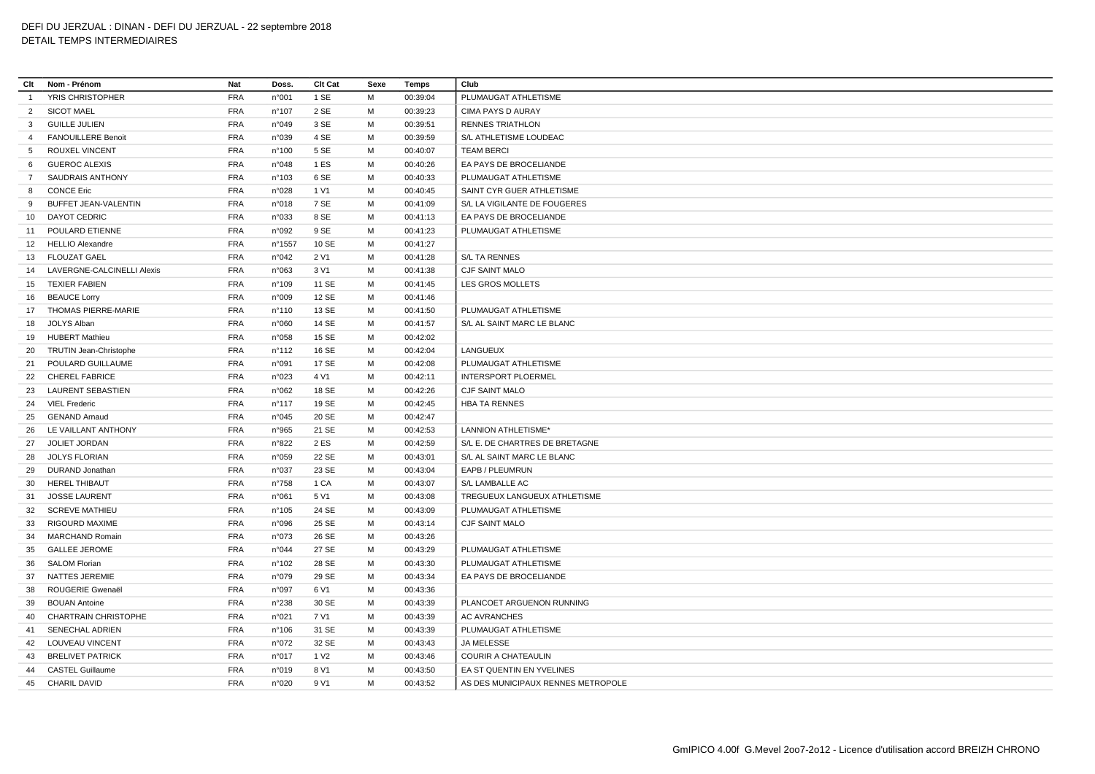## **Clt Nom - Prénom Nat Doss. Clt Cat Sexe Temps Club** YRIS CHRISTOPHER FRA n°001 1 SE M 00:39:04 PLUMAUGAT ATHLETISME SICOT MAEL FRA n°107 2 SE M 00:39:23 CIMA PAYS D AURAY GUILLE JULIEN FRA n°049 3 SE M 00:39:51 RENNES TRIATHLON FANOUILLERE Benoit FRA n°039 4 SE M 00:39:59 S/L ATHLETISME LOUDEAC ROUXEL VINCENT FRA n°100 5 SE M 00:40:07 TEAM BERCI GUEROC ALEXIS FRA n°048 1 ES M 00:40:26 EA PAYS DE BROCELIANDE SAUDRAIS ANTHONY FRA n°103 6 SE M 00:40:33 PLUMAUGAT ATHLETISME 8 CONCE Eric FRA n°028 1 V1 M 00:40:45 SAINT CYR GUER ATHLETISME BUFFET JEAN-VALENTIN FRA n°018 7 SE M 00:41:09 S/L LA VIGILANTE DE FOUGERES DAYOT CEDRIC FRA n°033 8 SE M 00:41:13 EA PAYS DE BROCELIANDE POULARD ETIENNE FRA n°092 9 SE M 00:41:23 PLUMAUGAT ATHLETISME HELLIO Alexandre FRA n°1557 10 SE M 00:41:27 FLOUZAT GAEL FRA n°042 2 V1 M 00:41:28 S/L TA RENNES LAVERGNE-CALCINELLI Alexis FRA n°063 3 V1 M 00:41:38 CJF SAINT MALO TEXIER FABIEN FRA n°109 11 SE M 00:41:45 LES GROS MOLLETS BEAUCE Lorry FRA n°009 12 SE M 00:41:46 THOMAS PIERRE-MARIE FRA n°110 13 SE M 00:41:50 PLUMAUGAT ATHLETISME JOLYS Alban FRA n°060 14 SE M 00:41:57 S/L AL SAINT MARC LE BLANC HUBERT Mathieu FRA n°058 15 SE M 00:42:02 TRUTIN Jean-Christophe FRA n°112 16 SE M 00:42:04 LANGUEUX POULARD GUILLAUME FRA n°091 17 SE M 00:42:08 PLUMAUGAT ATHLETISME CHEREL FABRICE FRA n°023 4 V1 M 00:42:11 INTERSPORT PLOERMEL LAURENT SEBASTIEN FRA n°062 18 SE M 00:42:26 CJF SAINT MALO VIEL Frederic FRA n°117 19 SE M 00:42:45 HBA TA RENNES GENAND Arnaud FRA n°045 20 SE M 00:42:47 LE VAILLANT ANTHONY FRA n°965 21 SE M 00:42:53 LANNION ATHLETISME\* JOLIET JORDAN FRA n°822 2 ES M 00:42:59 S/L E. DE CHARTRES DE BRETAGNE JOLYS FLORIAN FRA n°059 22 SE M 00:43:01 S/L AL SAINT MARC LE BLANC DURAND Jonathan FRA n°037 23 SE M 00:43:04 EAPB / PLEUMRUN HEREL THIBAUT FRA n°758 1 CA M 00:43:07 S/L LAMBALLE AC JOSSE LAURENT FRA n°061 5 V1 M 00:43:08 TREGUEUX LANGUEUX ATHLETISME SCREVE MATHIEU FRA n°105 24 SE M 00:43:09 PLUMAUGAT ATHLETISME RIGOURD MAXIME FRA n°096 25 SE M 00:43:14 CJF SAINT MALO MARCHAND Romain FRA n°073 26 SE M 00:43:26 GALLEE JEROME FRA n°044 27 SE M 00:43:29 PLUMAUGAT ATHLETISME SALOM Florian FRA n°102 28 SE M 00:43:30 PLUMAUGAT ATHLETISME NATTES JEREMIE FRA n°079 29 SE M 00:43:34 EA PAYS DE BROCELIANDE ROUGERIE Gwenaël FRA n°097 6 V1 M 00:43:36 BOUAN Antoine FRA n°238 30 SE M 00:43:39 PLANCOET ARGUENON RUNNING CHARTRAIN CHRISTOPHE FRA n°021 7 V1 M 00:43:39 AC AVRANCHES SENECHAL ADRIEN FRA n°106 31 SE M 00:43:39 PLUMAUGAT ATHLETISME LOUVEAU VINCENT FRA n°072 32 SE M 00:43:43 JA MELESSE BRELIVET PATRICK FRA n°017 1 V2 M 00:43:46 COURIR A CHATEAULIN CASTEL Guillaume FRA n°019 8 V1 M 00:43:50 EA ST QUENTIN EN YVELINES CHARIL DAVID FRA n°020 9 V1 M 00:43:52 AS DES MUNICIPAUX RENNES METROPOLE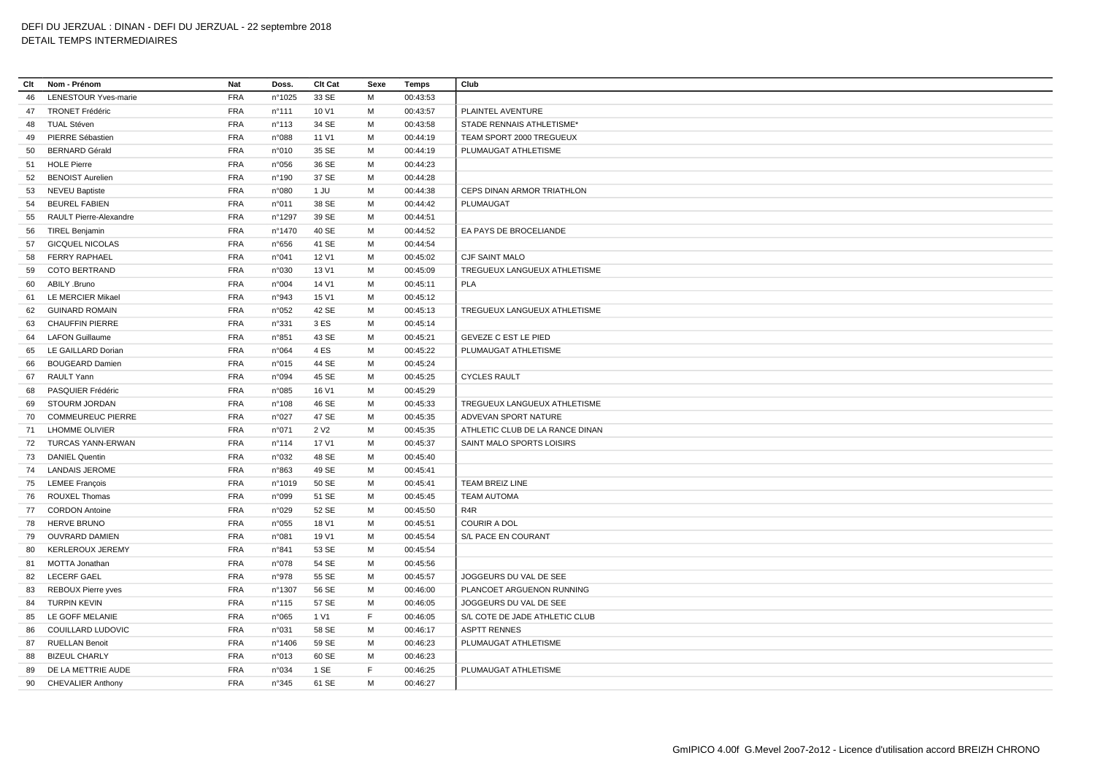| Clt | Nom - Prénom                | Nat        | Doss.           | Clt Cat          | Sexe | Temps    | Club                            |
|-----|-----------------------------|------------|-----------------|------------------|------|----------|---------------------------------|
| 46  | <b>LENESTOUR Yves-marie</b> | FRA        | n°1025          | 33 SE            | M    | 00:43:53 |                                 |
| 47  | <b>TRONET Frédéric</b>      | <b>FRA</b> | $n^{\circ}$ 111 | 10 V1            | м    | 00:43:57 | PLAINTEL AVENTURE               |
| 48  | <b>TUAL Stéven</b>          | <b>FRA</b> | n°113           | 34 SE            | M    | 00:43:58 | STADE RENNAIS ATHLETISME*       |
| 49  | PIERRE Sébastien            | <b>FRA</b> | n°088           | 11 V1            | M    | 00:44:19 | TEAM SPORT 2000 TREGUEUX        |
| 50  | <b>BERNARD Gérald</b>       | <b>FRA</b> | n°010           | 35 SE            | M    | 00:44:19 | PLUMAUGAT ATHLETISME            |
| 51  | <b>HOLE Pierre</b>          | <b>FRA</b> | n°056           | 36 SE            | M    | 00:44:23 |                                 |
| 52  | <b>BENOIST Aurelien</b>     | <b>FRA</b> | n°190           | 37 SE            | M    | 00:44:28 |                                 |
| 53  | <b>NEVEU Baptiste</b>       | <b>FRA</b> | n°080           | 1 JU             | M    | 00:44:38 | CEPS DINAN ARMOR TRIATHLON      |
| 54  | <b>BEUREL FABIEN</b>        | <b>FRA</b> | n°011           | 38 SE            | м    | 00:44:42 | PLUMAUGAT                       |
| 55  | RAULT Pierre-Alexandre      | <b>FRA</b> | n°1297          | 39 SE            | м    | 00:44:51 |                                 |
| 56  | TIREL Benjamin              | <b>FRA</b> | n°1470          | 40 SE            | M    | 00:44:52 | EA PAYS DE BROCELIANDE          |
| 57  | <b>GICQUEL NICOLAS</b>      | <b>FRA</b> | n°656           | 41 SE            | M    | 00:44:54 |                                 |
| 58  | <b>FERRY RAPHAEL</b>        | <b>FRA</b> | n°041           | 12 V1            | M    | 00:45:02 | CJF SAINT MALO                  |
| 59  | COTO BERTRAND               | <b>FRA</b> | n°030           | 13 V1            | м    | 00:45:09 | TREGUEUX LANGUEUX ATHLETISME    |
| 60  | ABILY .Bruno                | <b>FRA</b> | n°004           | 14 V1            | M    | 00:45:11 | <b>PLA</b>                      |
| 61  | LE MERCIER Mikael           | FRA        | n°943           | 15 V1            | M    | 00:45:12 |                                 |
| 62  | <b>GUINARD ROMAIN</b>       | <b>FRA</b> | n°052           | 42 SE            | M    | 00:45:13 | TREGUEUX LANGUEUX ATHLETISME    |
| 63  | <b>CHAUFFIN PIERRE</b>      | <b>FRA</b> | n°331           | 3 ES             | м    | 00:45:14 |                                 |
| 64  | <b>LAFON Guillaume</b>      | <b>FRA</b> | n°851           | 43 SE            | м    | 00:45:21 | <b>GEVEZE C EST LE PIED</b>     |
| 65  | LE GAILLARD Dorian          | <b>FRA</b> | n°064           | 4 ES             | м    | 00:45:22 | PLUMAUGAT ATHLETISME            |
| 66  | <b>BOUGEARD Damien</b>      | <b>FRA</b> | n°015           | 44 SE            | M    | 00:45:24 |                                 |
| 67  | RAULT Yann                  | <b>FRA</b> | n°094           | 45 SE            | M    | 00:45:25 | <b>CYCLES RAULT</b>             |
| 68  | PASQUIER Frédéric           | <b>FRA</b> | n°085           | 16 V1            | M    | 00:45:29 |                                 |
| 69  | STOURM JORDAN               | <b>FRA</b> | n°108           | 46 SE            | M    | 00:45:33 | TREGUEUX LANGUEUX ATHLETISME    |
| 70  | <b>COMMEUREUC PIERRE</b>    | <b>FRA</b> | n°027           | 47 SE            | M    | 00:45:35 | ADVEVAN SPORT NATURE            |
| 71  | <b>LHOMME OLIVIER</b>       | <b>FRA</b> | n°071           | 2 V <sub>2</sub> | M    | 00:45:35 | ATHLETIC CLUB DE LA RANCE DINAN |
|     | 72 TURCAS YANN-ERWAN        | <b>FRA</b> | n°114           | 17 V1            | M    | 00:45:37 | SAINT MALO SPORTS LOISIRS       |
| 73  | <b>DANIEL Quentin</b>       | <b>FRA</b> | n°032           | 48 SE            | M    | 00:45:40 |                                 |
| 74  | <b>LANDAIS JEROME</b>       | <b>FRA</b> | n°863           | 49 SE            | м    | 00:45:41 |                                 |
| 75  | <b>LEMEE François</b>       | <b>FRA</b> | n°1019          | 50 SE            | м    | 00:45:41 | TEAM BREIZ LINE                 |
| 76  | <b>ROUXEL Thomas</b>        | <b>FRA</b> | n°099           | 51 SE            | M    | 00:45:45 | <b>TEAM AUTOMA</b>              |
| 77  | <b>CORDON Antoine</b>       | <b>FRA</b> | n°029           | 52 SE            | M    | 00:45:50 | R4R                             |
| 78  | <b>HERVE BRUNO</b>          | FRA        | n°055           | 18 V1            | M    | 00:45:51 | <b>COURIR A DOL</b>             |
| 79  | <b>OUVRARD DAMIEN</b>       | <b>FRA</b> | n°081           | 19 V1            | м    | 00:45:54 | S/L PACE EN COURANT             |
| 80  | <b>KERLEROUX JEREMY</b>     | <b>FRA</b> | n°841           | 53 SE            | M    | 00:45:54 |                                 |
| 81  | MOTTA Jonathan              | FRA        | n°078           | 54 SE            | M    | 00:45:56 |                                 |
| 82  | <b>LECERF GAEL</b>          | <b>FRA</b> | n°978           | 55 SE            | M    | 00:45:57 | JOGGEURS DU VAL DE SEE          |
| 83  | REBOUX Pierre yves          | FRA        | n°1307          | 56 SE            | M    | 00:46:00 | PLANCOET ARGUENON RUNNING       |
| 84  | <b>TURPIN KEVIN</b>         | <b>FRA</b> | $n^{\circ}$ 115 | 57 SE            | м    | 00:46:05 | JOGGEURS DU VAL DE SEE          |
| 85  | LE GOFF MELANIE             | <b>FRA</b> | n°065           | 1 V1             | F    | 00:46:05 | S/L COTE DE JADE ATHLETIC CLUB  |
| 86  | COUILLARD LUDOVIC           | <b>FRA</b> | n°031           | 58 SE            | M    | 00:46:17 | <b>ASPTT RENNES</b>             |
| 87  | <b>RUELLAN Benoit</b>       | <b>FRA</b> | n°1406          | 59 SE            | M    | 00:46:23 | PLUMAUGAT ATHLETISME            |
| 88  | <b>BIZEUL CHARLY</b>        | <b>FRA</b> | n°013           | 60 SE            | M    | 00:46:23 |                                 |
| 89  | DE LA METTRIE AUDE          | <b>FRA</b> | n°034           | 1 SE             | E    | 00:46:25 | PLUMAUGAT ATHLETISME            |
|     | 90 CHEVALIER Anthony        | <b>FRA</b> | n°345           | 61 SE            | M    | 00:46:27 |                                 |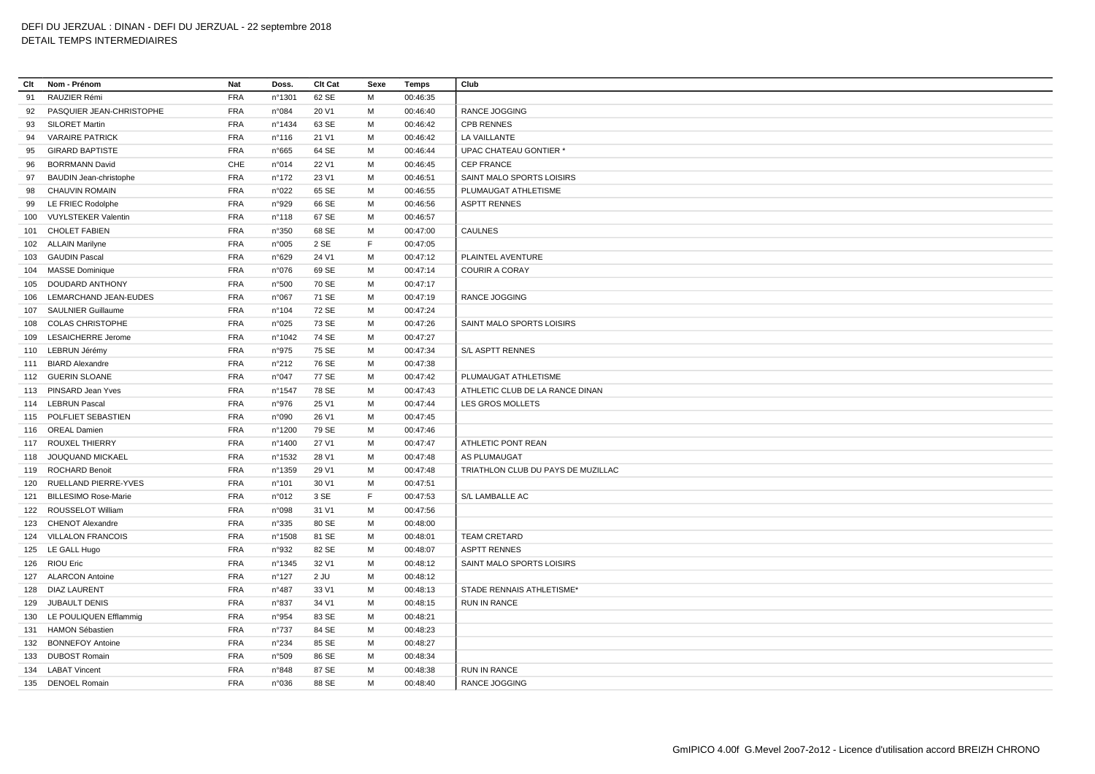## **Clt Nom - Prénom Nat Doss. Clt Cat Sexe Temps Club** RAUZIER Rémi FRA n°1301 62 SE M 00:46:35 PASQUIER JEAN-CHRISTOPHE FRA n°084 20 V1 M 00:46:40 RANCE JOGGING SILORET Martin FRA n°1434 63 SE M 00:46:42 CPB RENNES VARAIRE PATRICK FRA n°116 21 V1 M 00:46:42 LA VAILLANTE GIRARD BAPTISTE FRA n°665 64 SE M 00:46:44 UPAC CHATEAU GONTIER \* BORRMANN David CHE n°014 22 V1 M 00:46:45 CEP FRANCE BAUDIN Jean-christophe FRA n°172 23 V1 M 00:46:51 SAINT MALO SPORTS LOISIRS CHAUVIN ROMAIN FRA n°022 65 SE M 00:46:55 PLUMAUGAT ATHLETISME LE FRIEC Rodolphe FRA n°929 66 SE M 00:46:56 ASPTT RENNES VUYLSTEKER Valentin FRA n°118 67 SE M 00:46:57 CHOLET FABIEN FRA n°350 68 SE M 00:47:00 CAULNES ALLAIN Marilyne FRA n°005 2 SE F 00:47:05 GAUDIN Pascal FRA n°629 24 V1 M 00:47:12 PLAINTEL AVENTURE MASSE Dominique FRA n°076 69 SE M 00:47:14 COURIR A CORAY DOUDARD ANTHONY FRA n°500 70 SE M 00:47:17 LEMARCHAND JEAN-EUDES FRA n°067 71 SE M 00:47:19 RANCE JOGGING SAULNIER Guillaume FRA n°104 72 SE M 00:47:24 COLAS CHRISTOPHE FRA n°025 73 SE M 00:47:26 SAINT MALO SPORTS LOISIRS LESAICHERRE Jerome FRA n°1042 74 SE M 00:47:27 LEBRUN Jérémy FRA n°975 75 SE M 00:47:34 S/L ASPTT RENNES BIARD Alexandre FRA n°212 76 SE M 00:47:38 GUERIN SLOANE FRA n°047 77 SE M 00:47:42 PLUMAUGAT ATHLETISME PINSARD Jean Yves FRA n°1547 78 SE M 00:47:43 ATHLETIC CLUB DE LA RANCE DINAN LEBRUN Pascal FRA n°976 25 V1 M 00:47:44 LES GROS MOLLETS POLFLIET SEBASTIEN FRA n°090 26 V1 M 00:47:45 OREAL Damien FRA n°1200 79 SE M 00:47:46 117 ROUXEL THIERRY **FRA** n°1400 27 V1 M 00:47:47 ATHLETIC PONT REAN JOUQUAND MICKAEL FRA n°1532 28 V1 M 00:47:48 AS PLUMAUGAT ROCHARD Benoit FRA n°1359 29 V1 M 00:47:48 TRIATHLON CLUB DU PAYS DE MUZILLAC RUELLAND PIERRE-YVES FRA n°101 30 V1 M 00:47:51 BILLESIMO Rose-Marie FRA n°012 3 SE F 00:47:53 S/L LAMBALLE AC ROUSSELOT William FRA n°098 31 V1 M 00:47:56 CHENOT Alexandre FRA n°335 80 SE M 00:48:00 VILLALON FRANCOIS FRA n°1508 81 SE M 00:48:01 TEAM CRETARD LE GALL Hugo FRA n°932 82 SE M 00:48:07 ASPTT RENNES RIOU Eric FRA n°1345 32 V1 M 00:48:12 SAINT MALO SPORTS LOISIRS ALARCON Antoine FRA n°127 2 JU M 00:48:12 128 DIAZ LAURENT FRA n°487 33 V1 M 00:48:13 STADE RENNAIS ATHLETISME\* JUBAULT DENIS FRA n°837 34 V1 M 00:48:15 RUN IN RANCE LE POULIQUEN Efflammig FRA n°954 83 SE M 00:48:21 HAMON Sébastien FRA n°737 84 SE M 00:48:23 BONNEFOY Antoine FRA n°234 85 SE M 00:48:27 DUBOST Romain FRA n°509 86 SE M 00:48:34 LABAT Vincent FRA n°848 87 SE M 00:48:38 RUN IN RANCE DENOEL Romain FRA n°036 88 SE M 00:48:40 RANCE JOGGING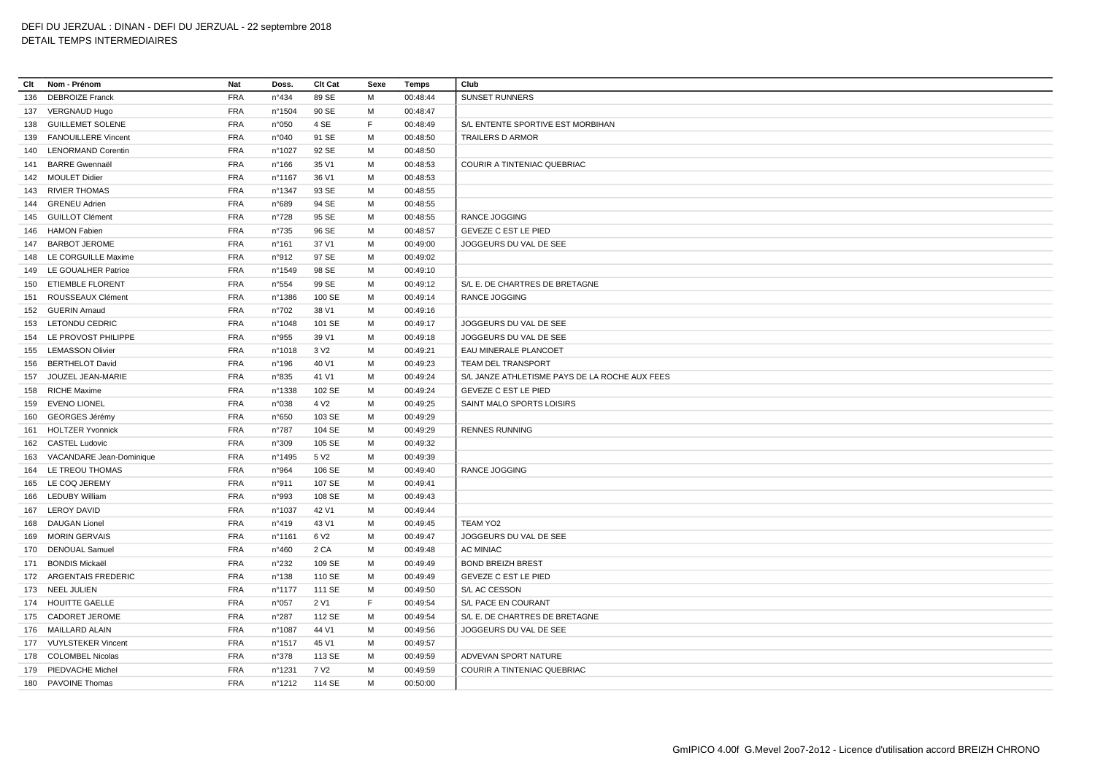**Clt Nom - Prénom Nat Doss. Clt Cat Sexe Temps Club** DEBROIZE Franck FRA n°434 89 SE M 00:48:44 SUNSET RUNNERS VERGNAUD Hugo FRA n°1504 90 SE M 00:48:47 GUILLEMET SOLENE FRA n°050 4 SE F 00:48:49 S/L ENTENTE SPORTIVE EST MORBIHAN FANOUILLERE Vincent FRA n°040 91 SE M 00:48:50 TRAILERS D ARMOR LENORMAND Corentin FRA n°1027 92 SE M 00:48:50 BARRE Gwennaël FRA n°166 35 V1 M 00:48:53 COURIR A TINTENIAC QUEBRIAC MOULET Didier FRA n°1167 36 V1 M 00:48:53 RIVIER THOMAS FRA n°1347 93 SE M 00:48:55 GRENEU Adrien FRA n°689 94 SE M 00:48:55 GUILLOT Clément FRA n°728 95 SE M 00:48:55 RANCE JOGGING HAMON Fabien FRA n°735 96 SE M 00:48:57 GEVEZE C EST LE PIED BARBOT JEROME FRA n°161 37 V1 M 00:49:00 JOGGEURS DU VAL DE SEE LE CORGUILLE Maxime FRA n°912 97 SE M 00:49:02 LE GOUALHER Patrice FRA n°1549 98 SE M 00:49:10 ETIEMBLE FLORENT FRA n°554 99 SE M 00:49:12 S/L E. DE CHARTRES DE BRETAGNE ROUSSEAUX Clément FRA n°1386 100 SE M 00:49:14 RANCE JOGGING GUERIN Arnaud FRA n°702 38 V1 M 00:49:16 LETONDU CEDRIC FRA n°1048 101 SE M 00:49:17 JOGGEURS DU VAL DE SEE LE PROVOST PHILIPPE FRA n°955 39 V1 M 00:49:18 JOGGEURS DU VAL DE SEE LEMASSON Olivier FRA n°1018 3 V2 M 00:49:21 EAU MINERALE PLANCOET BERTHELOT David FRA n°196 40 V1 M 00:49:23 TEAM DEL TRANSPORT JOUZEL JEAN-MARIE FRA n°835 41 V1 M 00:49:24 S/L JANZE ATHLETISME PAYS DE LA ROCHE AUX FEES RICHE Maxime FRA n°1338 102 SE M 00:49:24 GEVEZE C EST LE PIED EVENO LIONEL FRA n°038 4 V2 M 00:49:25 SAINT MALO SPORTS LOISIRS GEORGES Jérémy FRA n°650 103 SE M 00:49:29 HOLTZER Yvonnick FRA n°787 104 SE M 00:49:29 RENNES RUNNING CASTEL Ludovic FRA n°309 105 SE M 00:49:32 VACANDARE Jean-Dominique FRA n°1495 5 V2 M 00:49:39 LE TREOU THOMAS FRA n°964 106 SE M 00:49:40 RANCE JOGGING LE COQ JEREMY FRA n°911 107 SE M 00:49:41 LEDUBY William FRA n°993 108 SE M 00:49:43 LEROY DAVID FRA n°1037 42 V1 M 00:49:44 DAUGAN Lionel FRA n°419 43 V1 M 00:49:45 TEAM YO2 MORIN GERVAIS FRA n°1161 6 V2 M 00:49:47 JOGGEURS DU VAL DE SEE DENOUAL Samuel FRA n°460 2 CA M 00:49:48 AC MINIAC BONDIS Mickaël FRA n°232 109 SE M 00:49:49 BOND BREIZH BREST ARGENTAIS FREDERIC FRA n°138 110 SE M 00:49:49 GEVEZE C EST LE PIED NEEL JULIEN FRA n°1177 111 SE M 00:49:50 S/L AC CESSON HOUITTE GAELLE FRA n°057 2 V1 F 00:49:54 S/L PACE EN COURANT CADORET JEROME FRA n°287 112 SE M 00:49:54 S/L E. DE CHARTRES DE BRETAGNE MAILLARD ALAIN FRA n°1087 44 V1 M 00:49:56 JOGGEURS DU VAL DE SEE VUYLSTEKER Vincent FRA n°1517 45 V1 M 00:49:57 COLOMBEL Nicolas FRA n°378 113 SE M 00:49:59 ADVEVAN SPORT NATURE 179 PIEDVACHE Michel FRA n°1231 7 V2 M 00:49:59 COURIR A TINTENIAC QUEBRIAC PAVOINE Thomas FRA n°1212 114 SE M 00:50:00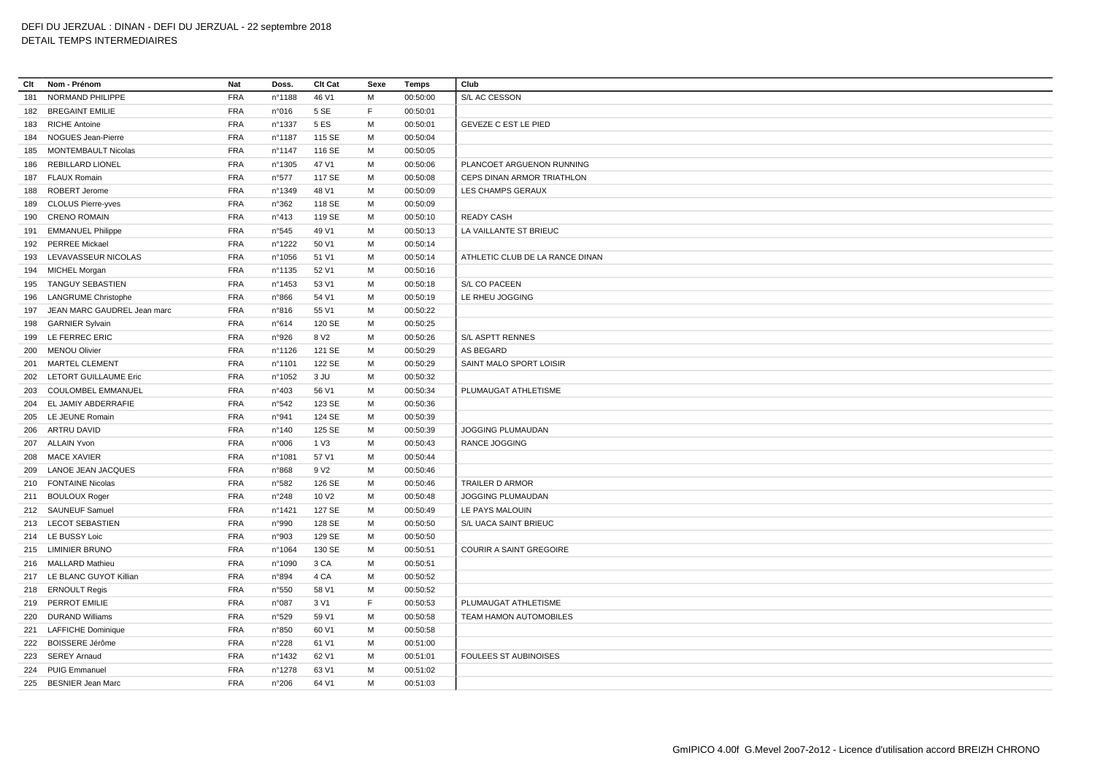## **Clt Nom - Prénom Nat Doss. Clt Cat Sexe Temps Club** NORMAND PHILIPPE FRA n°1188 46 V1 M 00:50:00 S/L AC CESSON BREGAINT EMILIE FRA n°016 5 SE F 00:50:01 RICHE Antoine FRA n°1337 5 ES M 00:50:01 GEVEZE C EST LE PIED NOGUES Jean-Pierre FRA n°1187 115 SE M 00:50:04 MONTEMBAULT Nicolas FRA n°1147 116 SE M 00:50:05 REBILLARD LIONEL FRA n°1305 47 V1 M 00:50:06 PLANCOET ARGUENON RUNNING FLAUX Romain FRA n°577 117 SE M 00:50:08 CEPS DINAN ARMOR TRIATHLON ROBERT Jerome FRA n°1349 48 V1 M 00:50:09 LES CHAMPS GERAUX CLOLUS Pierre-yves FRA n°362 118 SE M 00:50:09 CRENO ROMAIN FRA n°413 119 SE M 00:50:10 READY CASH EMMANUEL Philippe FRA n°545 49 V1 M 00:50:13 LA VAILLANTE ST BRIEUC PERREE Mickael FRA n°1222 50 V1 M 00:50:14 LEVAVASSEUR NICOLAS FRA n°1056 51 V1 M 00:50:14 ATHLETIC CLUB DE LA RANCE DINAN MICHEL Morgan FRA n°1135 52 V1 M 00:50:16 TANGUY SEBASTIEN FRA n°1453 53 V1 M 00:50:18 S/L CO PACEEN LANGRUME Christophe FRA n°866 54 V1 M 00:50:19 LE RHEU JOGGING JEAN MARC GAUDREL Jean marc FRA n°816 55 V1 M 00:50:22 GARNIER Sylvain FRA n°614 120 SE M 00:50:25 LE FERREC ERIC FRA n°926 8 V2 M 00:50:26 S/L ASPTT RENNES MENOU Olivier FRA n°1126 121 SE M 00:50:29 AS BEGARD MARTEL CLEMENT FRA n°1101 122 SE M 00:50:29 SAINT MALO SPORT LOISIR LETORT GUILLAUME Eric FRA n°1052 3 JU M 00:50:32 COULOMBEL EMMANUEL FRA n°403 56 V1 M 00:50:34 PLUMAUGAT ATHLETISME EL JAMIY ABDERRAFIE FRA n°542 123 SE M 00:50:36 LE JEUNE Romain FRA n°941 124 SE M 00:50:39 ARTRU DAVID FRA n°140 125 SE M 00:50:39 JOGGING PLUMAUDAN ALLAIN Yvon FRA n°006 1 V3 M 00:50:43 RANCE JOGGING MACE XAVIER FRA n°1081 57 V1 M 00:50:44 LANOE JEAN JACQUES FRA n°868 9 V2 M 00:50:46 FONTAINE Nicolas FRA n°582 126 SE M 00:50:46 TRAILER D ARMOR BOULOUX Roger FRA n°248 10 V2 M 00:50:48 JOGGING PLUMAUDAN SAUNEUF Samuel FRA n°1421 127 SE M 00:50:49 LE PAYS MALOUIN LECOT SEBASTIEN FRA n°990 128 SE M 00:50:50 S/L UACA SAINT BRIEUC LE BUSSY Loic FRA n°903 129 SE M 00:50:50 LIMINIER BRUNO FRA n°1064 130 SE M 00:50:51 COURIR A SAINT GREGOIRE MALLARD Mathieu FRA n°1090 3 CA M 00:50:51 LE BLANC GUYOT Killian FRA n°894 4 CA M 00:50:52 ERNOULT Regis FRA n°550 58 V1 M 00:50:52 PERROT EMILIE FRA n°087 3 V1 F 00:50:53 PLUMAUGAT ATHLETISME DURAND Williams FRA n°529 59 V1 M 00:50:58 TEAM HAMON AUTOMOBILES LAFFICHE Dominique FRA n°850 60 V1 M 00:50:58 BOISSERE Jérôme FRA n°228 61 V1 M 00:51:00 SEREY Arnaud FRA n°1432 62 V1 M 00:51:01 FOULEES ST AUBINOISES PUIG Emmanuel FRA n°1278 63 V1 M 00:51:02 BESNIER Jean Marc FRA n°206 64 V1 M 00:51:03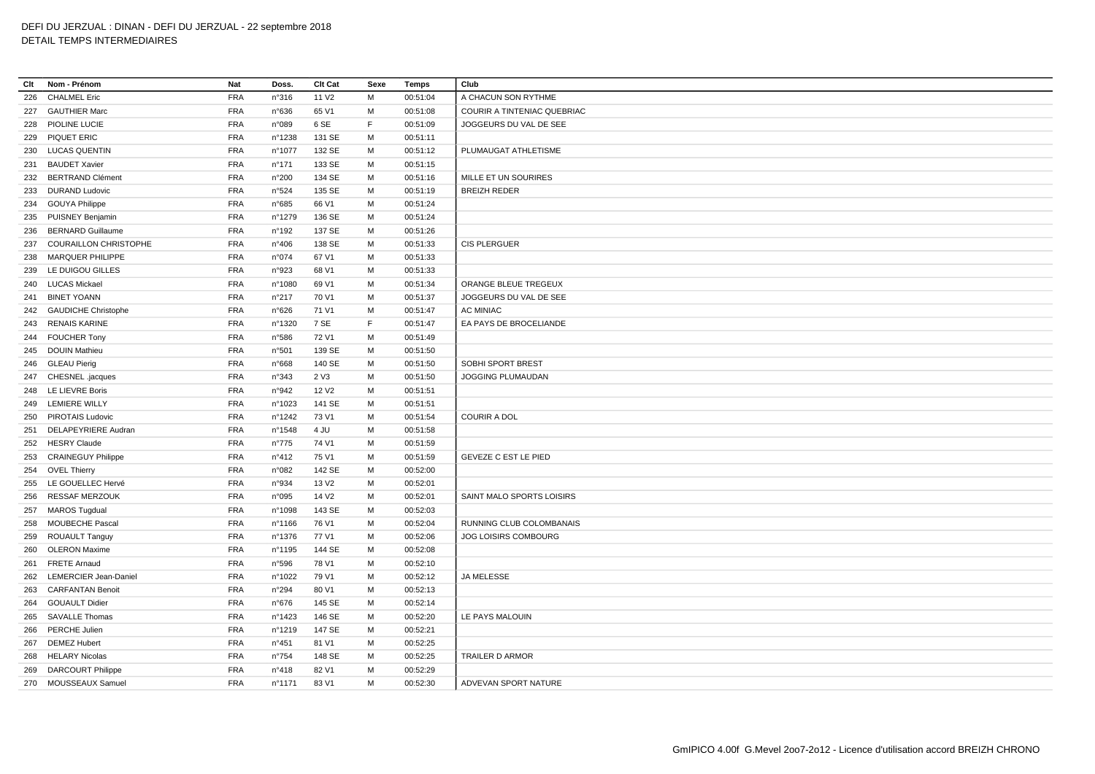## **Clt Nom - Prénom Nat Doss. Clt Cat Sexe Temps Club** 226 CHALMEL Eric FRA n°316 11 V2 M 00:51:04 A CHACUN SON RYTHME GAUTHIER Marc FRA n°636 65 V1 M 00:51:08 COURIR A TINTENIAC QUEBRIAC PIOLINE LUCIE FRA n°089 6 SE F 00:51:09 JOGGEURS DU VAL DE SEE PIQUET ERIC FRA n°1238 131 SE M 00:51:11 LUCAS QUENTIN FRA n°1077 132 SE M 00:51:12 PLUMAUGAT ATHLETISME BAUDET Xavier FRA n°171 133 SE M 00:51:15 BERTRAND Clément FRA n°200 134 SE M 00:51:16 MILLE ET UN SOURIRES DURAND Ludovic FRA n°524 135 SE M 00:51:19 BREIZH REDER GOUYA Philippe FRA n°685 66 V1 M 00:51:24 PUISNEY Benjamin FRA n°1279 136 SE M 00:51:24 BERNARD Guillaume FRA n°192 137 SE M 00:51:26 COURAILLON CHRISTOPHE FRA n°406 138 SE M 00:51:33 CIS PLERGUER MARQUER PHILIPPE FRA n°074 67 V1 M 00:51:33 LE DUIGOU GILLES FRA n°923 68 V1 M 00:51:33 LUCAS Mickael FRA n°1080 69 V1 M 00:51:34 ORANGE BLEUE TREGEUX BINET YOANN FRA n°217 70 V1 M 00:51:37 JOGGEURS DU VAL DE SEE GAUDICHE Christophe FRA n°626 71 V1 M 00:51:47 AC MINIAC RENAIS KARINE FRA n°1320 7 SE F 00:51:47 EA PAYS DE BROCELIANDE FOUCHER Tony FRA n°586 72 V1 M 00:51:49 DOUIN Mathieu FRA n°501 139 SE M 00:51:50 246 GLEAU Pierig CHEREST FRA n°668 140 SE M 00:51:50 SOBHI SPORT BREST CHESNEL .jacques FRA n°343 2 V3 M 00:51:50 JOGGING PLUMAUDAN LE LIEVRE Boris FRA n°942 12 V2 M 00:51:51 LEMIERE WILLY FRA n°1023 141 SE M 00:51:51 PIROTAIS Ludovic FRA n°1242 73 V1 M 00:51:54 COURIR A DOL DELAPEYRIERE Audran FRA n°1548 4 JU M 00:51:58 HESRY Claude FRA n°775 74 V1 M 00:51:59 CRAINEGUY Philippe FRA n°412 75 V1 M 00:51:59 GEVEZE C EST LE PIED OVEL Thierry FRA n°082 142 SE M 00:52:00 LE GOUELLEC Hervé FRA n°934 13 V2 M 00:52:01 RESSAF MERZOUK FRA n°095 14 V2 M 00:52:01 SAINT MALO SPORTS LOISIRS MAROS Tugdual FRA n°1098 143 SE M 00:52:03 MOUBECHE Pascal FRA n°1166 76 V1 M 00:52:04 RUNNING CLUB COLOMBANAIS ROUAULT Tanguy FRA n°1376 77 V1 M 00:52:06 JOG LOISIRS COMBOURG OLERON Maxime FRA n°1195 144 SE M 00:52:08 FRETE Arnaud FRA n°596 78 V1 M 00:52:10 LEMERCIER Jean-Daniel FRA n°1022 79 V1 M 00:52:12 JA MELESSE CARFANTAN Benoit FRA n°294 80 V1 M 00:52:13 GOUAULT Didier FRA n°676 145 SE M 00:52:14 SAVALLE Thomas FRA n°1423 146 SE M 00:52:20 LE PAYS MALOUIN PERCHE Julien FRA n°1219 147 SE M 00:52:21 DEMEZ Hubert FRA n°451 81 V1 M 00:52:25 HELARY Nicolas FRA n°754 148 SE M 00:52:25 TRAILER D ARMOR DARCOURT Philippe FRA n°418 82 V1 M 00:52:29 MOUSSEAUX Samuel FRA n°1171 83 V1 M 00:52:30 ADVEVAN SPORT NATURE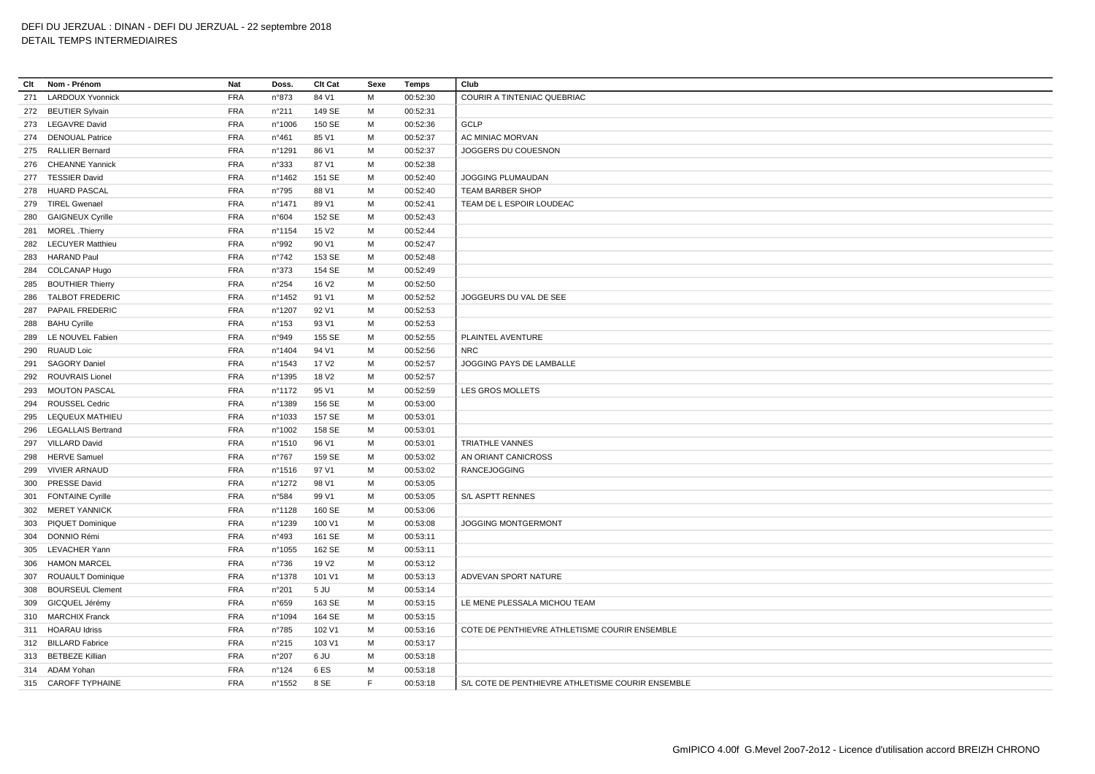| Clt | Nom - Prénom              | Nat        | Doss.           | <b>Clt Cat</b>    | Sexe | Temps    | Club                                              |
|-----|---------------------------|------------|-----------------|-------------------|------|----------|---------------------------------------------------|
| 271 | <b>LARDOUX Yvonnick</b>   | <b>FRA</b> | n°873           | 84 V1             | M    | 00:52:30 | COURIR A TINTENIAC QUEBRIAC                       |
|     | 272 BEUTIER Sylvain       | <b>FRA</b> | n°211           | 149 SE            | м    | 00:52:31 |                                                   |
|     | 273 LEGAVRE David         | <b>FRA</b> | n°1006          | 150 SE            | М    | 00:52:36 | <b>GCLP</b>                                       |
|     | 274 DENOUAL Patrice       | <b>FRA</b> | $n^{\circ}461$  | 85 V1             | M    | 00:52:37 | AC MINIAC MORVAN                                  |
| 275 | <b>RALLIER Bernard</b>    | <b>FRA</b> | n°1291          | 86 V1             | M    | 00:52:37 | JOGGERS DU COUESNON                               |
|     | 276 CHEANNE Yannick       | <b>FRA</b> | n°333           | 87 V1             | м    | 00:52:38 |                                                   |
|     | 277 TESSIER David         | <b>FRA</b> | n°1462          | 151 SE            | м    | 00:52:40 | JOGGING PLUMAUDAN                                 |
| 278 | <b>HUARD PASCAL</b>       | <b>FRA</b> | n°795           | 88 V1             | M    | 00:52:40 | TEAM BARBER SHOP                                  |
| 279 | <b>TIREL Gwenael</b>      | <b>FRA</b> | n°1471          | 89 V1             | м    | 00:52:41 | TEAM DE L ESPOIR LOUDEAC                          |
|     | 280 GAIGNEUX Cyrille      | <b>FRA</b> | n°604           | 152 SE            | M    | 00:52:43 |                                                   |
|     | 281 MOREL .Thierry        | <b>FRA</b> | n°1154          | 15 V <sub>2</sub> | м    | 00:52:44 |                                                   |
|     | 282 LECUYER Matthieu      | <b>FRA</b> | n°992           | 90 V1             | M    | 00:52:47 |                                                   |
| 283 | <b>HARAND Paul</b>        | <b>FRA</b> | n°742           | 153 SE            | м    | 00:52:48 |                                                   |
| 284 | COLCANAP Hugo             | <b>FRA</b> | n°373           | 154 SE            | м    | 00:52:49 |                                                   |
| 285 | <b>BOUTHIER Thierry</b>   | <b>FRA</b> | n°254           | 16 V <sub>2</sub> | M    | 00:52:50 |                                                   |
| 286 | <b>TALBOT FREDERIC</b>    | <b>FRA</b> | n°1452          | 91 V1             | м    | 00:52:52 | JOGGEURS DU VAL DE SEE                            |
| 287 | PAPAIL FREDERIC           | <b>FRA</b> | n°1207          | 92 V1             | M    | 00:52:53 |                                                   |
|     | 288 BAHU Cyrille          | <b>FRA</b> | $n^{\circ}153$  | 93 V1             | M    | 00:52:53 |                                                   |
|     | 289 LE NOUVEL Fabien      | <b>FRA</b> | n°949           | 155 SE            | М    | 00:52:55 | PLAINTEL AVENTURE                                 |
| 290 | <b>RUAUD Loic</b>         | <b>FRA</b> | n°1404          | 94 V1             | M    | 00:52:56 | <b>NRC</b>                                        |
|     | 291 SAGORY Daniel         | <b>FRA</b> | n°1543          | 17 V2             | M    | 00:52:57 | JOGGING PAYS DE LAMBALLE                          |
| 292 | <b>ROUVRAIS Lionel</b>    | <b>FRA</b> | n°1395          | 18 V <sub>2</sub> | М    | 00:52:57 |                                                   |
|     | 293 MOUTON PASCAL         | <b>FRA</b> | n°1172          | 95 V1             | м    | 00:52:59 | LES GROS MOLLETS                                  |
| 294 | <b>ROUSSEL Cedric</b>     | <b>FRA</b> | n°1389          | 156 SE            | М    | 00:53:00 |                                                   |
|     | 295 LEQUEUX MATHIEU       | <b>FRA</b> | n°1033          | 157 SE            | M    | 00:53:01 |                                                   |
| 296 | <b>LEGALLAIS Bertrand</b> | <b>FRA</b> | n°1002          | 158 SE            | М    | 00:53:01 |                                                   |
|     | 297 VILLARD David         | <b>FRA</b> | n°1510          | 96 V1             | M    | 00:53:01 | <b>TRIATHLE VANNES</b>                            |
|     | 298 HERVE Samuel          | <b>FRA</b> | $n^{\circ}767$  | 159 SE            | м    | 00:53:02 | AN ORIANT CANICROSS                               |
| 299 | <b>VIVIER ARNAUD</b>      | <b>FRA</b> | n°1516          | 97 V1             | M    | 00:53:02 | <b>RANCEJOGGING</b>                               |
| 300 | <b>PRESSE David</b>       | <b>FRA</b> | n°1272          | 98 V1             | м    | 00:53:05 |                                                   |
|     | 301 FONTAINE Cyrille      | <b>FRA</b> | n°584           | 99 V1             | M    | 00:53:05 | S/L ASPTT RENNES                                  |
|     | 302 MERET YANNICK         | <b>FRA</b> | n°1128          | 160 SE            | м    | 00:53:06 |                                                   |
|     | 303 PIQUET Dominique      | <b>FRA</b> | n°1239          | 100 V1            | м    | 00:53:08 | <b>JOGGING MONTGERMONT</b>                        |
|     | 304 DONNIO Rémi           | <b>FRA</b> | n°493           | 161 SE            | M    | 00:53:11 |                                                   |
| 305 | LEVACHER Yann             | <b>FRA</b> | n°1055          | 162 SE            | м    | 00:53:11 |                                                   |
|     | 306 HAMON MARCEL          | <b>FRA</b> | $n^{\circ}736$  | 19 V <sub>2</sub> | М    | 00:53:12 |                                                   |
| 307 | ROUAULT Dominique         | <b>FRA</b> | n°1378          | 101 V1            | M    | 00:53:13 | ADVEVAN SPORT NATURE                              |
| 308 | <b>BOURSEUL Clement</b>   | <b>FRA</b> | n°201           | 5 JU              | M    | 00:53:14 |                                                   |
| 309 | GICQUEL Jérémy            | <b>FRA</b> | n°659           | 163 SE            | M    | 00:53:15 | LE MENE PLESSALA MICHOU TEAM                      |
|     | 310 MARCHIX Franck        | <b>FRA</b> | n°1094          | 164 SE            | M    | 00:53:15 |                                                   |
|     | 311 HOARAU Idriss         | <b>FRA</b> | $n^{\circ}785$  | 102 V1            | м    | 00:53:16 | COTE DE PENTHIEVRE ATHLETISME COURIR ENSEMBLE     |
|     | 312 BILLARD Fabrice       | <b>FRA</b> | n°215           | 103 V1            | м    | 00:53:17 |                                                   |
|     | 313 BETBEZE Killian       | <b>FRA</b> | n°207           | 6 JU              | M    | 00:53:18 |                                                   |
|     | 314 ADAM Yohan            | <b>FRA</b> | $n^{\circ}$ 124 | 6 ES              | M    | 00:53:18 |                                                   |
|     | 315 CAROFF TYPHAINE       | <b>FRA</b> | n°1552          | 8 SE              | F.   | 00:53:18 | S/L COTE DE PENTHIEVRE ATHLETISME COURIR ENSEMBLE |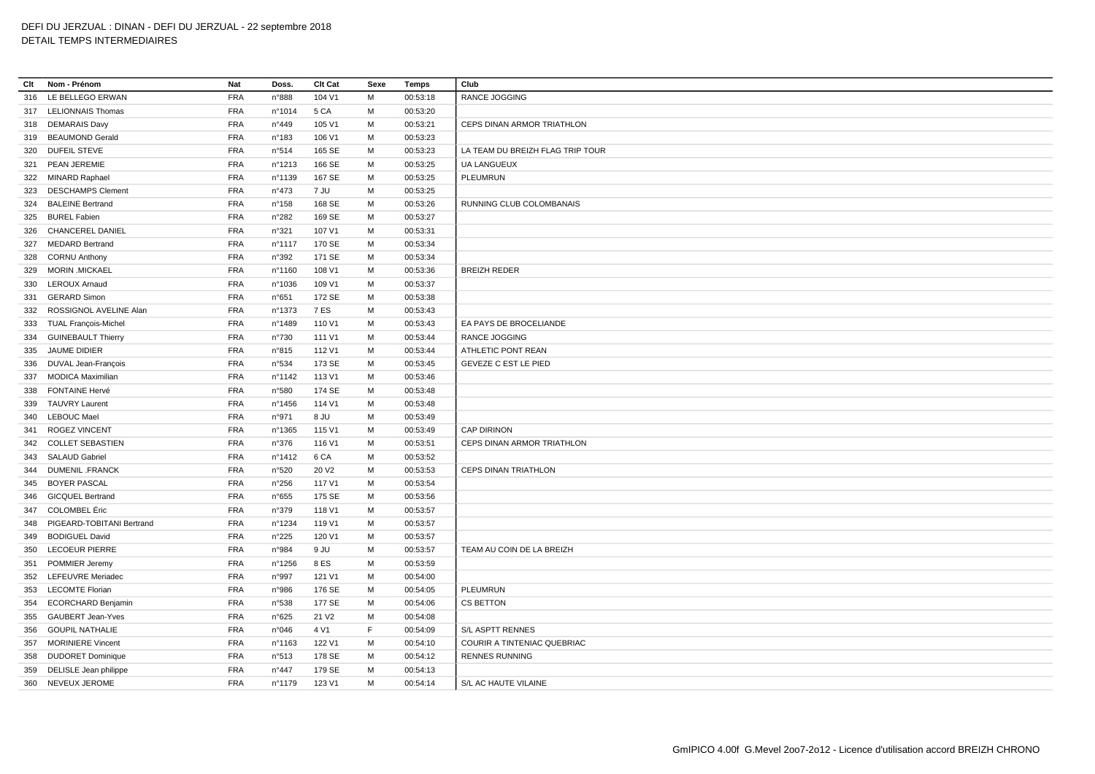| Clt | Nom - Prénom                | Nat        | Doss.           | <b>Clt Cat</b>    | Sexe | Temps    | Club                             |
|-----|-----------------------------|------------|-----------------|-------------------|------|----------|----------------------------------|
| 316 | LE BELLEGO ERWAN            | <b>FRA</b> | n°888           | 104 V1            | M    | 00:53:18 | RANCE JOGGING                    |
|     | 317 LELIONNAIS Thomas       | <b>FRA</b> | n°1014          | 5 CA              | м    | 00:53:20 |                                  |
| 318 | <b>DEMARAIS Davy</b>        | <b>FRA</b> | n°449           | 105 V1            | M    | 00:53:21 | CEPS DINAN ARMOR TRIATHLON       |
|     | 319 BEAUMOND Gerald         | <b>FRA</b> | n°183           | 106 V1            | M    | 00:53:23 |                                  |
| 320 | <b>DUFEIL STEVE</b>         | <b>FRA</b> | n°514           | 165 SE            | M    | 00:53:23 | LA TEAM DU BREIZH FLAG TRIP TOUR |
| 321 | <b>PEAN JEREMIE</b>         | <b>FRA</b> | nº1213          | 166 SE            | м    | 00:53:25 | <b>UA LANGUEUX</b>               |
|     | 322 MINARD Raphael          | <b>FRA</b> | n°1139          | 167 SE            | м    | 00:53:25 | PLEUMRUN                         |
| 323 | <b>DESCHAMPS Clement</b>    | <b>FRA</b> | $n^{\circ}473$  | 7 JU              | M    | 00:53:25 |                                  |
| 324 | <b>BALEINE Bertrand</b>     | <b>FRA</b> | $n^{\circ}$ 158 | 168 SE            | M    | 00:53:26 | <b>RUNNING CLUB COLOMBANAIS</b>  |
|     | 325 BUREL Fabien            | <b>FRA</b> | n°282           | 169 SE            | M    | 00:53:27 |                                  |
| 326 | <b>CHANCEREL DANIEL</b>     | <b>FRA</b> | n°321           | 107 V1            | M    | 00:53:31 |                                  |
| 327 | <b>MEDARD Bertrand</b>      | <b>FRA</b> | n°1117          | 170 SE            | M    | 00:53:34 |                                  |
| 328 | <b>CORNU Anthony</b>        | <b>FRA</b> | n°392           | 171 SE            | M    | 00:53:34 |                                  |
| 329 | <b>MORIN .MICKAEL</b>       | <b>FRA</b> | n°1160          | 108 V1            | M    | 00:53:36 | <b>BREIZH REDER</b>              |
|     | 330 LEROUX Arnaud           | <b>FRA</b> | n°1036          | 109 V1            | M    | 00:53:37 |                                  |
| 331 | <b>GERARD Simon</b>         | <b>FRA</b> | n°651           | 172 SE            | M    | 00:53:38 |                                  |
| 332 | ROSSIGNOL AVELINE Alan      | <b>FRA</b> | n°1373          | 7 ES              | M    | 00:53:43 |                                  |
| 333 | <b>TUAL François-Michel</b> | <b>FRA</b> | n°1489          | 110 V1            | м    | 00:53:43 | EA PAYS DE BROCELIANDE           |
|     | 334 GUINEBAULT Thierry      | <b>FRA</b> | n°730           | 111 V1            | M    | 00:53:44 | <b>RANCE JOGGING</b>             |
| 335 | JAUME DIDIER                | <b>FRA</b> | n°815           | 112 V1            | м    | 00:53:44 | ATHLETIC PONT REAN               |
| 336 | DUVAL Jean-François         | <b>FRA</b> | n°534           | 173 SE            | м    | 00:53:45 | <b>GEVEZE C EST LE PIED</b>      |
| 337 | <b>MODICA Maximilian</b>    | <b>FRA</b> | nº1142          | 113 V1            | M    | 00:53:46 |                                  |
| 338 | <b>FONTAINE Hervé</b>       | <b>FRA</b> | n°580           | 174 SE            | M    | 00:53:48 |                                  |
| 339 | <b>TAUVRY Laurent</b>       | <b>FRA</b> | n°1456          | 114 V1            | м    | 00:53:48 |                                  |
| 340 | <b>LEBOUC Mael</b>          | <b>FRA</b> | n°971           | 8 JU              | м    | 00:53:49 |                                  |
| 341 | <b>ROGEZ VINCENT</b>        | <b>FRA</b> | n°1365          | 115 V1            | м    | 00:53:49 | CAP DIRINON                      |
|     | 342 COLLET SEBASTIEN        | <b>FRA</b> | n°376           | 116 V1            | M    | 00:53:51 | CEPS DINAN ARMOR TRIATHLON       |
|     | 343 SALAUD Gabriel          | <b>FRA</b> | n°1412          | 6 CA              | м    | 00:53:52 |                                  |
| 344 | <b>DUMENIL .FRANCK</b>      | <b>FRA</b> | n°520           | 20 V <sub>2</sub> | M    | 00:53:53 | <b>CEPS DINAN TRIATHLON</b>      |
| 345 | <b>BOYER PASCAL</b>         | <b>FRA</b> | n°256           | 117 V1            | M    | 00:53:54 |                                  |
|     | 346 GICQUEL Bertrand        | <b>FRA</b> | n°655           | 175 SE            | M    | 00:53:56 |                                  |
| 347 | <b>COLOMBEL Éric</b>        | <b>FRA</b> | n°379           | 118 V1            | м    | 00:53:57 |                                  |
| 348 | PIGEARD-TOBITANI Bertrand   | <b>FRA</b> | n°1234          | 119 V1            | M    | 00:53:57 |                                  |
| 349 | <b>BODIGUEL David</b>       | <b>FRA</b> | n°225           | 120 V1            | м    | 00:53:57 |                                  |
| 350 | <b>LECOEUR PIERRE</b>       | <b>FRA</b> | n°984           | 9 JU              | M    | 00:53:57 | TEAM AU COIN DE LA BREIZH        |
| 351 | POMMIER Jeremy              | <b>FRA</b> | n°1256          | 8 ES              | M    | 00:53:59 |                                  |
|     | 352 LEFEUVRE Meriadec       | <b>FRA</b> | n°997           | 121 V1            | м    | 00:54:00 |                                  |
| 353 | <b>LECOMTE Florian</b>      | <b>FRA</b> | n°986           | 176 SE            | м    | 00:54:05 | PLEUMRUN                         |
| 354 | <b>ECORCHARD Benjamin</b>   | <b>FRA</b> | n°538           | 177 SE            | м    | 00:54:06 | CS BETTON                        |
| 355 | <b>GAUBERT Jean-Yves</b>    | <b>FRA</b> | n°625           | 21 V <sub>2</sub> | M    | 00:54:08 |                                  |
| 356 | <b>GOUPIL NATHALIE</b>      | <b>FRA</b> | n°046           | 4 V1              | F    | 00:54:09 | <b>S/L ASPTT RENNES</b>          |
| 357 | <b>MORINIERE Vincent</b>    | <b>FRA</b> | n°1163          | 122 V1            | M    | 00:54:10 | COURIR A TINTENIAC QUEBRIAC      |
| 358 | <b>DUDORET Dominique</b>    | <b>FRA</b> | n°513           | 178 SE            | м    | 00:54:12 | <b>RENNES RUNNING</b>            |
| 359 | DELISLE Jean philippe       | <b>FRA</b> | $n^{\circ}447$  | 179 SE            | M    | 00:54:13 |                                  |
|     | 360 NEVEUX JEROME           | <b>FRA</b> | n°1179          | 123 V1            | M    | 00:54:14 | S/L AC HAUTE VILAINE             |
|     |                             |            |                 |                   |      |          |                                  |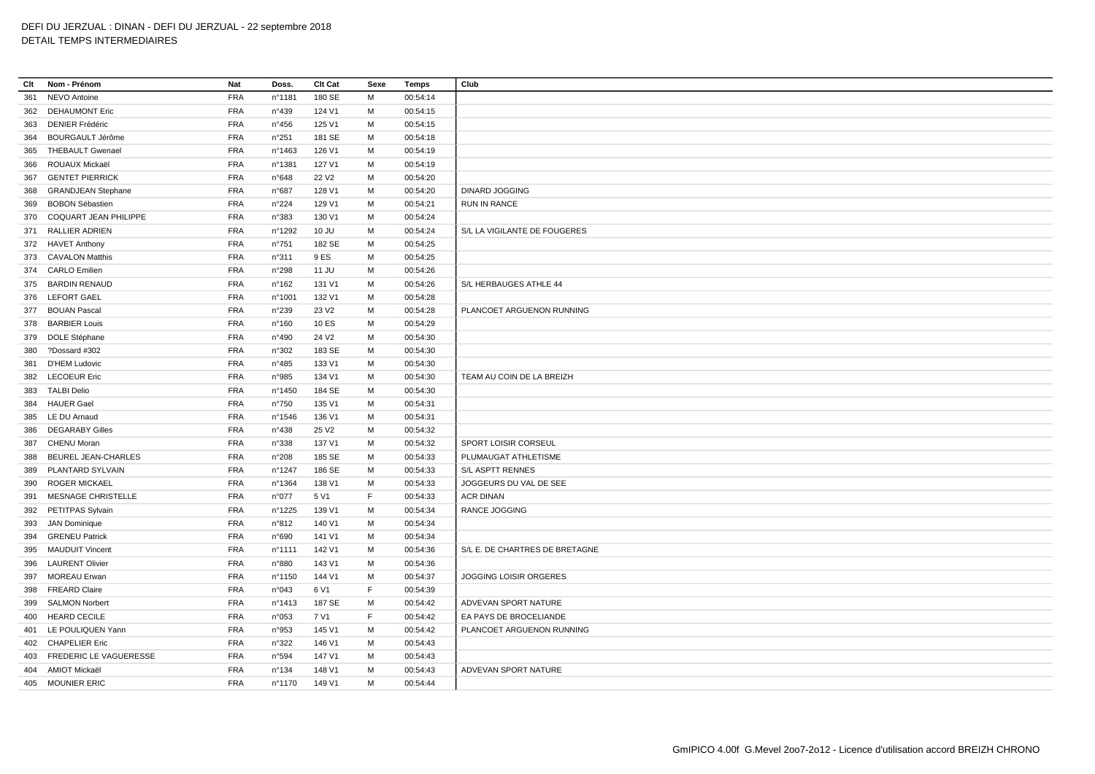| Clt | Nom - Prénom               | Nat        | Doss.           | Clt Cat           | Sexe | Temps    | Club                           |
|-----|----------------------------|------------|-----------------|-------------------|------|----------|--------------------------------|
| 361 | <b>NEVO Antoine</b>        | <b>FRA</b> | n°1181          | 180 SE            | M    | 00:54:14 |                                |
| 362 | <b>DEHAUMONT Eric</b>      | <b>FRA</b> | n°439           | 124 V1            | М    | 00:54:15 |                                |
| 363 | DENIER Frédéric            | FRA        | $n^{\circ}456$  | 125 V1            | M    | 00:54:15 |                                |
| 364 | <b>BOURGAULT Jérôme</b>    | <b>FRA</b> | $n^{\circ}251$  | 181 SE            | М    | 00:54:18 |                                |
| 365 | <b>THEBAULT Gwenael</b>    | <b>FRA</b> | n°1463          | 126 V1            | M    | 00:54:19 |                                |
| 366 | ROUAUX Mickaël             | <b>FRA</b> | n°1381          | 127 V1            | М    | 00:54:19 |                                |
| 367 | <b>GENTET PIERRICK</b>     | <b>FRA</b> | n°648           | 22 V <sub>2</sub> | м    | 00:54:20 |                                |
| 368 | <b>GRANDJEAN Stephane</b>  | <b>FRA</b> | n°687           | 128 V1            | M    | 00:54:20 | <b>DINARD JOGGING</b>          |
| 369 | <b>BOBON Sébastien</b>     | <b>FRA</b> | $n^{\circ}224$  | 129 V1            | М    | 00:54:21 | RUN IN RANCE                   |
|     | 370 COQUART JEAN PHILIPPE  | <b>FRA</b> | n°383           | 130 V1            | M    | 00:54:24 |                                |
| 371 | RALLIER ADRIEN             | <b>FRA</b> | n°1292          | 10 JU             | м    | 00:54:24 | S/L LA VIGILANTE DE FOUGERES   |
|     | 372 HAVET Anthony          | <b>FRA</b> | $n^{\circ}751$  | 182 SE            | M    | 00:54:25 |                                |
|     | 373 CAVALON Matthis        | <b>FRA</b> | n°311           | 9 ES              | М    | 00:54:25 |                                |
|     | 374 CARLO Emilien          | <b>FRA</b> | n°298           | 11 JU             | М    | 00:54:26 |                                |
|     | 375 BARDIN RENAUD          | <b>FRA</b> | $n^{\circ}162$  | 131 V1            | М    | 00:54:26 | S/L HERBAUGES ATHLE 44         |
|     | 376 LEFORT GAEL            | <b>FRA</b> | n°1001          | 132 V1            | M    | 00:54:28 |                                |
|     | 377 BOUAN Pascal           | <b>FRA</b> | n°239           | 23 V <sub>2</sub> | М    | 00:54:28 | PLANCOET ARGUENON RUNNING      |
|     | 378 BARBIER Louis          | <b>FRA</b> | $n^{\circ}160$  | 10 ES             | М    | 00:54:29 |                                |
|     | 379 DOLE Stéphane          | <b>FRA</b> | n°490           | 24 V <sub>2</sub> | М    | 00:54:30 |                                |
|     | 380 ?Dossard #302          | <b>FRA</b> | n°302           | 183 SE            | м    | 00:54:30 |                                |
|     | 381 D'HEM Ludovic          | <b>FRA</b> | $n^{\circ}485$  | 133 V1            | M    | 00:54:30 |                                |
| 382 | <b>LECOEUR Eric</b>        | <b>FRA</b> | n°985           | 134 V1            | М    | 00:54:30 | TEAM AU COIN DE LA BREIZH      |
|     | 383 TALBI Delio            | <b>FRA</b> | n°1450          | 184 SE            | М    | 00:54:30 |                                |
| 384 | <b>HAUER Gael</b>          | <b>FRA</b> | $n^{\circ}750$  | 135 V1            | м    | 00:54:31 |                                |
|     | 385 LE DU Arnaud           | <b>FRA</b> | n°1546          | 136 V1            | M    | 00:54:31 |                                |
| 386 | <b>DEGARABY Gilles</b>     | <b>FRA</b> | n°438           | 25 V <sub>2</sub> | M    | 00:54:32 |                                |
| 387 | <b>CHENU Moran</b>         | <b>FRA</b> | n°338           | 137 V1            | М    | 00:54:32 | SPORT LOISIR CORSEUL           |
| 388 | BEUREL JEAN-CHARLES        | <b>FRA</b> | n°208           | 185 SE            | М    | 00:54:33 | PLUMAUGAT ATHLETISME           |
|     | 389 PLANTARD SYLVAIN       | <b>FRA</b> | n°1247          | 186 SE            | M    | 00:54:33 | S/L ASPTT RENNES               |
| 390 | <b>ROGER MICKAEL</b>       | <b>FRA</b> | n°1364          | 138 V1            | М    | 00:54:33 | JOGGEURS DU VAL DE SEE         |
| 391 | MESNAGE CHRISTELLE         | FRA        | n°077           | 5 V1              | F    | 00:54:33 | <b>ACR DINAN</b>               |
| 392 | PETITPAS Sylvain           | <b>FRA</b> | n°1225          | 139 V1            | М    | 00:54:34 | RANCE JOGGING                  |
|     | 393 JAN Dominique          | FRA        | n°812           | 140 V1            | м    | 00:54:34 |                                |
| 394 | <b>GRENEU Patrick</b>      | <b>FRA</b> | n°690           | 141 V1            | M    | 00:54:34 |                                |
| 395 | <b>MAUDUIT Vincent</b>     | <b>FRA</b> | n°1111          | 142 V1            | M    | 00:54:36 | S/L E. DE CHARTRES DE BRETAGNE |
|     | 396 LAURENT Olivier        | <b>FRA</b> | n°880           | 143 V1            | М    | 00:54:36 |                                |
| 397 | <b>MOREAU Erwan</b>        | <b>FRA</b> | n°1150          | 144 V1            | M    | 00:54:37 | JOGGING LOISIR ORGERES         |
|     | 398 FREARD Claire          | <b>FRA</b> | n°043           | 6 V1              | F    | 00:54:39 |                                |
| 399 | <b>SALMON Norbert</b>      | <b>FRA</b> | n°1413          | 187 SE            | М    | 00:54:42 | ADVEVAN SPORT NATURE           |
|     | 400 HEARD CECILE           | <b>FRA</b> | n°053           | 7 V1              | F    | 00:54:42 | EA PAYS DE BROCELIANDE         |
|     | 401 LE POULIQUEN Yann      | <b>FRA</b> | n°953           | 145 V1            | м    | 00:54:42 | PLANCOET ARGUENON RUNNING      |
|     | 402 CHAPELIER Eric         | <b>FRA</b> | n°322           | 146 V1            | м    | 00:54:43 |                                |
|     | 403 FREDERIC LE VAGUERESSE | <b>FRA</b> | n°594           | 147 V1            | м    | 00:54:43 |                                |
|     | 404 AMIOT Mickaël          | <b>FRA</b> | $n^{\circ}$ 134 | 148 V1            | M    | 00:54:43 | ADVEVAN SPORT NATURE           |
|     | 405 MOUNIER ERIC           | <b>FRA</b> | nº1170          | 149 V1            | M    | 00:54:44 |                                |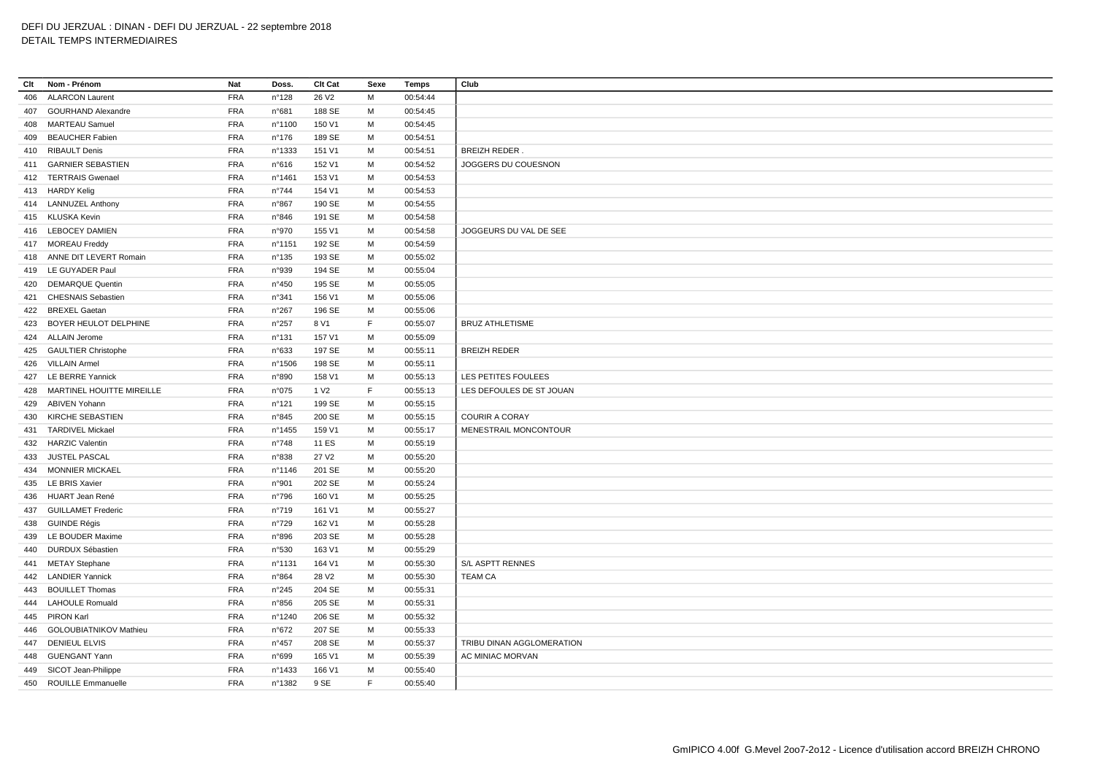# DEFI DU JERZUAL : DINAN - DEFI DU JERZUAL - 22 septembre 2018

# DETAIL TEMPS INTERMEDIAIRES

| Clt | Nom - Prénom               | Nat        | Doss.           | Clt Cat           | Sexe | Temps    | Club                      |
|-----|----------------------------|------------|-----------------|-------------------|------|----------|---------------------------|
| 406 | <b>ALARCON Laurent</b>     | <b>FRA</b> | n°128           | 26 V <sub>2</sub> | M    | 00:54:44 |                           |
| 407 | <b>GOURHAND Alexandre</b>  | <b>FRA</b> | n°681           | 188 SE            | М    | 00:54:45 |                           |
| 408 | <b>MARTEAU Samuel</b>      | <b>FRA</b> | n°1100          | 150 V1            | M    | 00:54:45 |                           |
| 409 | <b>BEAUCHER Fabien</b>     | <b>FRA</b> | $n^{\circ}$ 176 | 189 SE            | М    | 00:54:51 |                           |
|     | 410 RIBAULT Denis          | <b>FRA</b> | n°1333          | 151 V1            | М    | 00:54:51 | <b>BREIZH REDER.</b>      |
| 411 | <b>GARNIER SEBASTIEN</b>   | <b>FRA</b> | n°616           | 152 V1            | M    | 00:54:52 | JOGGERS DU COUESNON       |
|     | 412 TERTRAIS Gwenael       | <b>FRA</b> | n°1461          | 153 V1            | M    | 00:54:53 |                           |
|     | 413 HARDY Kelig            | <b>FRA</b> | $n^{\circ}744$  | 154 V1            | M    | 00:54:53 |                           |
|     | 414 LANNUZEL Anthony       | FRA        | n°867           | 190 SE            | M    | 00:54:55 |                           |
|     | 415 KLUSKA Kevin           | <b>FRA</b> | n°846           | 191 SE            | м    | 00:54:58 |                           |
|     | 416 LEBOCEY DAMIEN         | <b>FRA</b> | n°970           | 155 V1            | M    | 00:54:58 | JOGGEURS DU VAL DE SEE    |
|     | 417 MOREAU Freddy          | <b>FRA</b> | n°1151          | 192 SE            | M    | 00:54:59 |                           |
|     | 418 ANNE DIT LEVERT Romain | <b>FRA</b> | $n^{\circ}$ 135 | 193 SE            | М    | 00:55:02 |                           |
|     | 419 LE GUYADER Paul        | <b>FRA</b> | n°939           | 194 SE            | М    | 00:55:04 |                           |
| 420 | <b>DEMARQUE Quentin</b>    | <b>FRA</b> | n°450           | 195 SE            | M    | 00:55:05 |                           |
|     | 421 CHESNAIS Sebastien     | <b>FRA</b> | n°341           | 156 V1            | M    | 00:55:06 |                           |
| 422 | <b>BREXEL Gaetan</b>       | <b>FRA</b> | $n^{\circ}267$  | 196 SE            | M    | 00:55:06 |                           |
| 423 | BOYER HEULOT DELPHINE      | <b>FRA</b> | n°257           | 8 V1              | F.   | 00:55:07 | <b>BRUZ ATHLETISME</b>    |
|     | 424 ALLAIN Jerome          | <b>FRA</b> | $n^{\circ}$ 131 | 157 V1            | M    | 00:55:09 |                           |
|     | 425 GAULTIER Christophe    | <b>FRA</b> | n°633           | 197 SE            | M    | 00:55:11 | <b>BREIZH REDER</b>       |
|     | 426 VILLAIN Armel          | <b>FRA</b> | n°1506          | 198 SE            | М    | 00:55:11 |                           |
|     | 427 LE BERRE Yannick       | <b>FRA</b> | n°890           | 158 V1            | М    | 00:55:13 | LES PETITES FOULEES       |
| 428 | MARTINEL HOUITTE MIREILLE  | <b>FRA</b> | n°075           | 1 V <sub>2</sub>  | F.   | 00:55:13 | LES DEFOULES DE ST JOUAN  |
|     | 429 ABIVEN Yohann          | <b>FRA</b> | $n^{\circ}$ 121 | 199 SE            | M    | 00:55:15 |                           |
| 430 | KIRCHE SEBASTIEN           | <b>FRA</b> | n°845           | 200 SE            | M    | 00:55:15 | <b>COURIR A CORAY</b>     |
|     | 431 TARDIVEL Mickael       | <b>FRA</b> | n°1455          | 159 V1            | М    | 00:55:17 | MENESTRAIL MONCONTOUR     |
|     | 432 HARZIC Valentin        | <b>FRA</b> | n°748           | 11 ES             | M    | 00:55:19 |                           |
|     | 433 JUSTEL PASCAL          | <b>FRA</b> | n°838           | 27 V <sub>2</sub> | M    | 00:55:20 |                           |
| 434 | <b>MONNIER MICKAEL</b>     | <b>FRA</b> | n°1146          | 201 SE            | М    | 00:55:20 |                           |
|     | 435 LE BRIS Xavier         | <b>FRA</b> | n°901           | 202 SE            | M    | 00:55:24 |                           |
| 436 | HUART Jean René            | <b>FRA</b> | n°796           | 160 V1            | M    | 00:55:25 |                           |
|     | 437 GUILLAMET Frederic     | <b>FRA</b> | n°719           | 161 V1            | M    | 00:55:27 |                           |
|     | 438 GUINDE Régis           | <b>FRA</b> | n°729           | 162 V1            | M    | 00:55:28 |                           |
| 439 | LE BOUDER Maxime           | FRA        | n°896           | 203 SE            | M    | 00:55:28 |                           |
| 440 | <b>DURDUX Sébastien</b>    | <b>FRA</b> | n°530           | 163 V1            | М    | 00:55:29 |                           |
|     | 441 METAY Stephane         | <b>FRA</b> | n°1131          | 164 V1            | M    | 00:55:30 | S/L ASPTT RENNES          |
|     | 442 LANDIER Yannick        | <b>FRA</b> | n°864           | 28 V <sub>2</sub> | M    | 00:55:30 | <b>TEAM CA</b>            |
| 443 | <b>BOUILLET Thomas</b>     | <b>FRA</b> | n°245           | 204 SE            | M    | 00:55:31 |                           |
|     | 444 LAHOULE Romuald        | <b>FRA</b> | n°856           | 205 SE            | M    | 00:55:31 |                           |
|     | 445 PIRON Karl             | <b>FRA</b> | n°1240          | 206 SE            | M    | 00:55:32 |                           |
| 446 | GOLOUBIATNIKOV Mathieu     | <b>FRA</b> | n°672           | 207 SE            | М    | 00:55:33 |                           |
| 447 | <b>DENIEUL ELVIS</b>       | <b>FRA</b> | $n^{\circ}457$  | 208 SE            | M    | 00:55:37 | TRIBU DINAN AGGLOMERATION |
|     | 448 GUENGANT Yann          | <b>FRA</b> | n°699           | 165 V1            | М    | 00:55:39 | AC MINIAC MORVAN          |
|     | 449 SICOT Jean-Philippe    | <b>FRA</b> | n°1433          | 166 V1            | М    | 00:55:40 |                           |
|     | 450 ROUILLE Emmanuelle     | <b>FRA</b> | n°1382          | 9 SE              | F.   | 00:55:40 |                           |
|     |                            |            |                 |                   |      |          |                           |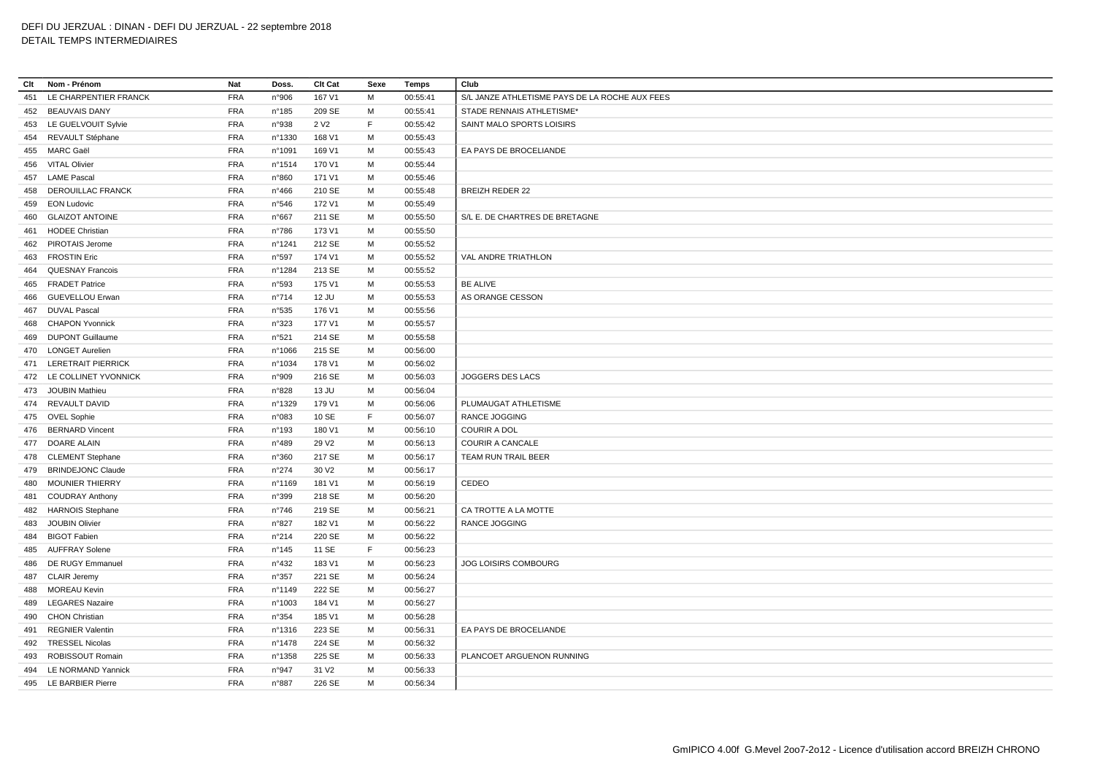# DEFI DU JERZUAL : DINAN - DEFI DU JERZUAL - 22 septembre 2018

# DETAIL TEMPS INTERMEDIAIRES

| Clt | Nom - Prénom             | Nat        | Doss.            | Clt Cat           | Sexe | <b>Temps</b> | Club                                           |
|-----|--------------------------|------------|------------------|-------------------|------|--------------|------------------------------------------------|
| 451 | LE CHARPENTIER FRANCK    | <b>FRA</b> | n°906            | 167 V1            | M    | 00:55:41     | S/L JANZE ATHLETISME PAYS DE LA ROCHE AUX FEES |
| 452 | <b>BEAUVAIS DANY</b>     | <b>FRA</b> | $n^{\circ}$ 185  | 209 SE            | М    | 00:55:41     | STADE RENNAIS ATHLETISME*                      |
|     | 453 LE GUELVOUIT Sylvie  | <b>FRA</b> | n°938            | 2 V <sub>2</sub>  | F    | 00:55:42     | SAINT MALO SPORTS LOISIRS                      |
| 454 | REVAULT Stéphane         | <b>FRA</b> | nº1330           | 168 V1            | М    | 00:55:43     |                                                |
| 455 | MARC Gaël                | <b>FRA</b> | n°1091           | 169 V1            | M    | 00:55:43     | EA PAYS DE BROCELIANDE                         |
| 456 | <b>VITAL Olivier</b>     | <b>FRA</b> | nº1514           | 170 V1            | м    | 00:55:44     |                                                |
|     | 457 LAME Pascal          | <b>FRA</b> | n°860            | 171 V1            | м    | 00:55:46     |                                                |
| 458 | <b>DEROUILLAC FRANCK</b> | <b>FRA</b> | $n^{\circ}466$   | 210 SE            | M    | 00:55:48     | <b>BREIZH REDER 22</b>                         |
| 459 | <b>EON Ludovic</b>       | <b>FRA</b> | n°546            | 172 V1            | М    | 00:55:49     |                                                |
| 460 | <b>GLAIZOT ANTOINE</b>   | <b>FRA</b> | n°667            | 211 SE            | M    | 00:55:50     | S/L E. DE CHARTRES DE BRETAGNE                 |
| 461 | <b>HODEE Christian</b>   | <b>FRA</b> | $n^{\circ}786$   | 173 V1            | M    | 00:55:50     |                                                |
|     | 462 PIROTAIS Jerome      | <b>FRA</b> | nº1241           | 212 SE            | М    | 00:55:52     |                                                |
| 463 | <b>FROSTIN Eric</b>      | <b>FRA</b> | n°597            | 174 V1            | м    | 00:55:52     | <b>VAL ANDRE TRIATHLON</b>                     |
| 464 | <b>QUESNAY Francois</b>  | <b>FRA</b> | n°1284           | 213 SE            | М    | 00:55:52     |                                                |
| 465 | <b>FRADET Patrice</b>    | <b>FRA</b> | n°593            | 175 V1            | м    | 00:55:53     | <b>BE ALIVE</b>                                |
| 466 | <b>GUEVELLOU Erwan</b>   | <b>FRA</b> | n°714            | 12 JU             | M    | 00:55:53     | AS ORANGE CESSON                               |
| 467 | <b>DUVAL Pascal</b>      | <b>FRA</b> | n°535            | 176 V1            | М    | 00:55:56     |                                                |
| 468 | <b>CHAPON Yvonnick</b>   | <b>FRA</b> | n°323            | 177 V1            | м    | 00:55:57     |                                                |
| 469 | <b>DUPONT Guillaume</b>  | <b>FRA</b> | n°521            | 214 SE            | М    | 00:55:58     |                                                |
|     | 470 LONGET Aurelien      | <b>FRA</b> | n°1066           | 215 SE            | м    | 00:56:00     |                                                |
|     | 471 LERETRAIT PIERRICK   | <b>FRA</b> | n°1034           | 178 V1            | M    | 00:56:02     |                                                |
|     | 472 LE COLLINET YVONNICK | <b>FRA</b> | n°909            | 216 SE            | M    | 00:56:03     | JOGGERS DES LACS                               |
|     | 473 JOUBIN Mathieu       | <b>FRA</b> | n°828            | 13 JU             | M    | 00:56:04     |                                                |
|     | 474 REVAULT DAVID        | <b>FRA</b> | n°1329           | 179 V1            | M    | 00:56:06     | PLUMAUGAT ATHLETISME                           |
|     | 475 OVEL Sophie          | <b>FRA</b> | n°083            | 10 SE             | F.   | 00:56:07     | RANCE JOGGING                                  |
|     | 476 BERNARD Vincent      | <b>FRA</b> | n°193            | 180 V1            | M    | 00:56:10     | <b>COURIR A DOL</b>                            |
|     | 477 DOARE ALAIN          | <b>FRA</b> | n°489            | 29 V <sub>2</sub> | м    | 00:56:13     | <b>COURIR A CANCALE</b>                        |
|     | 478 CLEMENT Stephane     | <b>FRA</b> | n°360            | 217 SE            | м    | 00:56:17     | TEAM RUN TRAIL BEER                            |
| 479 | <b>BRINDEJONC Claude</b> | <b>FRA</b> | n°274            | 30 V <sub>2</sub> | M    | 00:56:17     |                                                |
| 480 | <b>MOUNIER THIERRY</b>   | <b>FRA</b> | n°1169           | 181 V1            | М    | 00:56:19     | CEDEO                                          |
| 481 | <b>COUDRAY Anthony</b>   | <b>FRA</b> | n°399            | 218 SE            | M    | 00:56:20     |                                                |
| 482 | <b>HARNOIS Stephane</b>  | <b>FRA</b> | $n^{\circ}746$   | 219 SE            | м    | 00:56:21     | CA TROTTE A LA MOTTE                           |
| 483 | <b>JOUBIN Olivier</b>    | <b>FRA</b> | n°827            | 182 V1            | М    | 00:56:22     | <b>RANCE JOGGING</b>                           |
| 484 | <b>BIGOT Fabien</b>      | <b>FRA</b> | n°214            | 220 SE            | м    | 00:56:22     |                                                |
| 485 | <b>AUFFRAY Solene</b>    | <b>FRA</b> | n°145            | 11 SE             | F.   | 00:56:23     |                                                |
| 486 | DE RUGY Emmanuel         | <b>FRA</b> | n°432            | 183 V1            | M    | 00:56:23     | JOG LOISIRS COMBOURG                           |
| 487 | <b>CLAIR Jeremy</b>      | <b>FRA</b> | n°357            | 221 SE            | M    | 00:56:24     |                                                |
| 488 | <b>MOREAU Kevin</b>      | <b>FRA</b> | n°1149           | 222 SE            | М    | 00:56:27     |                                                |
| 489 | <b>LEGARES Nazaire</b>   | <b>FRA</b> | n°1003           | 184 V1            | M    | 00:56:27     |                                                |
| 490 | <b>CHON Christian</b>    | <b>FRA</b> | n°354            | 185 V1            | M    | 00:56:28     |                                                |
| 491 | <b>REGNIER Valentin</b>  | <b>FRA</b> | $n^{\circ}$ 1316 | 223 SE            | M    | 00:56:31     | EA PAYS DE BROCELIANDE                         |
|     | 492 TRESSEL Nicolas      | <b>FRA</b> | n°1478           | 224 SE            | M    | 00:56:32     |                                                |
| 493 | ROBISSOUT Romain         | <b>FRA</b> | nº1358           | 225 SE            | M    | 00:56:33     | PLANCOET ARGUENON RUNNING                      |
|     | 494 LE NORMAND Yannick   | <b>FRA</b> | n°947            | 31 V <sub>2</sub> | M    | 00:56:33     |                                                |
|     | 495 LE BARBIER Pierre    | <b>FRA</b> | n°887            | 226 SE            | M    | 00:56:34     |                                                |
|     |                          |            |                  |                   |      |              |                                                |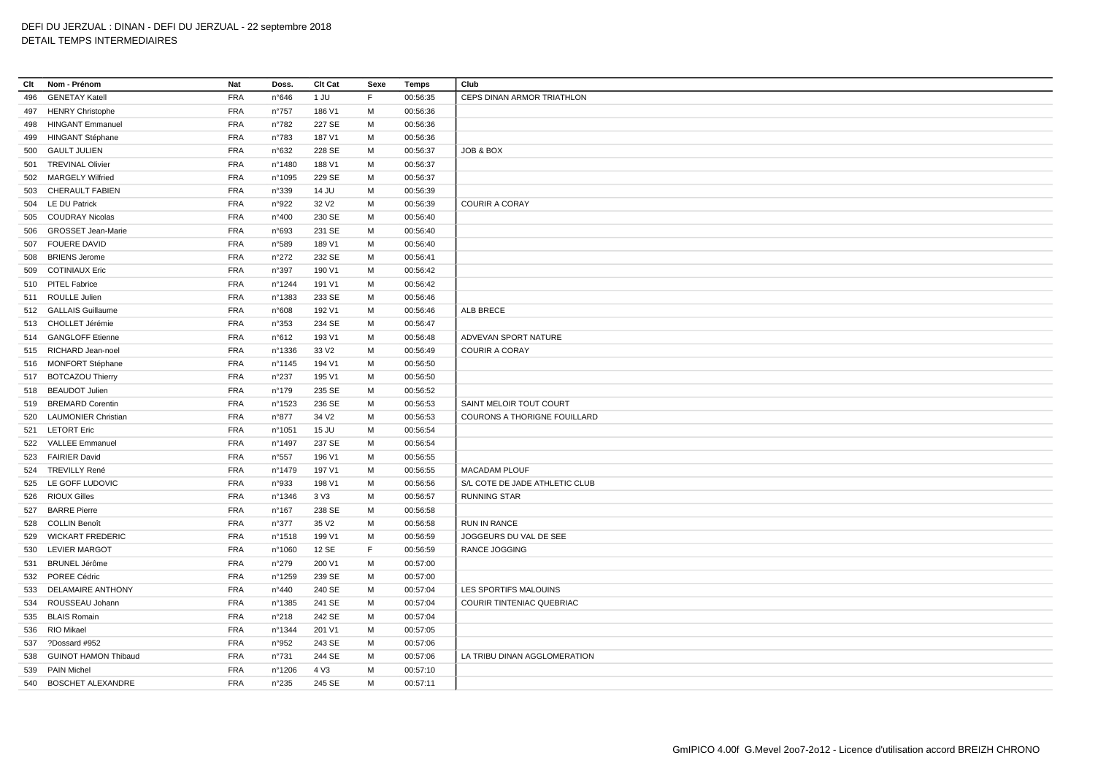| Clt | Nom - Prénom                | Nat        | Doss.           | Clt Cat           | Sexe | Temps    | Club                             |
|-----|-----------------------------|------------|-----------------|-------------------|------|----------|----------------------------------|
| 496 | <b>GENETAY Katell</b>       | <b>FRA</b> | n°646           | 1 JU              | E    | 00:56:35 | CEPS DINAN ARMOR TRIATHLON       |
| 497 | <b>HENRY Christophe</b>     | <b>FRA</b> | n°757           | 186 V1            | M    | 00:56:36 |                                  |
| 498 | <b>HINGANT Emmanuel</b>     | <b>FRA</b> | n°782           | 227 SE            | м    | 00:56:36 |                                  |
| 499 | <b>HINGANT Stéphane</b>     | <b>FRA</b> | n°783           | 187 V1            | M    | 00:56:36 |                                  |
|     | 500 GAULT JULIEN            | <b>FRA</b> | n°632           | 228 SE            | м    | 00:56:37 | JOB & BOX                        |
| 501 | <b>TREVINAL Olivier</b>     | <b>FRA</b> | n°1480          | 188 V1            | M    | 00:56:37 |                                  |
| 502 | <b>MARGELY Wilfried</b>     | <b>FRA</b> | n°1095          | 229 SE            | M    | 00:56:37 |                                  |
| 503 | <b>CHERAULT FABIEN</b>      | <b>FRA</b> | n°339           | 14 JU             | M    | 00:56:39 |                                  |
|     | 504 LE DU Patrick           | <b>FRA</b> | n°922           | 32 V <sub>2</sub> | M    | 00:56:39 | <b>COURIR A CORAY</b>            |
|     | 505 COUDRAY Nicolas         | <b>FRA</b> | n°400           | 230 SE            | M    | 00:56:40 |                                  |
| 506 | <b>GROSSET Jean-Marie</b>   | <b>FRA</b> | n°693           | 231 SE            | M    | 00:56:40 |                                  |
|     | 507 FOUERE DAVID            | <b>FRA</b> | n°589           | 189 V1            | M    | 00:56:40 |                                  |
| 508 | <b>BRIENS Jerome</b>        | <b>FRA</b> | $n^{\circ}272$  | 232 SE            | м    | 00:56:41 |                                  |
| 509 | <b>COTINIAUX Eric</b>       | <b>FRA</b> | n°397           | 190 V1            | M    | 00:56:42 |                                  |
|     | 510 PITEL Fabrice           | <b>FRA</b> | n°1244          | 191 V1            | M    | 00:56:42 |                                  |
|     | 511 ROULLE Julien           | <b>FRA</b> | n°1383          | 233 SE            | M    | 00:56:46 |                                  |
|     | 512 GALLAIS Guillaume       | <b>FRA</b> | n°608           | 192 V1            | M    | 00:56:46 | ALB BRECE                        |
|     |                             |            |                 |                   |      |          |                                  |
|     | 513 CHOLLET Jérémie         | <b>FRA</b> | n°353           | 234 SE            | M    | 00:56:47 |                                  |
|     | 514 GANGLOFF Etienne        | <b>FRA</b> | n°612           | 193 V1            | M    | 00:56:48 | ADVEVAN SPORT NATURE             |
|     | 515 RICHARD Jean-noel       | <b>FRA</b> | n°1336          | 33 V <sub>2</sub> | M    | 00:56:49 | <b>COURIR A CORAY</b>            |
|     | 516 MONFORT Stéphane        | <b>FRA</b> | n°1145          | 194 V1            | M    | 00:56:50 |                                  |
|     | 517 BOTCAZOU Thierry        | <b>FRA</b> | $n^{\circ}237$  | 195 V1            | M    | 00:56:50 |                                  |
|     | 518 BEAUDOT Julien          | <b>FRA</b> | $n^{\circ}$ 179 | 235 SE            | M    | 00:56:52 |                                  |
| 519 | <b>BREMARD Corentin</b>     | <b>FRA</b> | n°1523          | 236 SE            | м    | 00:56:53 | SAINT MELOIR TOUT COURT          |
|     | 520 LAUMONIER Christian     | <b>FRA</b> | n°877           | 34 V <sub>2</sub> | M    | 00:56:53 | COURONS A THORIGNE FOUILLARD     |
|     | 521 LETORT Eric             | <b>FRA</b> | n°1051          | 15 JU             | M    | 00:56:54 |                                  |
|     | 522 VALLEE Emmanuel         | <b>FRA</b> | n°1497          | 237 SE            | M    | 00:56:54 |                                  |
|     | 523 FAIRIER David           | <b>FRA</b> | n°557           | 196 V1            | M    | 00:56:55 |                                  |
|     | 524 TREVILLY René           | <b>FRA</b> | n°1479          | 197 V1            | M    | 00:56:55 | <b>MACADAM PLOUF</b>             |
| 525 | LE GOFF LUDOVIC             | <b>FRA</b> | n°933           | 198 V1            | M    | 00:56:56 | S/L COTE DE JADE ATHLETIC CLUB   |
|     | 526 RIOUX Gilles            | <b>FRA</b> | n°1346          | 3 V3              | M    | 00:56:57 | <b>RUNNING STAR</b>              |
| 527 | <b>BARRE Pierre</b>         | <b>FRA</b> | $n^{\circ}167$  | 238 SE            | M    | 00:56:58 |                                  |
| 528 | <b>COLLIN Benoît</b>        | <b>FRA</b> | n°377           | 35 V <sub>2</sub> | M    | 00:56:58 | <b>RUN IN RANCE</b>              |
|     | 529 WICKART FREDERIC        | <b>FRA</b> | n°1518          | 199 V1            | M    | 00:56:59 | JOGGEURS DU VAL DE SEE           |
|     | 530 LEVIER MARGOT           | <b>FRA</b> | n°1060          | 12 SE             | F    | 00:56:59 | <b>RANCE JOGGING</b>             |
| 531 | <b>BRUNEL Jérôme</b>        | <b>FRA</b> | $n^{\circ}279$  | 200 V1            | M    | 00:57:00 |                                  |
|     | 532 POREE Cédric            | <b>FRA</b> | n°1259          | 239 SE            | M    | 00:57:00 |                                  |
| 533 | <b>DELAMAIRE ANTHONY</b>    | <b>FRA</b> | n°440           | 240 SE            | M    | 00:57:04 | LES SPORTIFS MALOUINS            |
|     | 534 ROUSSEAU Johann         | <b>FRA</b> | n°1385          | 241 SE            | M    | 00:57:04 | <b>COURIR TINTENIAC QUEBRIAC</b> |
|     | 535 BLAIS Romain            | <b>FRA</b> | n°218           | 242 SE            | M    | 00:57:04 |                                  |
| 536 | RIO Mikael                  | <b>FRA</b> | n°1344          | 201 V1            | M    | 00:57:05 |                                  |
| 537 | ?Dossard #952               | <b>FRA</b> | n°952           | 243 SE            | M    | 00:57:06 |                                  |
| 538 | <b>GUINOT HAMON Thibaud</b> | <b>FRA</b> | n°731           | 244 SE            | м    | 00:57:06 | LA TRIBU DINAN AGGLOMERATION     |
|     | 539 PAIN Michel             | <b>FRA</b> | n°1206          | 4 V3              | M    | 00:57:10 |                                  |
|     | 540 BOSCHET ALEXANDRE       | <b>FRA</b> | $n^{\circ}235$  | 245 SE            | M    | 00:57:11 |                                  |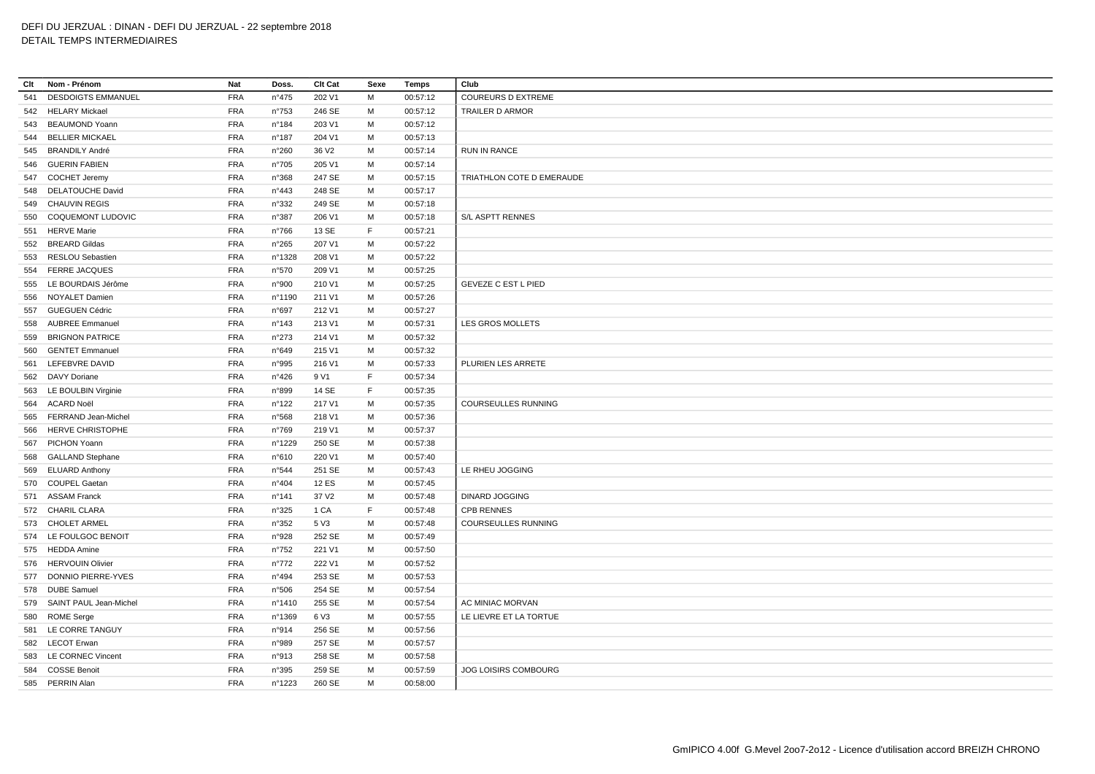**Clt Nom - Prénom Nat Doss. Clt Cat Sexe Temps Club** DESDOIGTS EMMANUEL FRA n°475 202 V1 M 00:57:12 COUREURS D EXTREME HELARY Mickael FRA n°753 246 SE M 00:57:12 TRAILER D ARMOR BEAUMOND Yoann FRA n°184 203 V1 M 00:57:12 BELLIER MICKAEL FRA n°187 204 V1 M 00:57:13 BRANDILY André FRA n°260 36 V2 M 00:57:14 RUN IN RANCE GUERIN FABIEN FRA n°705 205 V1 M 00:57:14 COCHET Jeremy FRA n°368 247 SE M 00:57:15 TRIATHLON COTE D EMERAUDE DELATOUCHE David FRA n°443 248 SE M 00:57:17 CHAUVIN REGIS FRA n°332 249 SE M 00:57:18 COQUEMONT LUDOVIC FRA n°387 206 V1 M 00:57:18 S/L ASPTT RENNES HERVE Marie FRA n°766 13 SE F 00:57:21 BREARD Gildas FRA n°265 207 V1 M 00:57:22 RESLOU Sebastien FRA n°1328 208 V1 M 00:57:22 FERRE JACQUES FRA n°570 209 V1 M 00:57:25 LE BOURDAIS Jérôme FRA n°900 210 V1 M 00:57:25 GEVEZE C EST L PIED NOYALET Damien FRA n°1190 211 V1 M 00:57:26 GUEGUEN Cédric FRA n°697 212 V1 M 00:57:27 AUBREE Emmanuel FRA n°143 213 V1 M 00:57:31 LES GROS MOLLETS BRIGNON PATRICE FRA n°273 214 V1 M 00:57:32 GENTET Emmanuel FRA n°649 215 V1 M 00:57:32 LEFEBVRE DAVID FRA n°995 216 V1 M 00:57:33 PLURIEN LES ARRETE DAVY Doriane FRA n°426 9 V1 F 00:57:34 LE BOULBIN Virginie FRA n°899 14 SE F 00:57:35 ACARD Noël FRA n°122 217 V1 M 00:57:35 COURSEULLES RUNNING FERRAND Jean-Michel FRA n°568 218 V1 M 00:57:36 HERVE CHRISTOPHE FRA n°769 219 V1 M 00:57:37 PICHON Yoann FRA n°1229 250 SE M 00:57:38 GALLAND Stephane FRA n°610 220 V1 M 00:57:40 ELUARD Anthony FRA n°544 251 SE M 00:57:43 LE RHEU JOGGING COUPEL Gaetan FRA n°404 12 ES M 00:57:45 ASSAM Franck FRA n°141 37 V2 M 00:57:48 DINARD JOGGING CHARIL CLARA FRA n°325 1 CA F 00:57:48 CPB RENNES CHOLET ARMEL FRA n°352 5 V3 M 00:57:48 COURSEULLES RUNNING LE FOULGOC BENOIT FRA n°928 252 SE M 00:57:49 HEDDA Amine FRA n°752 221 V1 M 00:57:50 HERVOUIN Olivier FRA n°772 222 V1 M 00:57:52 DONNIO PIERRE-YVES FRA n°494 253 SE M 00:57:53 DUBE Samuel FRA n°506 254 SE M 00:57:54 SAINT PAUL Jean-Michel FRA n°1410 255 SE M 00:57:54 AC MINIAC MORVAN ROME Serge FRA n°1369 6 V3 M 00:57:55 LE LIEVRE ET LA TORTUE LE CORRE TANGUY FRA n°914 256 SE M 00:57:56 LECOT Erwan FRA n°989 257 SE M 00:57:57 LE CORNEC Vincent FRA n°913 258 SE M 00:57:58 COSSE Benoit FRA n°395 259 SE M 00:57:59 JOG LOISIRS COMBOURG PERRIN Alan FRA n°1223 260 SE M 00:58:00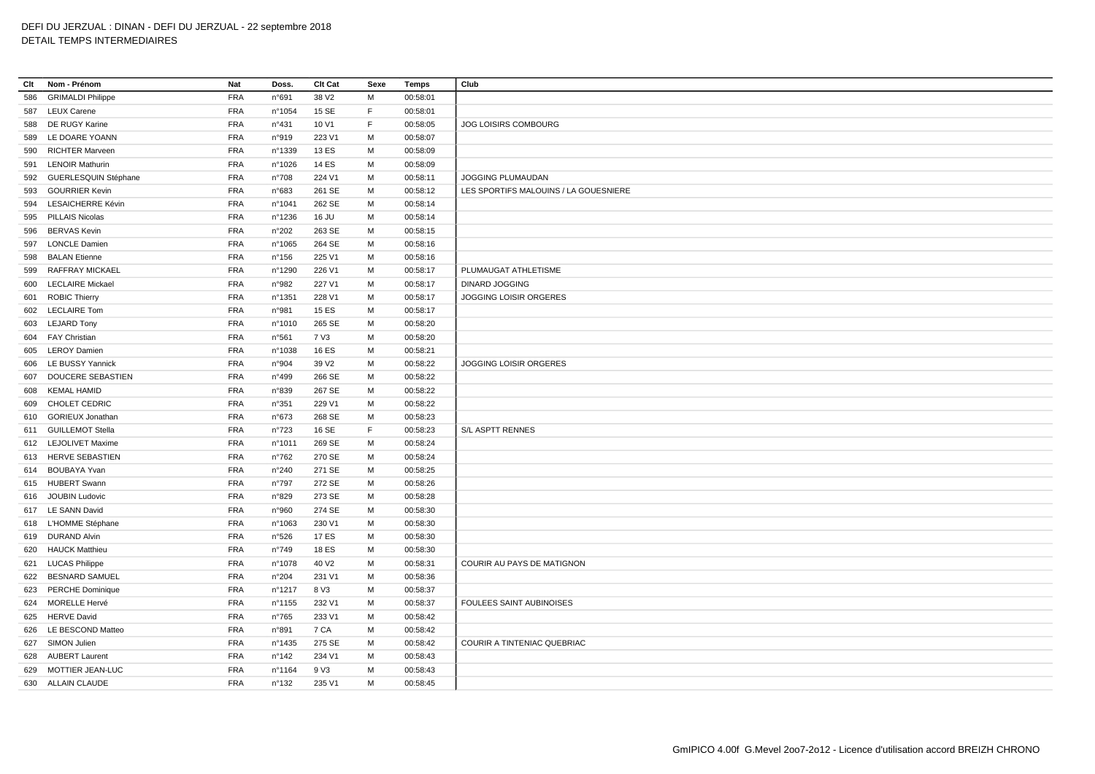| Clt | Nom - Prénom             | Nat        | Doss.           | Clt Cat           | Sexe | Temps    | Club                                  |
|-----|--------------------------|------------|-----------------|-------------------|------|----------|---------------------------------------|
| 586 | <b>GRIMALDI Philippe</b> | <b>FRA</b> | n°691           | 38 V2             | M    | 00:58:01 |                                       |
|     | 587 LEUX Carene          | FRA        | n°1054          | 15 SE             | F.   | 00:58:01 |                                       |
| 588 | DE RUGY Karine           | <b>FRA</b> | n°431           | 10 V1             | F    | 00:58:05 | JOG LOISIRS COMBOURG                  |
|     | 589 LE DOARE YOANN       | <b>FRA</b> | n°919           | 223 V1            | M    | 00:58:07 |                                       |
| 590 | <b>RICHTER Marveen</b>   | <b>FRA</b> | n°1339          | 13 ES             | M    | 00:58:09 |                                       |
| 591 | <b>LENOIR Mathurin</b>   | <b>FRA</b> | n°1026          | 14 ES             | M    | 00:58:09 |                                       |
| 592 | GUERLESQUIN Stéphane     | <b>FRA</b> | $n^{\circ}708$  | 224 V1            | M    | 00:58:11 | JOGGING PLUMAUDAN                     |
| 593 | <b>GOURRIER Kevin</b>    | <b>FRA</b> | n°683           | 261 SE            | M    | 00:58:12 | LES SPORTIFS MALOUINS / LA GOUESNIERE |
| 594 | <b>LESAICHERRE Kévin</b> | <b>FRA</b> | nº1041          | 262 SE            | M    | 00:58:14 |                                       |
|     | 595 PILLAIS Nicolas      | FRA        | n°1236          | 16 JU             | M    | 00:58:14 |                                       |
| 596 | <b>BERVAS Kevin</b>      | <b>FRA</b> | n°202           | 263 SE            | M    | 00:58:15 |                                       |
|     | 597 LONCLE Damien        | <b>FRA</b> | n°1065          | 264 SE            | M    | 00:58:16 |                                       |
| 598 | <b>BALAN Etienne</b>     | <b>FRA</b> | $n^{\circ}$ 156 | 225 V1            | M    | 00:58:16 |                                       |
| 599 | RAFFRAY MICKAEL          | <b>FRA</b> | n°1290          | 226 V1            | M    | 00:58:17 | PLUMAUGAT ATHLETISME                  |
|     | 600 LECLAIRE Mickael     | <b>FRA</b> | n°982           | 227 V1            | M    | 00:58:17 | <b>DINARD JOGGING</b>                 |
|     | 601 ROBIC Thierry        | <b>FRA</b> | n°1351          | 228 V1            | M    | 00:58:17 | JOGGING LOISIR ORGERES                |
|     | 602 LECLAIRE Tom         | <b>FRA</b> | n°981           | 15 ES             | M    | 00:58:17 |                                       |
|     | 603 LEJARD Tony          | <b>FRA</b> | n°1010          | 265 SE            | M    | 00:58:20 |                                       |
|     | 604 FAY Christian        | <b>FRA</b> | n°561           | 7 V3              | M    | 00:58:20 |                                       |
|     | 605 LEROY Damien         | <b>FRA</b> | n°1038          | <b>16 ES</b>      | M    | 00:58:21 |                                       |
| 606 | LE BUSSY Yannick         | <b>FRA</b> | n°904           | 39 V <sub>2</sub> | M    | 00:58:22 | JOGGING LOISIR ORGERES                |
|     | 607 DOUCERE SEBASTIEN    | <b>FRA</b> | n°499           | 266 SE            | M    | 00:58:22 |                                       |
| 608 | <b>KEMAL HAMID</b>       | <b>FRA</b> | n°839           | 267 SE            | M    | 00:58:22 |                                       |
| 609 | <b>CHOLET CEDRIC</b>     | <b>FRA</b> | n°351           | 229 V1            | M    | 00:58:22 |                                       |
| 610 | <b>GORIEUX Jonathan</b>  | <b>FRA</b> | $n^{\circ}673$  | 268 SE            | M    | 00:58:23 |                                       |
|     | 611 GUILLEMOT Stella     | <b>FRA</b> | $n^{\circ}723$  | 16 SE             | F    | 00:58:23 | S/L ASPTT RENNES                      |
|     | 612 LEJOLIVET Maxime     | <b>FRA</b> | n°1011          | 269 SE            | M    | 00:58:24 |                                       |
|     | 613 HERVE SEBASTIEN      | <b>FRA</b> | $n^{\circ}762$  | 270 SE            | M    | 00:58:24 |                                       |
|     | 614 BOUBAYA Yvan         | <b>FRA</b> | n°240           | 271 SE            | M    | 00:58:25 |                                       |
|     | 615 HUBERT Swann         | <b>FRA</b> | n°797           | 272 SE            | M    | 00:58:26 |                                       |
|     | 616 JOUBIN Ludovic       | <b>FRA</b> | n°829           | 273 SE            | M    | 00:58:28 |                                       |
|     | 617 LE SANN David        | <b>FRA</b> | n°960           | 274 SE            | M    | 00:58:30 |                                       |
|     | 618 L'HOMME Stéphane     | FRA        | n°1063          | 230 V1            | M    | 00:58:30 |                                       |
|     | 619 DURAND Alvin         | <b>FRA</b> | n°526           | 17 ES             | м    | 00:58:30 |                                       |
|     | 620 HAUCK Matthieu       | <b>FRA</b> | $n^{\circ}749$  | <b>18 ES</b>      | M    | 00:58:30 |                                       |
|     | 621 LUCAS Philippe       | <b>FRA</b> | n°1078          | 40 V <sub>2</sub> | M    | 00:58:31 | COURIR AU PAYS DE MATIGNON            |
|     | 622 BESNARD SAMUEL       | <b>FRA</b> | n°204           | 231 V1            | M    | 00:58:36 |                                       |
|     | 623 PERCHE Dominique     | <b>FRA</b> | nº1217          | 8 V3              | M    | 00:58:37 |                                       |
|     | 624 MORELLE Hervé        | <b>FRA</b> | n°1155          | 232 V1            | M    | 00:58:37 | FOULEES SAINT AUBINOISES              |
|     | 625 HERVE David          | <b>FRA</b> | $n^{\circ}765$  | 233 V1            | M    | 00:58:42 |                                       |
| 626 | LE BESCOND Matteo        | <b>FRA</b> | n°891           | 7 CA              | M    | 00:58:42 |                                       |
|     | 627 SIMON Julien         | <b>FRA</b> | n°1435          | 275 SE            | M    | 00:58:42 | COURIR A TINTENIAC QUEBRIAC           |
| 628 | <b>AUBERT Laurent</b>    | <b>FRA</b> | n°142           | 234 V1            | м    | 00:58:43 |                                       |
|     | 629 MOTTIER JEAN-LUC     | <b>FRA</b> | nº1164          | 9 V3              | M    | 00:58:43 |                                       |
|     | 630 ALLAIN CLAUDE        | <b>FRA</b> | $n^{\circ}$ 132 | 235 V1            | M    | 00:58:45 |                                       |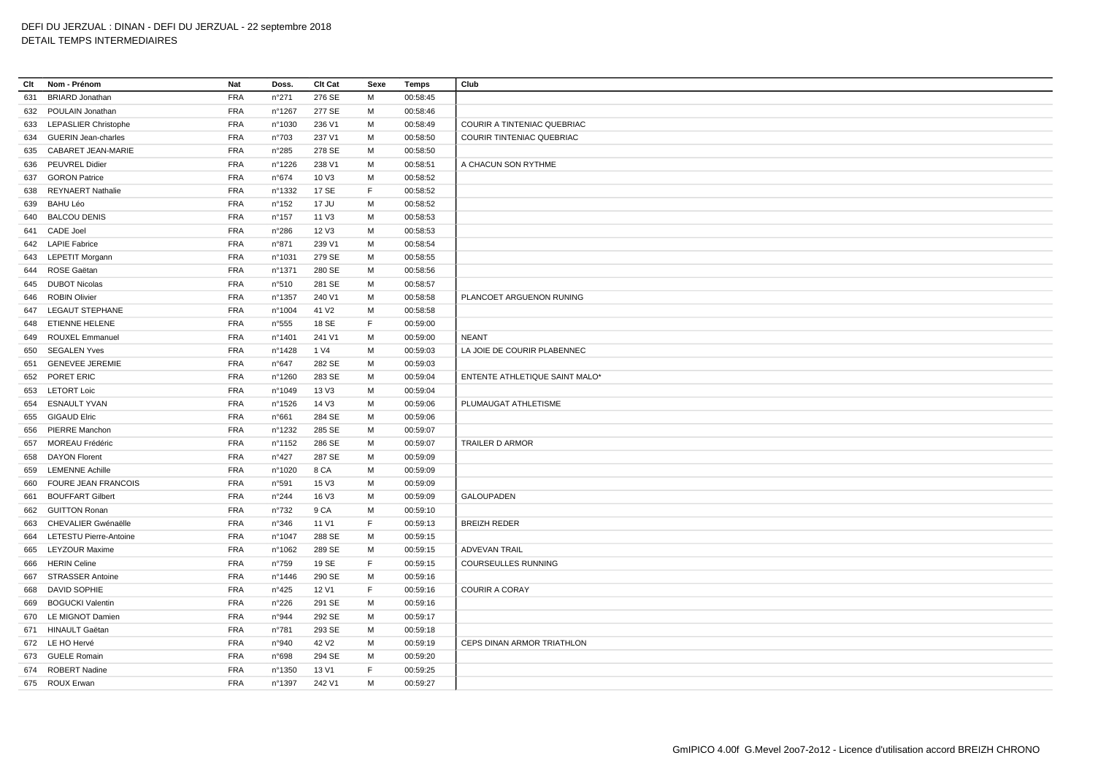| Clt | Nom - Prénom               | Nat        | Doss.           | <b>Clt Cat</b>    | Sexe | Temps    | Club                           |
|-----|----------------------------|------------|-----------------|-------------------|------|----------|--------------------------------|
| 631 | <b>BRIARD Jonathan</b>     | <b>FRA</b> | n°271           | 276 SE            | М    | 00:58:45 |                                |
|     | 632 POULAIN Jonathan       | <b>FRA</b> | nº1267          | 277 SE            | М    | 00:58:46 |                                |
|     | 633 LEPASLIER Christophe   | <b>FRA</b> | n°1030          | 236 V1            | M    | 00:58:49 | COURIR A TINTENIAC QUEBRIAC    |
|     | 634 GUERIN Jean-charles    | <b>FRA</b> | $n^{\circ}703$  | 237 V1            | M    | 00:58:50 | COURIR TINTENIAC QUEBRIAC      |
| 635 | CABARET JEAN-MARIE         | <b>FRA</b> | $n^{\circ}285$  | 278 SE            | м    | 00:58:50 |                                |
|     | 636 PEUVREL Didier         | <b>FRA</b> | n°1226          | 238 V1            | М    | 00:58:51 | A CHACUN SON RYTHME            |
|     | 637 GORON Patrice          | <b>FRA</b> | n°674           | 10 V3             | M    | 00:58:52 |                                |
| 638 | <b>REYNAERT Nathalie</b>   | <b>FRA</b> | n°1332          | 17 SE             | F    | 00:58:52 |                                |
| 639 | <b>BAHU Léo</b>            | <b>FRA</b> | $n^{\circ}$ 152 | 17 JU             | м    | 00:58:52 |                                |
|     | 640 BALCOU DENIS           | <b>FRA</b> | $n^{\circ}$ 157 | 11 V3             | M    | 00:58:53 |                                |
| 641 | CADE Joel                  | <b>FRA</b> | n°286           | 12 V3             | M    | 00:58:53 |                                |
|     | 642 LAPIE Fabrice          | <b>FRA</b> | n°871           | 239 V1            | м    | 00:58:54 |                                |
|     | 643 LEPETIT Morgann        | <b>FRA</b> | n°1031          | 279 SE            | М    | 00:58:55 |                                |
|     | 644 ROSE Gaëtan            | <b>FRA</b> | n°1371          | 280 SE            | М    | 00:58:56 |                                |
|     | 645 DUBOT Nicolas          | <b>FRA</b> | n°510           | 281 SE            | м    | 00:58:57 |                                |
|     | 646 ROBIN Olivier          | <b>FRA</b> | n°1357          | 240 V1            | м    | 00:58:58 | PLANCOET ARGUENON RUNING       |
|     | 647 LEGAUT STEPHANE        | <b>FRA</b> | n°1004          | 41 V <sub>2</sub> | M    | 00:58:58 |                                |
|     | 648 ETIENNE HELENE         | <b>FRA</b> | n°555           | 18 SE             | F    | 00:59:00 |                                |
|     | 649 ROUXEL Emmanuel        | <b>FRA</b> | n°1401          | 241 V1            | м    | 00:59:00 | <b>NEANT</b>                   |
|     | 650 SEGALEN Yves           | <b>FRA</b> | n°1428          | 1 V4              | M    | 00:59:03 | LA JOIE DE COURIR PLABENNEC    |
| 651 | <b>GENEVEE JEREMIE</b>     | <b>FRA</b> | n°647           | 282 SE            | м    | 00:59:03 |                                |
|     | 652 PORET ERIC             | <b>FRA</b> | n°1260          | 283 SE            | М    | 00:59:04 | ENTENTE ATHLETIQUE SAINT MALO* |
|     | 653 LETORT Loic            | <b>FRA</b> | n°1049          | 13 V3             | м    | 00:59:04 |                                |
|     | 654 ESNAULT YVAN           | <b>FRA</b> | n°1526          | 14 V3             | м    | 00:59:06 | PLUMAUGAT ATHLETISME           |
|     | 655 GIGAUD Elric           | <b>FRA</b> | n°661           | 284 SE            | M    | 00:59:06 |                                |
|     | 656 PIERRE Manchon         | <b>FRA</b> | n°1232          | 285 SE            | М    | 00:59:07 |                                |
| 657 | MOREAU Frédéric            | <b>FRA</b> | n°1152          | 286 SE            | м    | 00:59:07 | TRAILER D ARMOR                |
|     | 658 DAYON Florent          | <b>FRA</b> | $n^{\circ}427$  | 287 SE            | M    | 00:59:09 |                                |
|     | 659 LEMENNE Achille        | <b>FRA</b> | n°1020          | 8 CA              | M    | 00:59:09 |                                |
| 660 | <b>FOURE JEAN FRANCOIS</b> | <b>FRA</b> | n°591           | 15 V3             | м    | 00:59:09 |                                |
| 661 | <b>BOUFFART Gilbert</b>    | <b>FRA</b> | $n^{\circ}244$  | 16 V3             | м    | 00:59:09 | <b>GALOUPADEN</b>              |
|     | 662 GUITTON Ronan          | <b>FRA</b> | $n^{\circ}732$  | 9 CA              | м    | 00:59:10 |                                |
| 663 | CHEVALIER Gwénaëlle        | <b>FRA</b> | n°346           | 11 V1             | F    | 00:59:13 | <b>BREIZH REDER</b>            |
|     | 664 LETESTU Pierre-Antoine | <b>FRA</b> | n°1047          | 288 SE            | M    | 00:59:15 |                                |
|     | 665 LEYZOUR Maxime         | <b>FRA</b> | n°1062          | 289 SE            | M    | 00:59:15 | <b>ADVEVAN TRAIL</b>           |
| 666 | <b>HERIN Celine</b>        | <b>FRA</b> | n°759           | 19 SE             | F    | 00:59:15 | COURSEULLES RUNNING            |
|     | 667 STRASSER Antoine       | <b>FRA</b> | n°1446          | 290 SE            | M    | 00:59:16 |                                |
| 668 | <b>DAVID SOPHIE</b>        | <b>FRA</b> | n°425           | 12 V1             | F    | 00:59:16 | <b>COURIR A CORAY</b>          |
|     | 669 BOGUCKI Valentin       | <b>FRA</b> | n°226           | 291 SE            | M    | 00:59:16 |                                |
|     | 670 LE MIGNOT Damien       | <b>FRA</b> | n°944           | 292 SE            | м    | 00:59:17 |                                |
|     | 671 HINAULT Gaëtan         | <b>FRA</b> | n°781           | 293 SE            | M    | 00:59:18 |                                |
|     | 672 LE HO Hervé            | <b>FRA</b> | n°940           | 42 V <sub>2</sub> | M    | 00:59:19 | CEPS DINAN ARMOR TRIATHLON     |
|     | 673 GUELE Romain           | <b>FRA</b> | n°698           | 294 SE            | м    | 00:59:20 |                                |
|     | 674 ROBERT Nadine          | <b>FRA</b> | n°1350          | 13 V1             | F    | 00:59:25 |                                |
|     | 675 ROUX Erwan             | <b>FRA</b> | n°1397          | 242 V1            | M    | 00:59:27 |                                |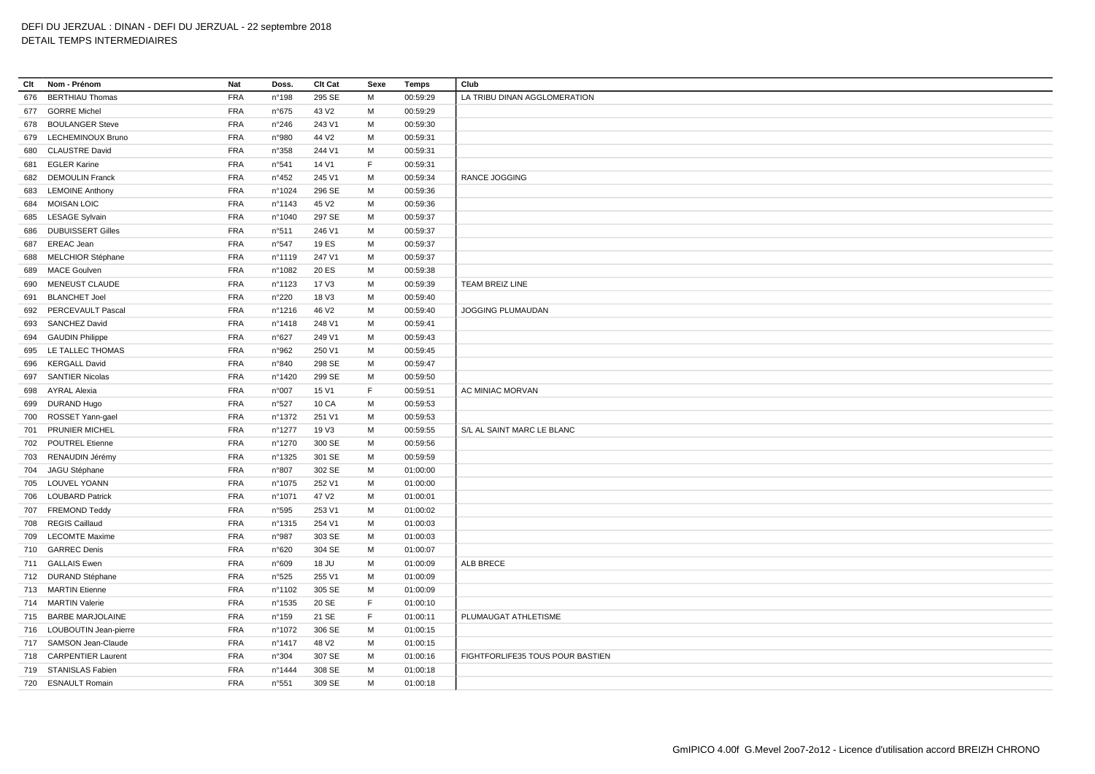| Clt | Nom - Prénom                                      | Nat        | Doss.           | Clt Cat                     | Sexe | Temps                | Club                             |
|-----|---------------------------------------------------|------------|-----------------|-----------------------------|------|----------------------|----------------------------------|
| 676 | <b>BERTHIAU Thomas</b>                            | <b>FRA</b> | n°198           | 295 SE                      | M    | 00:59:29             | LA TRIBU DINAN AGGLOMERATION     |
| 677 | <b>GORRE Michel</b>                               | <b>FRA</b> | n°675           | 43 V <sub>2</sub>           | M    | 00:59:29             |                                  |
| 678 | <b>BOULANGER Steve</b>                            | <b>FRA</b> | n°246           | 243 V1                      | м    | 00:59:30             |                                  |
| 679 | LECHEMINOUX Bruno                                 | <b>FRA</b> | n°980           | 44 V <sub>2</sub>           | M    | 00:59:31             |                                  |
| 680 | <b>CLAUSTRE David</b>                             | <b>FRA</b> | n°358           | 244 V1                      | M    | 00:59:31             |                                  |
| 681 | <b>EGLER Karine</b>                               | <b>FRA</b> | n°541           | 14 V1                       | F    | 00:59:31             |                                  |
| 682 | <b>DEMOULIN Franck</b>                            | <b>FRA</b> | $n^{\circ}452$  | 245 V1                      | M    | 00:59:34             | <b>RANCE JOGGING</b>             |
| 683 | <b>LEMOINE Anthony</b>                            | <b>FRA</b> | n°1024          | 296 SE                      | M    | 00:59:36             |                                  |
|     | <b>MOISAN LOIC</b>                                | <b>FRA</b> | nº1143          |                             | M    |                      |                                  |
| 684 |                                                   | <b>FRA</b> |                 | 45 V <sub>2</sub><br>297 SE | M    | 00:59:36             |                                  |
| 685 | <b>LESAGE Sylvain</b><br><b>DUBUISSERT Gilles</b> | <b>FRA</b> | n°1040<br>n°511 | 246 V1                      |      | 00:59:37<br>00:59:37 |                                  |
| 686 |                                                   |            |                 |                             | м    |                      |                                  |
| 687 | <b>EREAC Jean</b>                                 | <b>FRA</b> | n°547           | 19 ES                       | M    | 00:59:37             |                                  |
| 688 | <b>MELCHIOR Stéphane</b>                          | <b>FRA</b> | n°1119          | 247 V1                      | M    | 00:59:37             |                                  |
| 689 | <b>MACE Goulven</b>                               | <b>FRA</b> | n°1082          | 20 ES                       | M    | 00:59:38             |                                  |
| 690 | <b>MENEUST CLAUDE</b>                             | <b>FRA</b> | n°1123          | 17 V3                       | M    | 00:59:39             | TEAM BREIZ LINE                  |
| 691 | <b>BLANCHET Joel</b>                              | <b>FRA</b> | n°220           | 18 V3                       | M    | 00:59:40             |                                  |
| 692 | PERCEVAULT Pascal                                 | <b>FRA</b> | n°1216          | 46 V <sub>2</sub>           | M    | 00:59:40             | JOGGING PLUMAUDAN                |
|     | 693 SANCHEZ David                                 | <b>FRA</b> | n°1418          | 248 V1                      | M    | 00:59:41             |                                  |
| 694 | <b>GAUDIN Philippe</b>                            | <b>FRA</b> | n°627           | 249 V1                      | м    | 00:59:43             |                                  |
| 695 | LE TALLEC THOMAS                                  | <b>FRA</b> | n°962           | 250 V1                      | M    | 00:59:45             |                                  |
| 696 | <b>KERGALL David</b>                              | <b>FRA</b> | n°840           | 298 SE                      | M    | 00:59:47             |                                  |
| 697 | <b>SANTIER Nicolas</b>                            | <b>FRA</b> | n°1420          | 299 SE                      | M    | 00:59:50             |                                  |
| 698 | <b>AYRAL Alexia</b>                               | <b>FRA</b> | n°007           | 15 V1                       | F.   | 00:59:51             | AC MINIAC MORVAN                 |
|     | 699 DURAND Hugo                                   | <b>FRA</b> | n°527           | 10 CA                       | M    | 00:59:53             |                                  |
| 700 | ROSSET Yann-gael                                  | <b>FRA</b> | n°1372          | 251 V1                      | M    | 00:59:53             |                                  |
|     | 701 PRUNIER MICHEL                                | <b>FRA</b> | n°1277          | 19 V3                       | M    | 00:59:55             | S/L AL SAINT MARC LE BLANC       |
| 702 | <b>POUTREL Etienne</b>                            | <b>FRA</b> | n°1270          | 300 SE                      | M    | 00:59:56             |                                  |
| 703 | RENAUDIN Jérémy                                   | <b>FRA</b> | n°1325          | 301 SE                      | M    | 00:59:59             |                                  |
|     | 704 JAGU Stéphane                                 | <b>FRA</b> | n°807           | 302 SE                      | M    | 01:00:00             |                                  |
| 705 | LOUVEL YOANN                                      | <b>FRA</b> | n°1075          | 252 V1                      | M    | 01:00:00             |                                  |
| 706 | <b>LOUBARD Patrick</b>                            | <b>FRA</b> | n°1071          | 47 V <sub>2</sub>           | M    | 01:00:01             |                                  |
|     | 707 FREMOND Teddy                                 | <b>FRA</b> | n°595           | 253 V1                      | м    | 01:00:02             |                                  |
| 708 | <b>REGIS Caillaud</b>                             | <b>FRA</b> | n°1315          | 254 V1                      | M    | 01:00:03             |                                  |
|     | 709 LECOMTE Maxime                                | <b>FRA</b> | n°987           | 303 SE                      | M    | 01:00:03             |                                  |
|     | 710 GARREC Denis                                  | <b>FRA</b> | n°620           | 304 SE                      | M    | 01:00:07             |                                  |
|     | 711 GALLAIS Ewen                                  | <b>FRA</b> | n°609           | 18 JU                       | M    | 01:00:09             | ALB BRECE                        |
|     | 712 DURAND Stéphane                               | <b>FRA</b> | n°525           | 255 V1                      | M    | 01:00:09             |                                  |
|     | 713 MARTIN Etienne                                | <b>FRA</b> | n°1102          | 305 SE                      | M    | 01:00:09             |                                  |
|     | 714 MARTIN Valerie                                | <b>FRA</b> | n°1535          | 20 SE                       | F    | 01:00:10             |                                  |
|     | 715 BARBE MARJOLAINE                              | <b>FRA</b> | $n^{\circ}$ 159 | 21 SE                       | F    | 01:00:11             | PLUMAUGAT ATHLETISME             |
|     | 716 LOUBOUTIN Jean-pierre                         | <b>FRA</b> | n°1072          | 306 SE                      | м    | 01:00:15             |                                  |
|     | 717 SAMSON Jean-Claude                            | <b>FRA</b> | n°1417          | 48 V <sub>2</sub>           | M    | 01:00:15             |                                  |
|     | 718 CARPENTIER Laurent                            | <b>FRA</b> | n°304           | 307 SE                      | M    | 01:00:16             | FIGHTFORLIFE35 TOUS POUR BASTIEN |
|     | 719 STANISLAS Fabien                              | <b>FRA</b> | n°1444          | 308 SE                      | M    | 01:00:18             |                                  |
|     | 720 ESNAULT Romain                                | <b>FRA</b> | n°551           | 309 SE                      | M    | 01:00:18             |                                  |
|     |                                                   |            |                 |                             |      |                      |                                  |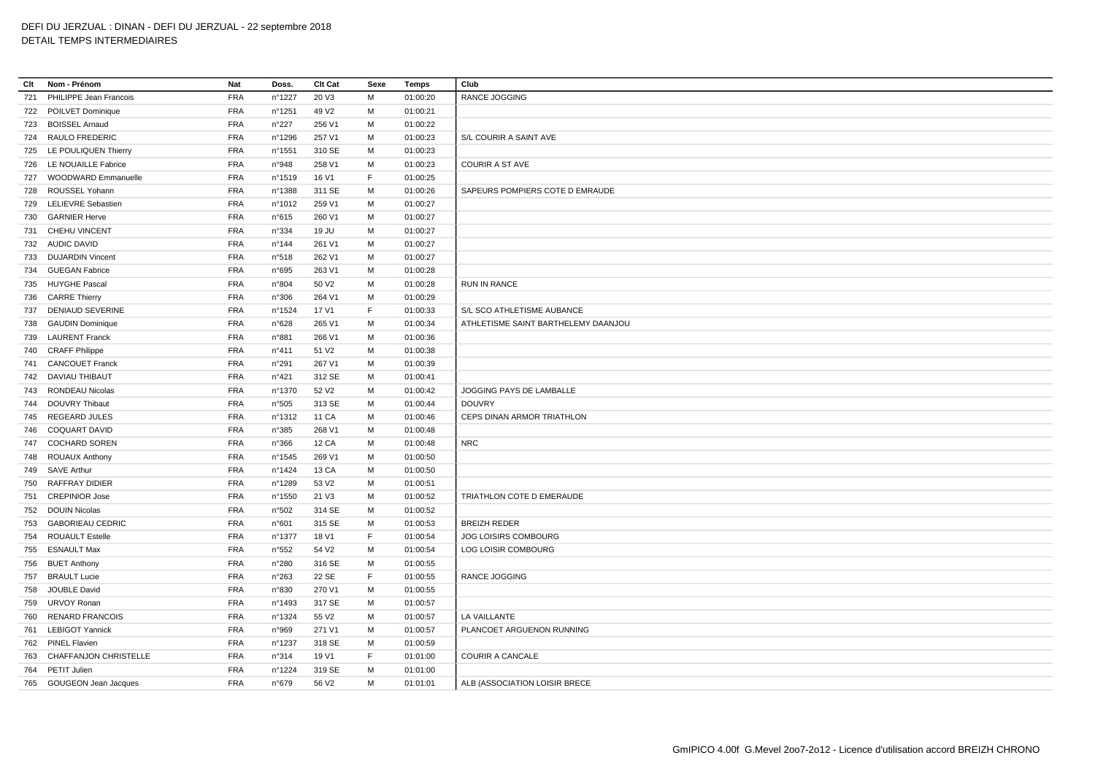# DEFI DU JERZUAL : DINAN - DEFI DU JERZUAL - 22 septembre 2018

# DETAIL TEMPS INTERMEDIAIRES

| Clt | Nom - Prénom                 | Nat        | Doss.            | <b>Clt Cat</b>    | Sexe | Temps    | Club                                |
|-----|------------------------------|------------|------------------|-------------------|------|----------|-------------------------------------|
| 721 | PHILIPPE Jean Francois       | <b>FRA</b> | n°1227           | 20 V3             | M    | 01:00:20 | <b>RANCE JOGGING</b>                |
|     | 722 POILVET Dominique        | <b>FRA</b> | n°1251           | 49 V <sub>2</sub> | м    | 01:00:21 |                                     |
| 723 | <b>BOISSEL Arnaud</b>        | <b>FRA</b> | n°227            | 256 V1            | M    | 01:00:22 |                                     |
|     | 724 RAULO FREDERIC           | <b>FRA</b> | n°1296           | 257 V1            | M    | 01:00:23 | S/L COURIR A SAINT AVE              |
|     | 725 LE POULIQUEN Thierry     | <b>FRA</b> | n°1551           | 310 SE            | M    | 01:00:23 |                                     |
|     | 726 LE NOUAILLE Fabrice      | <b>FRA</b> | n°948            | 258 V1            | M    | 01:00:23 | COURIR A ST AVE                     |
|     | 727 WOODWARD Emmanuelle      | <b>FRA</b> | n°1519           | 16 V1             | F    | 01:00:25 |                                     |
| 728 | ROUSSEL Yohann               | <b>FRA</b> | n°1388           | 311 SE            | M    | 01:00:26 | SAPEURS POMPIERS COTE D EMRAUDE     |
| 729 | <b>LELIEVRE Sebastien</b>    | <b>FRA</b> | n°1012           | 259 V1            | м    | 01:00:27 |                                     |
| 730 | <b>GARNIER Herve</b>         | <b>FRA</b> | n°615            | 260 V1            | M    | 01:00:27 |                                     |
| 731 | <b>CHEHU VINCENT</b>         | <b>FRA</b> | n°334            | 19 JU             | М    | 01:00:27 |                                     |
|     | 732 AUDIC DAVID              | <b>FRA</b> | n°144            | 261 V1            | M    | 01:00:27 |                                     |
|     | 733 DUJARDIN Vincent         | <b>FRA</b> | n°518            | 262 V1            | M    | 01:00:27 |                                     |
|     | 734 GUEGAN Fabrice           | <b>FRA</b> | n°695            | 263 V1            | M    | 01:00:28 |                                     |
|     | 735 HUYGHE Pascal            | <b>FRA</b> | n°804            | 50 V <sub>2</sub> | M    | 01:00:28 | <b>RUN IN RANCE</b>                 |
|     | 736 CARRE Thierry            | <b>FRA</b> | n°306            | 264 V1            | M    | 01:00:29 |                                     |
| 737 | DENIAUD SEVERINE             | <b>FRA</b> | n°1524           | 17 V1             | F.   | 01:00:33 | S/L SCO ATHLETISME AUBANCE          |
|     | 738 GAUDIN Dominique         | <b>FRA</b> | n°628            | 265 V1            | M    | 01:00:34 | ATHLETISME SAINT BARTHELEMY DAANJOU |
| 739 | <b>LAURENT Franck</b>        | <b>FRA</b> | n°881            | 266 V1            | М    | 01:00:36 |                                     |
|     | 740 CRAFF Philippe           | <b>FRA</b> | $n^{\circ}411$   | 51 V <sub>2</sub> | М    | 01:00:38 |                                     |
| 741 | <b>CANCOUET Franck</b>       | <b>FRA</b> | n°291            | 267 V1            | M    | 01:00:39 |                                     |
|     | 742 DAVIAU THIBAUT           | <b>FRA</b> | $n^{\circ}421$   | 312 SE            | М    | 01:00:41 |                                     |
| 743 | RONDEAU Nicolas              | <b>FRA</b> | nº1370           | 52 V <sub>2</sub> | M    | 01:00:42 | JOGGING PAYS DE LAMBALLE            |
|     | 744 DOUVRY Thibaut           | <b>FRA</b> | n°505            | 313 SE            | M    | 01:00:44 | <b>DOUVRY</b>                       |
| 745 | <b>REGEARD JULES</b>         | <b>FRA</b> | n°1312           | 11 CA             | М    | 01:00:46 | CEPS DINAN ARMOR TRIATHLON          |
|     | 746 COQUART DAVID            | <b>FRA</b> | n°385            | 268 V1            | M    | 01:00:48 |                                     |
| 747 | <b>COCHARD SOREN</b>         | <b>FRA</b> | n°366            | <b>12 CA</b>      | M    | 01:00:48 | <b>NRC</b>                          |
|     | 748 ROUAUX Anthony           | <b>FRA</b> | $n^{\circ}$ 1545 | 269 V1            | M    | 01:00:50 |                                     |
| 749 | <b>SAVE Arthur</b>           | <b>FRA</b> | nº1424           | 13 CA             | М    | 01:00:50 |                                     |
| 750 | <b>RAFFRAY DIDIER</b>        | <b>FRA</b> | n°1289           | 53 V <sub>2</sub> | M    | 01:00:51 |                                     |
| 751 | <b>CREPINIOR Jose</b>        | <b>FRA</b> | n°1550           | 21 V3             | M    | 01:00:52 | TRIATHLON COTE D EMERAUDE           |
|     | 752 DOUIN Nicolas            | <b>FRA</b> | n°502            | 314 SE            | M    | 01:00:52 |                                     |
|     | 753 GABORIEAU CEDRIC         | <b>FRA</b> | n°601            | 315 SE            | M    | 01:00:53 | <b>BREIZH REDER</b>                 |
|     | 754 ROUAULT Estelle          | <b>FRA</b> | n°1377           | 18 V1             | F    | 01:00:54 | <b>JOG LOISIRS COMBOURG</b>         |
| 755 | <b>ESNAULT Max</b>           | <b>FRA</b> | n°552            | 54 V2             | M    | 01:00:54 | LOG LOISIR COMBOURG                 |
|     | 756 BUET Anthony             | <b>FRA</b> | n°280            | 316 SE            | M    | 01:00:55 |                                     |
|     | 757 BRAULT Lucie             | <b>FRA</b> | n°263            | 22 SE             | F.   | 01:00:55 | RANCE JOGGING                       |
| 758 | <b>JOUBLE David</b>          | <b>FRA</b> | n°830            | 270 V1            | M    | 01:00:55 |                                     |
| 759 | URVOY Ronan                  | <b>FRA</b> | n°1493           | 317 SE            | M    | 01:00:57 |                                     |
| 760 | <b>RENARD FRANCOIS</b>       | <b>FRA</b> | n°1324           | 55 V <sub>2</sub> | M    | 01:00:57 | LA VAILLANTE                        |
| 761 | <b>LEBIGOT Yannick</b>       | <b>FRA</b> | n°969            | 271 V1            | M    | 01:00:57 | PLANCOET ARGUENON RUNNING           |
|     | 762 PINEL Flavien            | <b>FRA</b> | n°1237           | 318 SE            | M    | 01:00:59 |                                     |
| 763 | <b>CHAFFANJON CHRISTELLE</b> | <b>FRA</b> | n°314            | 19 V1             | F    | 01:01:00 | <b>COURIR A CANCALE</b>             |
|     | 764 PETIT Julien             | <b>FRA</b> | n°1224           | 319 SE            | M    | 01:01:00 |                                     |
|     | 765 GOUGEON Jean Jacques     | <b>FRA</b> | n°679            | 56 V <sub>2</sub> | M    | 01:01:01 | ALB (ASSOCIATION LOISIR BRECE       |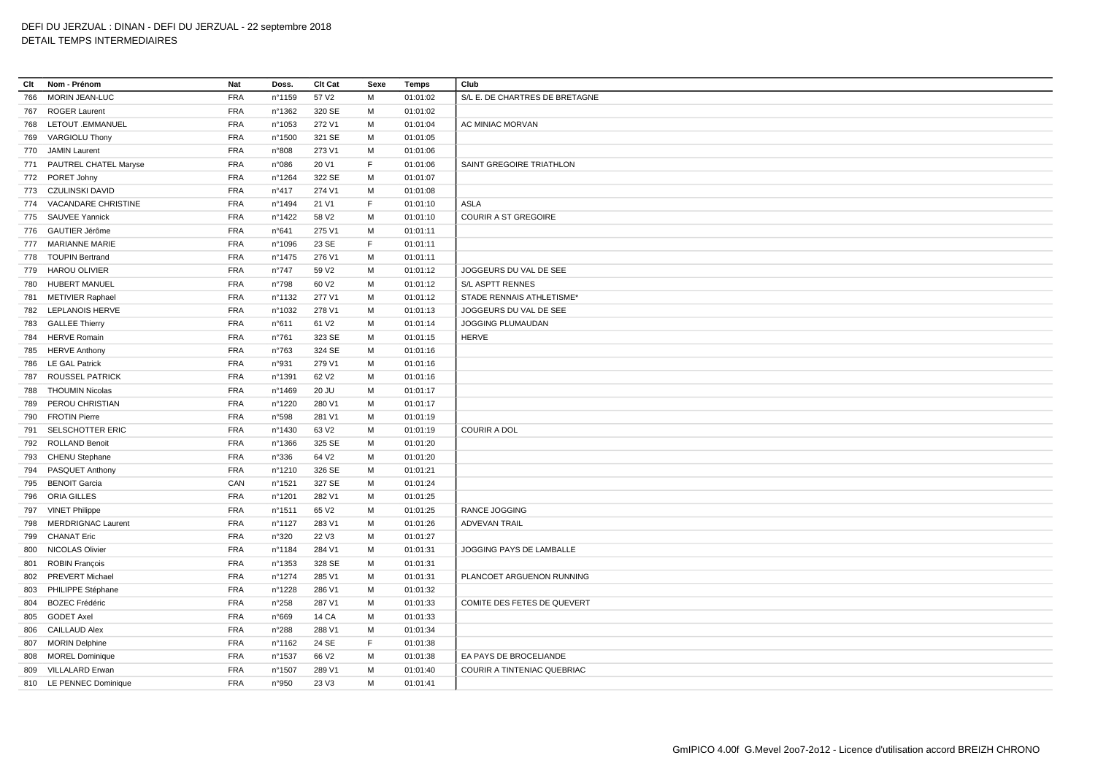**Clt Nom - Prénom Nat Doss. Clt Cat Sexe Temps Club** MORIN JEAN-LUC FRA n°1159 57 V2 M 01:01:02 S/L E. DE CHARTRES DE BRETAGNE ROGER Laurent FRA n°1362 320 SE M 01:01:02 LETOUT .EMMANUEL FRA n°1053 272 V1 M 01:01:04 AC MINIAC MORVAN VARGIOLU Thony FRA n°1500 321 SE M 01:01:05 JAMIN Laurent FRA n°808 273 V1 M 01:01:06 PAUTREL CHATEL Maryse FRA n°086 20 V1 F 01:01:06 SAINT GREGOIRE TRIATHLON PORET Johny FRA n°1264 322 SE M 01:01:07 CZULINSKI DAVID FRA n°417 274 V1 M 01:01:08 VACANDARE CHRISTINE FRA n°1494 21 V1 F 01:01:10 ASLA SAUVEE Yannick FRA n°1422 58 V2 M 01:01:10 COURIR A ST GREGOIRE GAUTIER Jérôme FRA n°641 275 V1 M 01:01:11 MARIANNE MARIE FRA n°1096 23 SE F 01:01:11 TOUPIN Bertrand FRA n°1475 276 V1 M 01:01:11 HAROU OLIVIER FRA n°747 59 V2 M 01:01:12 JOGGEURS DU VAL DE SEE HUBERT MANUEL FRA n°798 60 V2 M 01:01:12 S/L ASPTT RENNES METIVIER Raphael FRA n°1132 277 V1 M 01:01:12 STADE RENNAIS ATHLETISME\* LEPLANOIS HERVE FRA n°1032 278 V1 M 01:01:13 JOGGEURS DU VAL DE SEE GALLEE Thierry FRA n°611 61 V2 M 01:01:14 JOGGING PLUMAUDAN HERVE Romain FRA n°761 323 SE M 01:01:15 HERVE HERVE Anthony FRA n°763 324 SE M 01:01:16 LE GAL Patrick FRA n°931 279 V1 M 01:01:16 ROUSSEL PATRICK FRA n°1391 62 V2 M 01:01:16 THOUMIN Nicolas FRA n°1469 20 JU M 01:01:17 PEROU CHRISTIAN FRA n°1220 280 V1 M 01:01:17 FROTIN Pierre FRA n°598 281 V1 M 01:01:19 SELSCHOTTER ERIC FRA n°1430 63 V2 M 01:01:19 COURIR A DOL ROLLAND Benoit FRA n°1366 325 SE M 01:01:20 CHENU Stephane FRA n°336 64 V2 M 01:01:20 PASQUET Anthony FRA n°1210 326 SE M 01:01:21 BENOIT Garcia CAN n°1521 327 SE M 01:01:24 ORIA GILLES FRA n°1201 282 V1 M 01:01:25 VINET Philippe FRA n°1511 65 V2 M 01:01:25 RANCE JOGGING MERDRIGNAC Laurent FRA n°1127 283 V1 M 01:01:26 ADVEVAN TRAIL CHANAT Eric FRA n°320 22 V3 M 01:01:27 NICOLAS Olivier FRA n°1184 284 V1 M 01:01:31 JOGGING PAYS DE LAMBALLE ROBIN François FRA n°1353 328 SE M 01:01:31 802 PREVERT Michael FRA n°1274 285 V1 M 01:01:31 PLANCOET ARGUENON RUNNING PHILIPPE Stéphane FRA n°1228 286 V1 M 01:01:32 804 BOZEC Frédéric **FRA** n°258 287 V1 M 01:01:33 COMITE DES FETES DE QUEVERT GODET Axel FRA n°669 14 CA M 01:01:33 CAILLAUD Alex FRA n°288 288 V1 M 01:01:34 MORIN Delphine FRA n°1162 24 SE F 01:01:38 MOREL Dominique FRA n°1537 66 V2 M 01:01:38 EA PAYS DE BROCELIANDE 809 VILLALARD Erwan FRA n°1507 289 V1 M 01:01:40 COURIR A TINTENIAC QUEBRIAC LE PENNEC Dominique FRA n°950 23 V3 M 01:01:41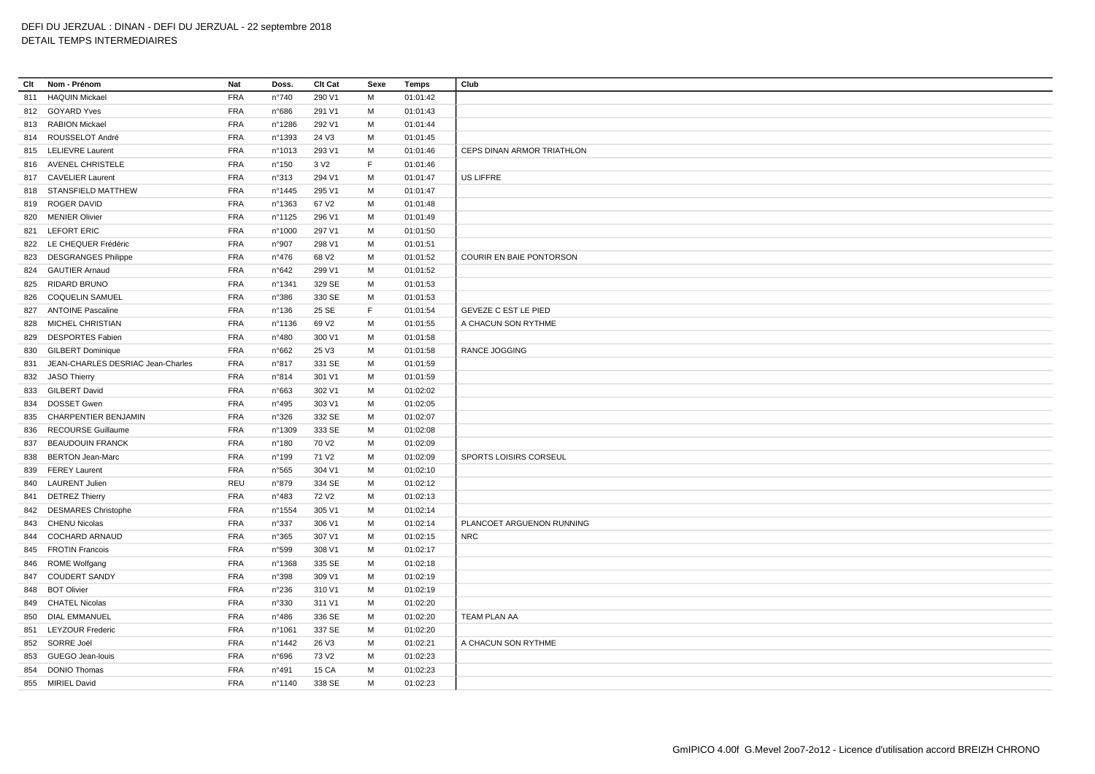## **Clt Nom - Prénom Nat Doss. Clt Cat Sexe Temps Club** HAQUIN Mickael FRA n°740 290 V1 M 01:01:42 GOYARD Yves FRA n°686 291 V1 M 01:01:43 RABION Mickael FRA n°1286 292 V1 M 01:01:44 ROUSSELOT André FRA n°1393 24 V3 M 01:01:45 815 LELIEVRE Laurent **FRA** n°1013 293 V1 M 01:01:46 CEPS DINAN ARMOR TRIATHLON AVENEL CHRISTELE FRA n°150 3 V2 F 01:01:46 CAVELIER Laurent FRA n°313 294 V1 M 01:01:47 US LIFFRE STANSFIELD MATTHEW FRA n°1445 295 V1 M 01:01:47 ROGER DAVID FRA n°1363 67 V2 M 01:01:48 MENIER Olivier FRA n°1125 296 V1 M 01:01:49 LEFORT ERIC FRA n°1000 297 V1 M 01:01:50 LE CHEQUER Frédéric FRA n°907 298 V1 M 01:01:51 DESGRANGES Philippe FRA n°476 68 V2 M 01:01:52 COURIR EN BAIE PONTORSON GAUTIER Arnaud FRA n°642 299 V1 M 01:01:52 RIDARD BRUNO FRA n°1341 329 SE M 01:01:53 COQUELIN SAMUEL FRA n°386 330 SE M 01:01:53 ANTOINE Pascaline FRA n°136 25 SE F 01:01:54 GEVEZE C EST LE PIED MICHEL CHRISTIAN FRA n°1136 69 V2 M 01:01:55 A CHACUN SON RYTHME DESPORTES Fabien FRA n°480 300 V1 M 01:01:58 GILBERT Dominique FRA n°662 25 V3 M 01:01:58 RANCE JOGGING JEAN-CHARLES DESRIAC Jean-Charles FRA n°817 331 SE M 01:01:59 JASO Thierry FRA n°814 301 V1 M 01:01:59 GILBERT David FRA n°663 302 V1 M 01:02:02 DOSSET Gwen FRA n°495 303 V1 M 01:02:05 CHARPENTIER BENJAMIN FRA n°326 332 SE M 01:02:07 RECOURSE Guillaume FRA n°1309 333 SE M 01:02:08 837 BEAUDOUIN FRANCK FRA n°180 70 V2 M 01:02:09 BERTON Jean-Marc FRA n°199 71 V2 M 01:02:09 SPORTS LOISIRS CORSEUL FEREY Laurent FRA n°565 304 V1 M 01:02:10 LAURENT Julien REU n°879 334 SE M 01:02:12 DETREZ Thierry FRA n°483 72 V2 M 01:02:13 DESMARES Christophe FRA n°1554 305 V1 M 01:02:14 CHENU Nicolas FRA n°337 306 V1 M 01:02:14 PLANCOET ARGUENON RUNNING COCHARD ARNAUD FRA n°365 307 V1 M 01:02:15 NRC FROTIN Francois FRA n°599 308 V1 M 01:02:17 ROME Wolfgang FRA n°1368 335 SE M 01:02:18 COUDERT SANDY FRA n°398 309 V1 M 01:02:19 BOT Olivier FRA n°236 310 V1 M 01:02:19 CHATEL Nicolas FRA n°330 311 V1 M 01:02:20 DIAL EMMANUEL FRA n°486 336 SE M 01:02:20 TEAM PLAN AA LEYZOUR Frederic FRA n°1061 337 SE M 01:02:20 SORRE Joël FRA n°1442 26 V3 M 01:02:21 A CHACUN SON RYTHME GUEGO Jean-louis FRA n°696 73 V2 M 01:02:23 854 DONIO Thomas **FRA** n°491 15 CA M 01:02:23 MIRIEL David FRA n°1140 338 SE M 01:02:23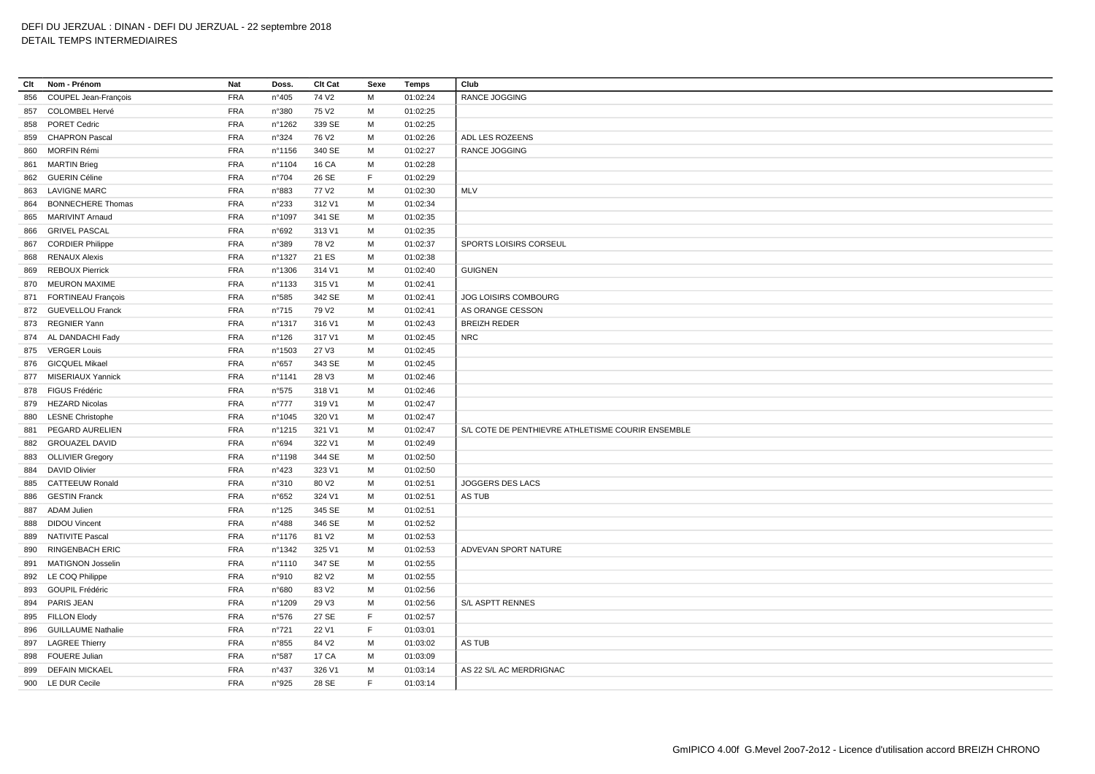| Clt | Nom - Prénom              | Nat        | Doss.          | Clt Cat           | Sexe        | Temps    | Club                                              |
|-----|---------------------------|------------|----------------|-------------------|-------------|----------|---------------------------------------------------|
| 856 | COUPEL Jean-François      | <b>FRA</b> | n°405          | 74 V <sub>2</sub> | M           | 01:02:24 | <b>RANCE JOGGING</b>                              |
|     | 857 COLOMBEL Hervé        | <b>FRA</b> | n°380          | 75 V <sub>2</sub> | M           | 01:02:25 |                                                   |
| 858 | <b>PORET Cedric</b>       | <b>FRA</b> | n°1262         | 339 SE            | M           | 01:02:25 |                                                   |
| 859 | <b>CHAPRON Pascal</b>     | <b>FRA</b> | n°324          | 76 V <sub>2</sub> | M           | 01:02:26 | ADL LES ROZEENS                                   |
| 860 | MORFIN Rémi               | <b>FRA</b> | n°1156         | 340 SE            | M           | 01:02:27 | RANCE JOGGING                                     |
| 861 | <b>MARTIN Brieg</b>       | <b>FRA</b> | n°1104         | <b>16 CA</b>      | M           | 01:02:28 |                                                   |
|     | 862 GUERIN Céline         | <b>FRA</b> | n°704          | 26 SE             | E           | 01:02:29 |                                                   |
| 863 | <b>LAVIGNE MARC</b>       | <b>FRA</b> | n°883          | 77 V <sub>2</sub> | M           | 01:02:30 | MLV                                               |
| 864 | <b>BONNECHERE Thomas</b>  | <b>FRA</b> | n°233          | 312 V1            | M           | 01:02:34 |                                                   |
| 865 | <b>MARIVINT Arnaud</b>    | <b>FRA</b> | n°1097         | 341 SE            | M           | 01:02:35 |                                                   |
| 866 | <b>GRIVEL PASCAL</b>      | <b>FRA</b> | n°692          | 313 V1            | м           | 01:02:35 |                                                   |
| 867 | <b>CORDIER Philippe</b>   | <b>FRA</b> | n°389          | 78 V2             | M           | 01:02:37 | SPORTS LOISIRS CORSEUL                            |
| 868 | <b>RENAUX Alexis</b>      | <b>FRA</b> | n°1327         | 21 ES             | M           | 01:02:38 |                                                   |
| 869 | <b>REBOUX Pierrick</b>    | <b>FRA</b> | n°1306         | 314 V1            | M           | 01:02:40 | <b>GUIGNEN</b>                                    |
|     | 870 MEURON MAXIME         | <b>FRA</b> | n°1133         | 315 V1            | M           | 01:02:41 |                                                   |
|     | 871 FORTINEAU François    | <b>FRA</b> | n°585          | 342 SE            | M           | 01:02:41 | JOG LOISIRS COMBOURG                              |
|     | 872 GUEVELLOU Franck      | <b>FRA</b> | $n^{\circ}715$ | 79 V <sub>2</sub> | M           | 01:02:41 | AS ORANGE CESSON                                  |
|     | 873 REGNIER Yann          | <b>FRA</b> | n°1317         | 316 V1            | M           | 01:02:43 | <b>BREIZH REDER</b>                               |
|     | 874 AL DANDACHI Fady      | <b>FRA</b> | n°126          | 317 V1            | M           | 01:02:45 | <b>NRC</b>                                        |
|     | 875 VERGER Louis          | <b>FRA</b> | n°1503         | 27 V3             | м           | 01:02:45 |                                                   |
|     | 876 GICQUEL Mikael        | <b>FRA</b> | n°657          | 343 SE            | M           | 01:02:45 |                                                   |
|     | 877 MISERIAUX Yannick     | <b>FRA</b> | n°1141         | 28 V3             | M           | 01:02:46 |                                                   |
| 878 | FIGUS Frédéric            | <b>FRA</b> | n°575          | 318 V1            | M           | 01:02:46 |                                                   |
| 879 | <b>HEZARD Nicolas</b>     | <b>FRA</b> | $n^{\circ}777$ | 319 V1            | M           | 01:02:47 |                                                   |
| 880 | <b>LESNE Christophe</b>   | <b>FRA</b> | n°1045         | 320 V1            | M           | 01:02:47 |                                                   |
| 881 | PEGARD AURELIEN           | <b>FRA</b> | n°1215         | 321 V1            | M           | 01:02:47 | S/L COTE DE PENTHIEVRE ATHLETISME COURIR ENSEMBLE |
| 882 | <b>GROUAZEL DAVID</b>     | <b>FRA</b> | n°694          | 322 V1            | M           | 01:02:49 |                                                   |
|     | 883 OLLIVIER Gregory      | <b>FRA</b> | n°1198         | 344 SE            | M           | 01:02:50 |                                                   |
| 884 | <b>DAVID Olivier</b>      | <b>FRA</b> | n°423          | 323 V1            | M           | 01:02:50 |                                                   |
| 885 | <b>CATTEEUW Ronald</b>    | <b>FRA</b> | n°310          | 80 V <sub>2</sub> | M           | 01:02:51 | JOGGERS DES LACS                                  |
| 886 | <b>GESTIN Franck</b>      | <b>FRA</b> | n°652          | 324 V1            | M           | 01:02:51 | AS TUB                                            |
|     | 887 ADAM Julien           | <b>FRA</b> | n°125          | 345 SE            | M           | 01:02:51 |                                                   |
| 888 | <b>DIDOU Vincent</b>      | <b>FRA</b> | $n^{\circ}488$ | 346 SE            | M           | 01:02:52 |                                                   |
| 889 | <b>NATIVITE Pascal</b>    | <b>FRA</b> | nº1176         | 81 V <sub>2</sub> | M           | 01:02:53 |                                                   |
| 890 | <b>RINGENBACH ERIC</b>    | <b>FRA</b> | n°1342         | 325 V1            | M           | 01:02:53 | ADVEVAN SPORT NATURE                              |
|     | 891 MATIGNON Josselin     | <b>FRA</b> | n°1110         | 347 SE            | M           | 01:02:55 |                                                   |
|     | 892 LE COQ Philippe       | <b>FRA</b> | n°910          | 82 V <sub>2</sub> | м           | 01:02:55 |                                                   |
| 893 | <b>GOUPIL Frédéric</b>    | <b>FRA</b> | n°680          | 83 V2             | M           | 01:02:56 |                                                   |
|     | 894 PARIS JEAN            | <b>FRA</b> | n°1209         | 29 V3             | M           | 01:02:56 | <b>S/L ASPTT RENNES</b>                           |
| 895 | <b>FILLON Elody</b>       | <b>FRA</b> | n°576          | 27 SE             | $\mathsf F$ | 01:02:57 |                                                   |
| 896 | <b>GUILLAUME Nathalie</b> | <b>FRA</b> | n°721          | 22 V1             | E           | 01:03:01 |                                                   |
| 897 | <b>LAGREE Thierry</b>     | <b>FRA</b> | n°855          | 84 V <sub>2</sub> | M           | 01:03:02 | AS TUB                                            |
| 898 | <b>FOUERE Julian</b>      | <b>FRA</b> | n°587          | 17 CA             | M           | 01:03:09 |                                                   |
| 899 | <b>DEFAIN MICKAEL</b>     | <b>FRA</b> | n°437          | 326 V1            | M           | 01:03:14 | AS 22 S/L AC MERDRIGNAC                           |
|     | 900 LE DUR Cecile         | <b>FRA</b> | n°925          | 28 SE             | F           | 01:03:14 |                                                   |
|     |                           |            |                |                   |             |          |                                                   |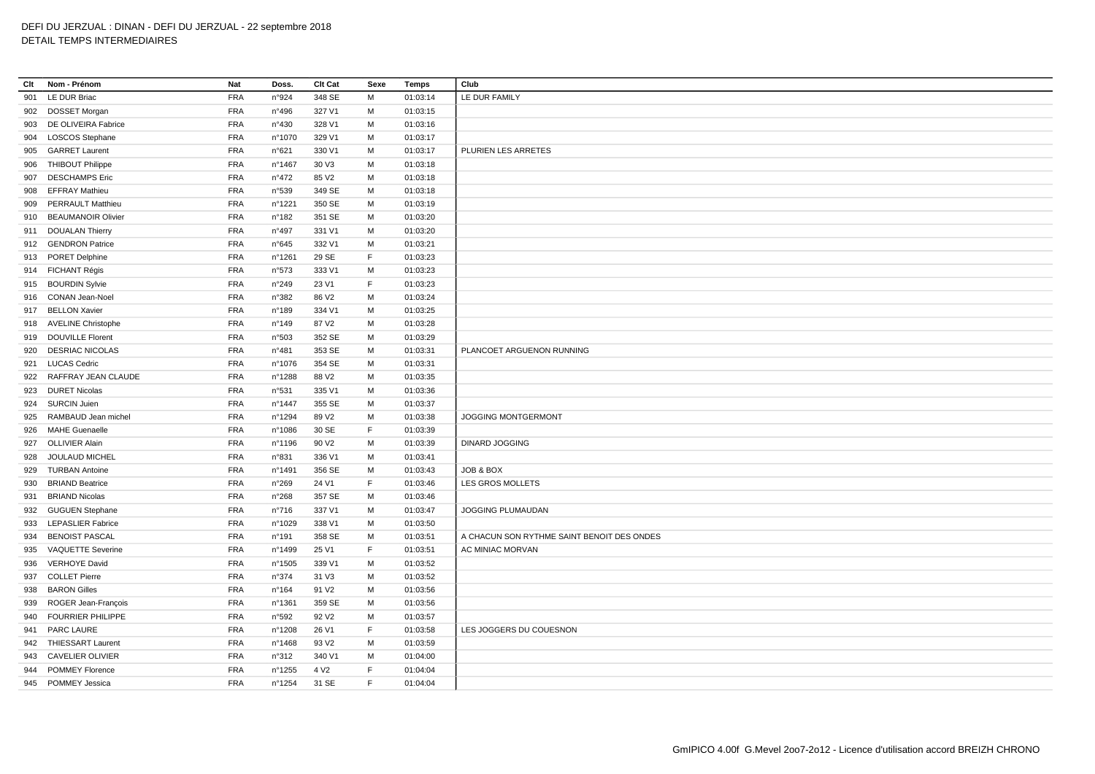| Clt | Nom - Prénom             | Nat        | Doss.           | Clt Cat           | Sexe        | Temps    | Club                                       |
|-----|--------------------------|------------|-----------------|-------------------|-------------|----------|--------------------------------------------|
| 901 | LE DUR Briac             | <b>FRA</b> | n°924           | 348 SE            | м           | 01:03:14 | LE DUR FAMILY                              |
|     | 902 DOSSET Morgan        | <b>FRA</b> | n°496           | 327 V1            | M           | 01:03:15 |                                            |
|     | 903 DE OLIVEIRA Fabrice  | <b>FRA</b> | n°430           | 328 V1            | M           | 01:03:16 |                                            |
| 904 | <b>LOSCOS Stephane</b>   | <b>FRA</b> | n°1070          | 329 V1            | M           | 01:03:17 |                                            |
| 905 | <b>GARRET Laurent</b>    | <b>FRA</b> | n°621           | 330 V1            | M           | 01:03:17 | PLURIEN LES ARRETES                        |
| 906 | <b>THIBOUT Philippe</b>  | <b>FRA</b> | n°1467          | 30 V3             | M           | 01:03:18 |                                            |
| 907 | <b>DESCHAMPS Eric</b>    | <b>FRA</b> | $n^{\circ}472$  | 85 V2             | M           | 01:03:18 |                                            |
| 908 | EFFRAY Mathieu           | <b>FRA</b> | n°539           | 349 SE            | M           | 01:03:18 |                                            |
| 909 | <b>PERRAULT Matthieu</b> | <b>FRA</b> | n°1221          | 350 SE            | м           | 01:03:19 |                                            |
|     | 910 BEAUMANOIR Olivier   | <b>FRA</b> | n°182           | 351 SE            | M           | 01:03:20 |                                            |
|     | 911 DOUALAN Thierry      | <b>FRA</b> | $n^{\circ}497$  | 331 V1            | м           | 01:03:20 |                                            |
|     | 912 GENDRON Patrice      | <b>FRA</b> | n°645           | 332 V1            | M           | 01:03:21 |                                            |
|     | 913 PORET Delphine       | <b>FRA</b> | n°1261          | 29 SE             | F           | 01:03:23 |                                            |
|     | 914 FICHANT Régis        | <b>FRA</b> | n°573           | 333 V1            | M           | 01:03:23 |                                            |
|     | 915 BOURDIN Sylvie       | <b>FRA</b> | n°249           | 23 V1             | E           | 01:03:23 |                                            |
|     | 916 CONAN Jean-Noel      | <b>FRA</b> | n°382           | 86 V <sub>2</sub> | M           | 01:03:24 |                                            |
|     | 917 BELLON Xavier        | <b>FRA</b> | n°189           | 334 V1            | M           | 01:03:25 |                                            |
|     | 918 AVELINE Christophe   | <b>FRA</b> | n°149           | 87 V2             | м           | 01:03:28 |                                            |
|     | 919 DOUVILLE Florent     | <b>FRA</b> | n°503           | 352 SE            | M           | 01:03:29 |                                            |
| 920 | <b>DESRIAC NICOLAS</b>   | <b>FRA</b> | n°481           | 353 SE            | M           | 01:03:31 | PLANCOET ARGUENON RUNNING                  |
| 921 | <b>LUCAS Cedric</b>      | <b>FRA</b> | n°1076          | 354 SE            | M           | 01:03:31 |                                            |
|     | 922 RAFFRAY JEAN CLAUDE  | <b>FRA</b> | n°1288          | 88 V <sub>2</sub> | M           | 01:03:35 |                                            |
|     | 923 DURET Nicolas        | <b>FRA</b> | n°531           | 335 V1            | M           | 01:03:36 |                                            |
| 924 | <b>SURCIN Juien</b>      | <b>FRA</b> | n°1447          | 355 SE            | M           | 01:03:37 |                                            |
|     | 925 RAMBAUD Jean michel  | <b>FRA</b> | n°1294          | 89 V2             | M           | 01:03:38 | JOGGING MONTGERMONT                        |
| 926 | <b>MAHE Guenaelle</b>    | <b>FRA</b> | n°1086          | 30 SE             | $\mathsf F$ | 01:03:39 |                                            |
| 927 | <b>OLLIVIER Alain</b>    | <b>FRA</b> | n°1196          | 90 V <sub>2</sub> | M           | 01:03:39 | <b>DINARD JOGGING</b>                      |
| 928 | JOULAUD MICHEL           | <b>FRA</b> | n°831           | 336 V1            | M           | 01:03:41 |                                            |
| 929 | <b>TURBAN Antoine</b>    | <b>FRA</b> | n°1491          | 356 SE            | M           | 01:03:43 | JOB & BOX                                  |
| 930 | <b>BRIAND Beatrice</b>   | <b>FRA</b> | n°269           | 24 V1             | $\mathsf F$ | 01:03:46 | LES GROS MOLLETS                           |
| 931 | <b>BRIAND Nicolas</b>    | <b>FRA</b> | n°268           | 357 SE            | M           | 01:03:46 |                                            |
| 932 | <b>GUGUEN Stephane</b>   | <b>FRA</b> | n°716           | 337 V1            | M           | 01:03:47 | JOGGING PLUMAUDAN                          |
|     | 933 LEPASLIER Fabrice    | <b>FRA</b> | n°1029          | 338 V1            | M           | 01:03:50 |                                            |
| 934 | <b>BENOIST PASCAL</b>    | <b>FRA</b> | n°191           | 358 SE            | M           | 01:03:51 | A CHACUN SON RYTHME SAINT BENOIT DES ONDES |
| 935 | <b>VAQUETTE Severine</b> | <b>FRA</b> | n°1499          | 25 V1             | F           | 01:03:51 | AC MINIAC MORVAN                           |
| 936 | <b>VERHOYE David</b>     | <b>FRA</b> | n°1505          | 339 V1            | M           | 01:03:52 |                                            |
| 937 | <b>COLLET Pierre</b>     | <b>FRA</b> | n°374           | 31 V3             | M           | 01:03:52 |                                            |
|     | 938 BARON Gilles         | <b>FRA</b> | $n^{\circ}$ 164 | 91 V <sub>2</sub> | M           | 01:03:56 |                                            |
| 939 | ROGER Jean-François      | <b>FRA</b> | n°1361          | 359 SE            | M           | 01:03:56 |                                            |
|     | 940 FOURRIER PHILIPPE    | <b>FRA</b> | n°592           | 92 V <sub>2</sub> | M           | 01:03:57 |                                            |
| 941 | PARC LAURE               | <b>FRA</b> | n°1208          | 26 V1             | $\mathsf F$ | 01:03:58 | LES JOGGERS DU COUESNON                    |
|     | 942 THIESSART Laurent    | <b>FRA</b> | n°1468          | 93 V <sub>2</sub> | M           | 01:03:59 |                                            |
|     | 943 CAVELIER OLIVIER     | <b>FRA</b> | n°312           | 340 V1            | M           | 01:04:00 |                                            |
| 944 | <b>POMMEY Florence</b>   | <b>FRA</b> | n°1255          | 4 V <sub>2</sub>  | F           | 01:04:04 |                                            |
|     | 945 POMMEY Jessica       | <b>FRA</b> | n°1254          | 31 SE             | E           | 01:04:04 |                                            |
|     |                          |            |                 |                   |             |          |                                            |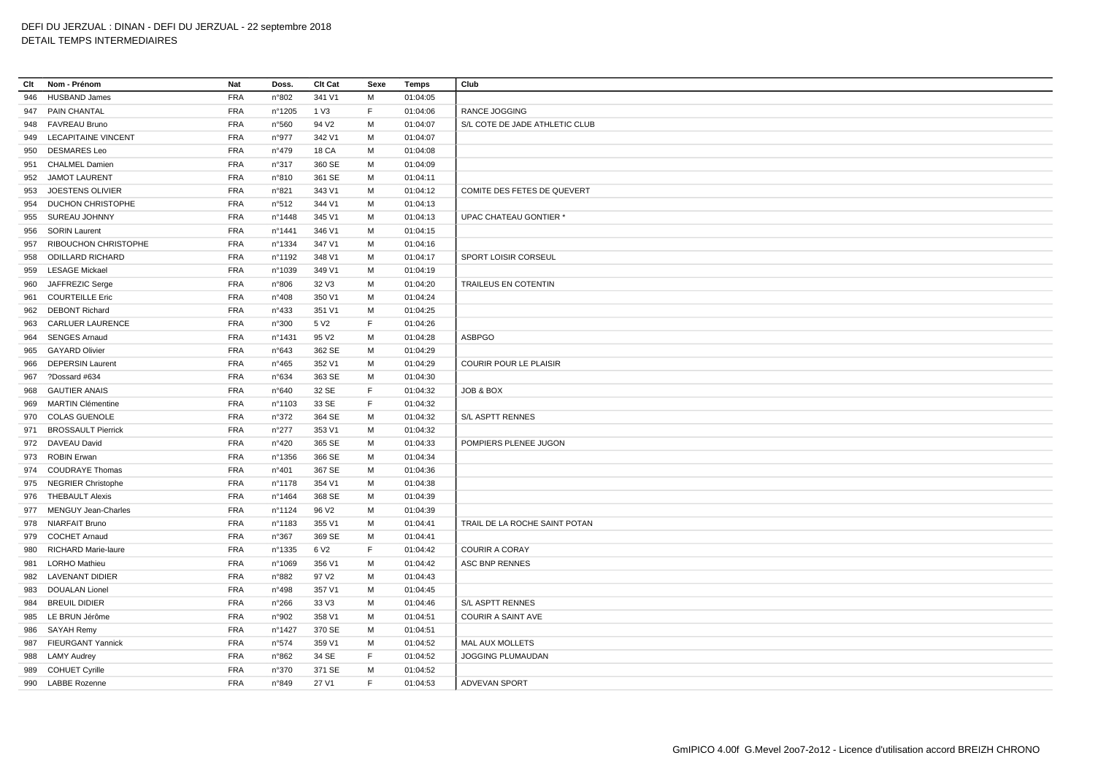# DEFI DU JERZUAL : DINAN - DEFI DU JERZUAL - 22 septembre 2018

# DETAIL TEMPS INTERMEDIAIRES

| Clt | Nom - Prénom            | Nat        | Doss.          | Clt Cat           | Sexe | Temps    | Club                           |
|-----|-------------------------|------------|----------------|-------------------|------|----------|--------------------------------|
| 946 | <b>HUSBAND James</b>    | <b>FRA</b> | n°802          | 341 V1            | М    | 01:04:05 |                                |
|     | 947 PAIN CHANTAL        | <b>FRA</b> | n°1205         | 1 V3              | F.   | 01:04:06 | <b>RANCE JOGGING</b>           |
|     | 948 FAVREAU Bruno       | <b>FRA</b> | n°560          | 94 V <sub>2</sub> | М    | 01:04:07 | S/L COTE DE JADE ATHLETIC CLUB |
|     | 949 LECAPITAINE VINCENT | <b>FRA</b> | n°977          | 342 V1            | м    | 01:04:07 |                                |
| 950 | <b>DESMARES Leo</b>     | <b>FRA</b> | n°479          | <b>18 CA</b>      | M    | 01:04:08 |                                |
|     | 951 CHALMEL Damien      | <b>FRA</b> | n°317          | 360 SE            | M    | 01:04:09 |                                |
| 952 | <b>JAMOT LAURENT</b>    | FRA        | n°810          | 361 SE            | М    | 01:04:11 |                                |
| 953 | JOESTENS OLIVIER        | <b>FRA</b> | n°821          | 343 V1            | М    | 01:04:12 | COMITE DES FETES DE QUEVERT    |
|     | 954 DUCHON CHRISTOPHE   | <b>FRA</b> | n°512          | 344 V1            | M    | 01:04:13 |                                |
| 955 | SUREAU JOHNNY           | <b>FRA</b> | n°1448         | 345 V1            | м    | 01:04:13 | UPAC CHATEAU GONTIER *         |
|     | 956 SORIN Laurent       | <b>FRA</b> | n°1441         | 346 V1            | M    | 01:04:15 |                                |
| 957 | RIBOUCHON CHRISTOPHE    | <b>FRA</b> | nº1334         | 347 V1            | м    | 01:04:16 |                                |
| 958 | <b>ODILLARD RICHARD</b> | <b>FRA</b> | n°1192         | 348 V1            | M    | 01:04:17 | SPORT LOISIR CORSEUL           |
|     | 959 LESAGE Mickael      | <b>FRA</b> | n°1039         | 349 V1            | М    | 01:04:19 |                                |
|     | 960 JAFFREZIC Serge     | <b>FRA</b> | n°806          | 32 V3             | М    | 01:04:20 | TRAILEUS EN COTENTIN           |
| 961 | <b>COURTEILLE Eric</b>  | <b>FRA</b> | n°408          | 350 V1            | М    | 01:04:24 |                                |
| 962 | <b>DEBONT Richard</b>   | <b>FRA</b> | $n^{\circ}433$ | 351 V1            | M    | 01:04:25 |                                |
| 963 | CARLUER LAURENCE        | <b>FRA</b> | n°300          | 5 V <sub>2</sub>  | F    | 01:04:26 |                                |
|     | 964 SENGES Arnaud       | <b>FRA</b> | n°1431         | 95 V <sub>2</sub> | M    | 01:04:28 | <b>ASBPGO</b>                  |
|     | 965 GAYARD Olivier      | <b>FRA</b> | n°643          | 362 SE            | М    | 01:04:29 |                                |
| 966 | <b>DEPERSIN Laurent</b> | <b>FRA</b> | n°465          | 352 V1            | M    | 01:04:29 | <b>COURIR POUR LE PLAISIR</b>  |
| 967 | ?Dossard #634           | <b>FRA</b> | n°634          | 363 SE            | М    | 01:04:30 |                                |
| 968 | <b>GAUTIER ANAIS</b>    | <b>FRA</b> | n°640          | 32 SE             | F    | 01:04:32 | JOB & BOX                      |
|     | 969 MARTIN Clémentine   | <b>FRA</b> | nº1103         | 33 SE             | F    | 01:04:32 |                                |
|     | 970 COLAS GUENOLE       | <b>FRA</b> | n°372          | 364 SE            | м    | 01:04:32 | <b>S/L ASPTT RENNES</b>        |
|     | 971 BROSSAULT Pierrick  | <b>FRA</b> | n°277          | 353 V1            | M    | 01:04:32 |                                |
|     | 972 DAVEAU David        | <b>FRA</b> | $n^{\circ}420$ | 365 SE            | M    | 01:04:33 | POMPIERS PLENEE JUGON          |
|     | 973 ROBIN Erwan         | <b>FRA</b> | nº1356         | 366 SE            | М    | 01:04:34 |                                |
|     | 974 COUDRAYE Thomas     | <b>FRA</b> | n°401          | 367 SE            | М    | 01:04:36 |                                |
|     | 975 NEGRIER Christophe  | <b>FRA</b> | n°1178         | 354 V1            | М    | 01:04:38 |                                |
|     | 976 THEBAULT Alexis     | <b>FRA</b> | n°1464         | 368 SE            | м    | 01:04:39 |                                |
|     | 977 MENGUY Jean-Charles | <b>FRA</b> | nº1124         | 96 V <sub>2</sub> | M    | 01:04:39 |                                |
|     | 978 NIARFAIT Bruno      | <b>FRA</b> | nº1183         | 355 V1            | M    | 01:04:41 | TRAIL DE LA ROCHE SAINT POTAN  |
|     | 979 COCHET Arnaud       | <b>FRA</b> | n°367          | 369 SE            | M    | 01:04:41 |                                |
| 980 | RICHARD Marie-laure     | <b>FRA</b> | nº1335         | 6 V <sub>2</sub>  | F    | 01:04:42 | <b>COURIR A CORAY</b>          |
|     | 981 LORHO Mathieu       | <b>FRA</b> | n°1069         | 356 V1            | M    | 01:04:42 | <b>ASC BNP RENNES</b>          |
|     | 982 LAVENANT DIDIER     | <b>FRA</b> | n°882          | 97 V2             | М    | 01:04:43 |                                |
|     |                         |            |                |                   |      |          |                                |
|     | 983 DOUALAN Lionel      | <b>FRA</b> | n°498          | 357 V1            | M    | 01:04:45 |                                |
| 984 | <b>BREUIL DIDIER</b>    | <b>FRA</b> | n°266          | 33 V3             | м    | 01:04:46 | S/L ASPTT RENNES               |
|     | 985 LE BRUN Jérôme      | <b>FRA</b> | n°902          | 358 V1            | M    | 01:04:51 | <b>COURIR A SAINT AVE</b>      |
| 986 | SAYAH Remy              | <b>FRA</b> | n°1427         | 370 SE            | м    | 01:04:51 |                                |
|     | 987 FIEURGANT Yannick   | <b>FRA</b> | n°574          | 359 V1            | M    | 01:04:52 | MAL AUX MOLLETS                |
|     | 988 LAMY Audrey         | <b>FRA</b> | n°862          | 34 SE             | F    | 01:04:52 | JOGGING PLUMAUDAN              |
|     | 989 COHUET Cyrille      | <b>FRA</b> | n°370          | 371 SE            | M    | 01:04:52 |                                |
|     | 990 LABBE Rozenne       | <b>FRA</b> | n°849          | 27 V1             | E    | 01:04:53 | ADVEVAN SPORT                  |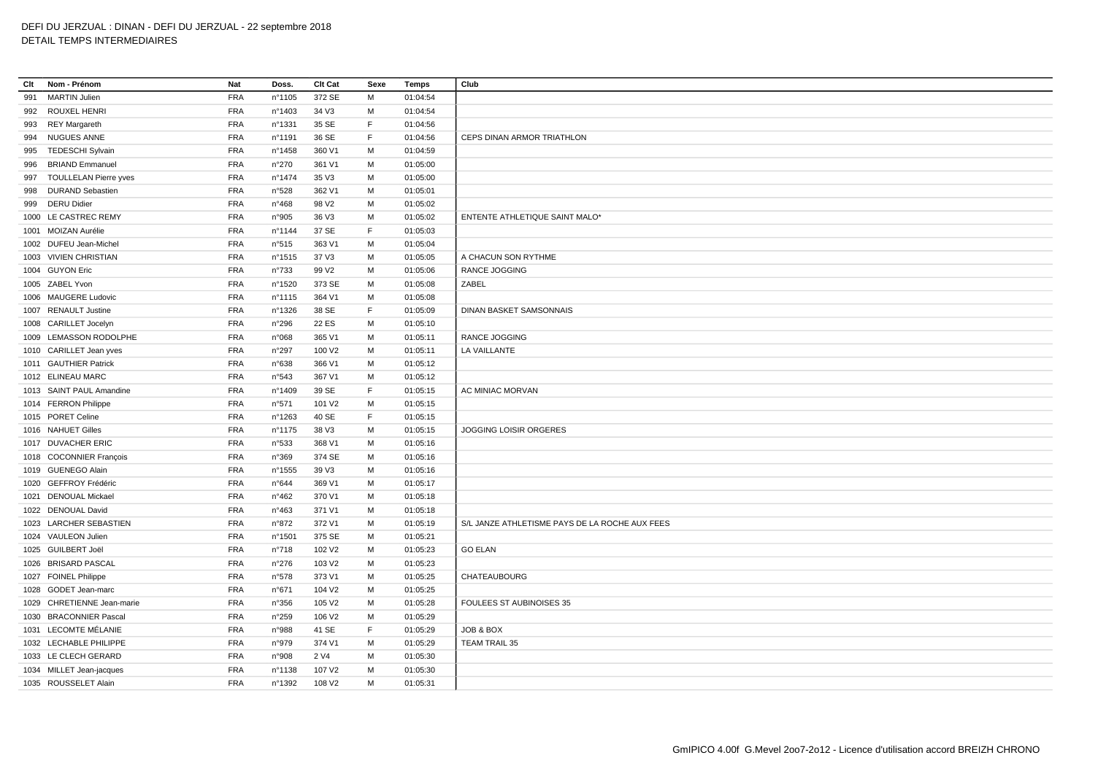## **Clt Nom - Prénom Nat Doss. Clt Cat Sexe Temps Club** MARTIN Julien FRA n°1105 372 SE M 01:04:54 ROUXEL HENRI FRA n°1403 34 V3 M 01:04:54 REY Margareth FRA n°1331 35 SE F 01:04:56 NUGUES ANNE FRA n°1191 36 SE F 01:04:56 CEPS DINAN ARMOR TRIATHLON TEDESCHI Sylvain FRA n°1458 360 V1 M 01:04:59 BRIAND Emmanuel FRA n°270 361 V1 M 01:05:00 TOULLELAN Pierre yves FRA n°1474 35 V3 M 01:05:00 DURAND Sebastien FRA n°528 362 V1 M 01:05:01 DERU Didier FRA n°468 98 V2 M 01:05:02 LE CASTREC REMY FRA n°905 36 V3 M 01:05:02 ENTENTE ATHLETIQUE SAINT MALO\* MOIZAN Aurélie FRA n°1144 37 SE F 01:05:03 DUFEU Jean-Michel FRA n°515 363 V1 M 01:05:04 VIVIEN CHRISTIAN FRA n°1515 37 V3 M 01:05:05 A CHACUN SON RYTHME GUYON Eric FRA n°733 99 V2 M 01:05:06 RANCE JOGGING ZABEL Yvon FRA n°1520 373 SE M 01:05:08 ZABEL MAUGERE Ludovic FRA n°1115 364 V1 M 01:05:08 RENAULT Justine FRA n°1326 38 SE F 01:05:09 DINAN BASKET SAMSONNAIS CARILLET Jocelyn FRA n°296 22 ES M 01:05:10 LEMASSON RODOLPHE FRA n°068 365 V1 M 01:05:11 RANCE JOGGING CARILLET Jean yves FRA n°297 100 V2 M 01:05:11 LA VAILLANTE GAUTHIER Patrick FRA n°638 366 V1 M 01:05:12 ELINEAU MARC FRA n°543 367 V1 M 01:05:12 1013 SAINT PAUL Amandine TRA n°1409 39 SE F 01:05:15 AC MINIAC MORVAN FERRON Philippe FRA n°571 101 V2 M 01:05:15 PORET Celine FRA n°1263 40 SE F 01:05:15 NAHUET Gilles FRA n°1175 38 V3 M 01:05:15 JOGGING LOISIR ORGERES DUVACHER ERIC FRA n°533 368 V1 M 01:05:16 COCONNIER François FRA n°369 374 SE M 01:05:16 GUENEGO Alain FRA n°1555 39 V3 M 01:05:16 GEFFROY Frédéric FRA n°644 369 V1 M 01:05:17 DENOUAL Mickael FRA n°462 370 V1 M 01:05:18 DENOUAL David FRA n°463 371 V1 M 01:05:18 LARCHER SEBASTIEN FRA n°872 372 V1 M 01:05:19 S/L JANZE ATHLETISME PAYS DE LA ROCHE AUX FEES VAULEON Julien FRA n°1501 375 SE M 01:05:21 GUILBERT Joël FRA n°718 102 V2 M 01:05:23 GO ELAN BRISARD PASCAL FRA n°276 103 V2 M 01:05:23 FOINEL Philippe FRA n°578 373 V1 M 01:05:25 CHATEAUBOURG GODET Jean-marc FRA n°671 104 V2 M 01:05:25 CHRETIENNE Jean-marie FRA n°356 105 V2 M 01:05:28 FOULEES ST AUBINOISES 35 BRACONNIER Pascal FRA n°259 106 V2 M 01:05:29 LECOMTE MÉLANIE FRA n°988 41 SE F 01:05:29 JOB & BOX LECHABLE PHILIPPE FRA n°979 374 V1 M 01:05:29 TEAM TRAIL 35 LE CLECH GERARD FRA n°908 2 V4 M 01:05:30 MILLET Jean-jacques FRA n°1138 107 V2 M 01:05:30 ROUSSELET Alain FRA n°1392 108 V2 M 01:05:31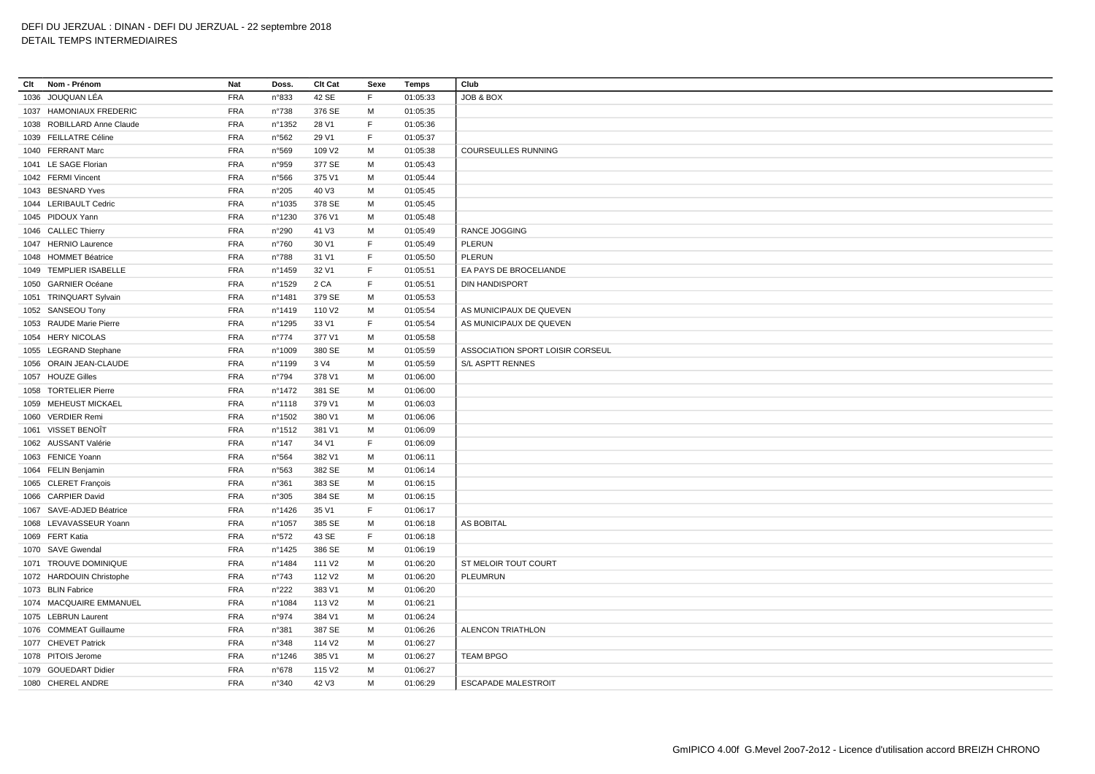| Clt | Nom - Prénom               | Nat        | Doss.           | Clt Cat            | Sexe         | Temps                | Club                             |
|-----|----------------------------|------------|-----------------|--------------------|--------------|----------------------|----------------------------------|
|     | 1036 JOUQUAN LÉA           | <b>FRA</b> | n°833           | 42 SE              | E            | 01:05:33             | <b>JOB &amp; BOX</b>             |
|     | 1037 HAMONIAUX FREDERIC    | <b>FRA</b> | n°738           | 376 SE             | м            | 01:05:35             |                                  |
|     | 1038 ROBILLARD Anne Claude | <b>FRA</b> | n°1352          | 28 V1              | F            | 01:05:36             |                                  |
|     | 1039 FEILLATRE Céline      | <b>FRA</b> | n°562           | 29 V1              | $\mathsf F$  | 01:05:37             |                                  |
|     | 1040 FERRANT Marc          | FRA        | n°569           | 109 V2             | M            | 01:05:38             | <b>COURSEULLES RUNNING</b>       |
|     | 1041 LE SAGE Florian       | <b>FRA</b> | n°959           | 377 SE             | M            | 01:05:43             |                                  |
|     | 1042 FERMI Vincent         | <b>FRA</b> | n°566           | 375 V1             | M            | 01:05:44             |                                  |
|     | 1043 BESNARD Yves          | <b>FRA</b> | n°205           | 40 V3              | M            | 01:05:45             |                                  |
|     | 1044 LERIBAULT Cedric      | <b>FRA</b> | n°1035          | 378 SE             | M            | 01:05:45             |                                  |
|     | 1045 PIDOUX Yann           | <b>FRA</b> | n°1230          | 376 V1             | M            | 01:05:48             |                                  |
|     | 1046 CALLEC Thierry        | <b>FRA</b> | n°290           | 41 V3              | M            | 01:05:49             | RANCE JOGGING                    |
|     | 1047 HERNIO Laurence       | <b>FRA</b> | n°760           | 30 V1              | F            | 01:05:49             | PLERUN                           |
|     | 1048 HOMMET Béatrice       | <b>FRA</b> | n°788           | 31 V1              | F            | 01:05:50             | PLERUN                           |
|     | 1049 TEMPLIER ISABELLE     | FRA        | n°1459          | 32 V1              | F            | 01:05:51             | EA PAYS DE BROCELIANDE           |
|     | 1050 GARNIER Océane        | <b>FRA</b> | n°1529          | 2 CA               | $\mathsf F$  | 01:05:51             | <b>DIN HANDISPORT</b>            |
|     | 1051 TRINQUART Sylvain     | <b>FRA</b> | n°1481          | 379 SE             | M            | 01:05:53             |                                  |
|     | 1052 SANSEOU Tony          | <b>FRA</b> | n°1419          | 110 V2             | M            | 01:05:54             | AS MUNICIPAUX DE QUEVEN          |
|     | 1053 RAUDE Marie Pierre    | <b>FRA</b> | n°1295          | 33 V1              | E            | 01:05:54             | AS MUNICIPAUX DE QUEVEN          |
|     | 1054 HERY NICOLAS          | <b>FRA</b> | $n^{\circ}774$  | 377 V1             | M            | 01:05:58             |                                  |
|     | 1055 LEGRAND Stephane      | <b>FRA</b> | n°1009          | 380 SE             | M            | 01:05:59             | ASSOCIATION SPORT LOISIR CORSEUL |
|     | 1056 ORAIN JEAN-CLAUDE     | <b>FRA</b> | n°1199          | 3 V4               | M            | 01:05:59             | S/L ASPTT RENNES                 |
|     | 1057 HOUZE Gilles          | <b>FRA</b> | n°794           | 378 V1             | M            | 01:06:00             |                                  |
|     | 1058 TORTELIER Pierre      | FRA        | n°1472          | 381 SE             | M            | 01:06:00             |                                  |
|     | 1059 MEHEUST MICKAEL       | <b>FRA</b> | nº1118          | 379 V1             | м            | 01:06:03             |                                  |
|     | 1060 VERDIER Remi          | <b>FRA</b> | nº1502          | 380 V1             | M            | 01:06:06             |                                  |
|     | 1061 VISSET BENOIT         | <b>FRA</b> | n°1512          | 381 V1             | M            | 01:06:09             |                                  |
|     | 1062 AUSSANT Valérie       | <b>FRA</b> | n°147           | 34 V1              | $\mathsf F$  | 01:06:09             |                                  |
|     | 1063 FENICE Yoann          | <b>FRA</b> | n°564           | 382 V1             | м            | 01:06:11             |                                  |
|     | 1064 FELIN Benjamin        | <b>FRA</b> | n°563           | 382 SE             | M            | 01:06:14             |                                  |
|     | 1065 CLERET François       | <b>FRA</b> | n°361           | 383 SE             | M            | 01:06:15             |                                  |
|     | 1066 CARPIER David         | <b>FRA</b> | n°305           | 384 SE             | M            | 01:06:15             |                                  |
|     | 1067 SAVE-ADJED Béatrice   | <b>FRA</b> | n°1426          | 35 V1              | $\mathsf{F}$ | 01:06:17             |                                  |
|     | 1068 LEVAVASSEUR Yoann     | <b>FRA</b> |                 |                    | M            |                      | <b>AS BOBITAL</b>                |
|     | 1069 FERT Katia            | <b>FRA</b> | n°1057<br>n°572 | 385 SE<br>43 SE    | F            | 01:06:18<br>01:06:18 |                                  |
|     |                            |            |                 |                    |              |                      |                                  |
|     | 1070 SAVE Gwendal          | <b>FRA</b> | n°1425          | 386 SE             | M            | 01:06:19             |                                  |
|     | 1071 TROUVE DOMINIQUE      | <b>FRA</b> | n°1484          | 111 V <sub>2</sub> | M            | 01:06:20             | ST MELOIR TOUT COURT             |
|     | 1072 HARDOUIN Christophe   | <b>FRA</b> | $n^{\circ}743$  | 112 V <sub>2</sub> | M            | 01:06:20             | <b>PLEUMRUN</b>                  |
|     | 1073 BLIN Fabrice          | <b>FRA</b> | $n^{\circ}222$  | 383 V1             | M            | 01:06:20             |                                  |
|     | 1074 MACQUAIRE EMMANUEL    | <b>FRA</b> | n°1084          | 113 V <sub>2</sub> | M            | 01:06:21             |                                  |
|     | 1075 LEBRUN Laurent        | <b>FRA</b> | n°974           | 384 V1             | M            | 01:06:24             |                                  |
|     | 1076 COMMEAT Guillaume     | <b>FRA</b> | n°381           | 387 SE             | M            | 01:06:26             | <b>ALENCON TRIATHLON</b>         |
|     | 1077 CHEVET Patrick        | <b>FRA</b> | n°348           | 114 V <sub>2</sub> | M            | 01:06:27             |                                  |
|     | 1078 PITOIS Jerome         | <b>FRA</b> | n°1246          | 385 V1             | M            | 01:06:27             | <b>TEAM BPGO</b>                 |
|     | 1079 GOUEDART Didier       | <b>FRA</b> | n°678           | 115 V <sub>2</sub> | M            | 01:06:27             |                                  |
|     | 1080 CHEREL ANDRE          | <b>FRA</b> | n°340           | 42 V3              | M            | 01:06:29             | <b>ESCAPADE MALESTROIT</b>       |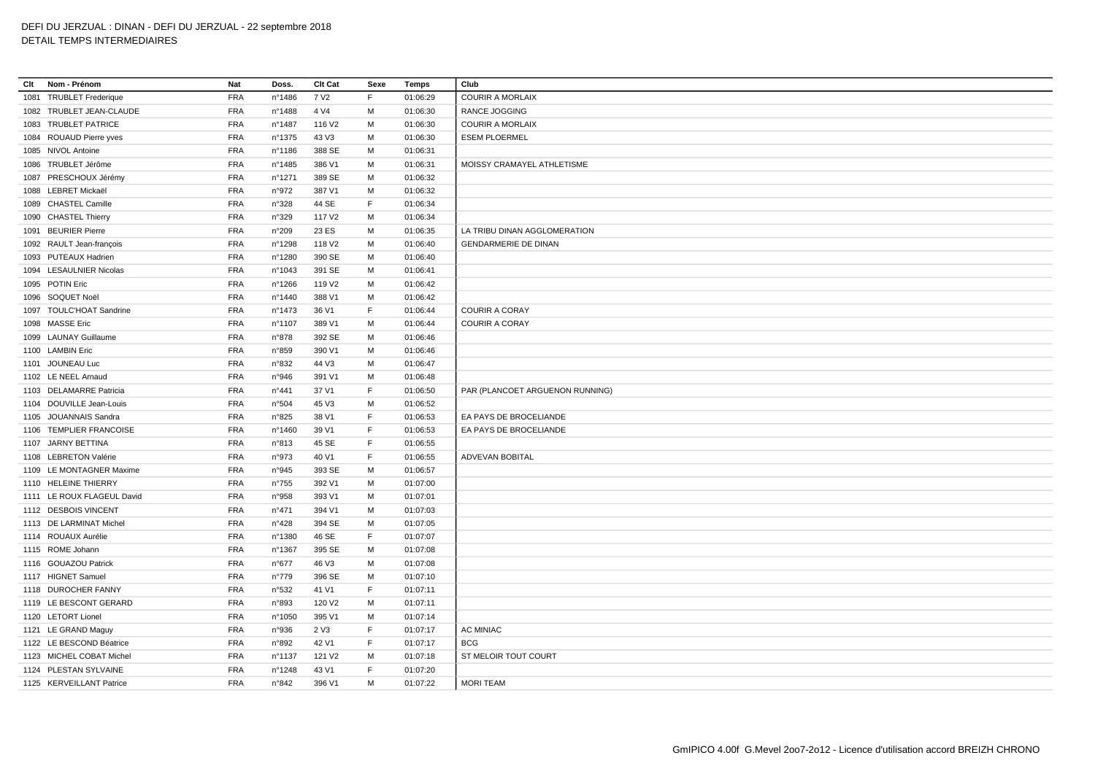# DEFI DU JERZUAL : DINAN - DEFI DU JERZUAL - 22 septembre 2018

# DETAIL TEMPS INTERMEDIAIRES

| Clt | Nom - Prénom               | Nat        | Doss.          | Clt Cat            | Sexe | Temps    | Club                            |
|-----|----------------------------|------------|----------------|--------------------|------|----------|---------------------------------|
|     | 1081 TRUBLET Frederique    | <b>FRA</b> | n°1486         | 7 V <sub>2</sub>   | F.   | 01:06:29 | <b>COURIR A MORLAIX</b>         |
|     | 1082 TRUBLET JEAN-CLAUDE   | <b>FRA</b> | n°1488         | 4 V4               | м    | 01:06:30 | RANCE JOGGING                   |
|     | 1083 TRUBLET PATRICE       | <b>FRA</b> | n°1487         | 116 V2             | M    | 01:06:30 | <b>COURIR A MORLAIX</b>         |
|     | 1084 ROUAUD Pierre yves    | <b>FRA</b> | nº1375         | 43 V3              | M    | 01:06:30 | <b>ESEM PLOERMEL</b>            |
|     | 1085 NIVOL Antoine         | <b>FRA</b> | n°1186         | 388 SE             | M    | 01:06:31 |                                 |
|     | 1086 TRUBLET Jérôme        | <b>FRA</b> | n°1485         | 386 V1             | M    | 01:06:31 | MOISSY CRAMAYEL ATHLETISME      |
|     | 1087 PRESCHOUX Jérémy      | <b>FRA</b> | n°1271         | 389 SE             | м    | 01:06:32 |                                 |
|     | 1088 LEBRET Mickaël        | <b>FRA</b> | n°972          | 387 V1             | м    | 01:06:32 |                                 |
|     | 1089 CHASTEL Camille       | <b>FRA</b> | n°328          | 44 SE              | F.   | 01:06:34 |                                 |
|     | 1090 CHASTEL Thierry       | <b>FRA</b> | n°329          | 117 V <sub>2</sub> | M    | 01:06:34 |                                 |
|     | 1091 BEURIER Pierre        | <b>FRA</b> | n°209          | 23 ES              | M    | 01:06:35 | LA TRIBU DINAN AGGLOMERATION    |
|     | 1092 RAULT Jean-françois   | <b>FRA</b> | n°1298         | 118 V2             | M    | 01:06:40 | <b>GENDARMERIE DE DINAN</b>     |
|     | 1093 PUTEAUX Hadrien       | <b>FRA</b> | n°1280         | 390 SE             | M    | 01:06:40 |                                 |
|     | 1094 LESAULNIER Nicolas    | <b>FRA</b> | n°1043         | 391 SE             | M    | 01:06:41 |                                 |
|     | 1095 POTIN Eric            | <b>FRA</b> | n°1266         | 119 V <sub>2</sub> | M    | 01:06:42 |                                 |
|     | 1096 SOQUET Noël           | <b>FRA</b> | nº1440         | 388 V1             | M    | 01:06:42 |                                 |
|     | 1097 TOULC'HOAT Sandrine   | <b>FRA</b> | n°1473         | 36 V1              | F.   | 01:06:44 | <b>COURIR A CORAY</b>           |
|     | 1098 MASSE Eric            | <b>FRA</b> | n°1107         | 389 V1             | М    | 01:06:44 | <b>COURIR A CORAY</b>           |
|     | 1099 LAUNAY Guillaume      | <b>FRA</b> | n°878          | 392 SE             | M    | 01:06:46 |                                 |
|     | 1100 LAMBIN Eric           | <b>FRA</b> | n°859          | 390 V1             | м    | 01:06:46 |                                 |
|     | 1101 JOUNEAU Luc           | <b>FRA</b> | n°832          | 44 V3              | M    | 01:06:47 |                                 |
|     | 1102 LE NEEL Arnaud        | <b>FRA</b> | n°946          | 391 V1             | м    | 01:06:48 |                                 |
|     | 1103 DELAMARRE Patricia    | <b>FRA</b> | $n^{\circ}441$ | 37 V1              | F    | 01:06:50 | PAR (PLANCOET ARGUENON RUNNING) |
|     | 1104 DOUVILLE Jean-Louis   | <b>FRA</b> | n°504          | 45 V3              | M    | 01:06:52 |                                 |
|     | 1105 JOUANNAIS Sandra      | <b>FRA</b> | n°825          | 38 V1              | F    | 01:06:53 | EA PAYS DE BROCELIANDE          |
|     | 1106 TEMPLIER FRANCOISE    | <b>FRA</b> | n°1460         | 39 V1              | F.   | 01:06:53 | EA PAYS DE BROCELIANDE          |
|     | 1107 JARNY BETTINA         | <b>FRA</b> | n°813          | 45 SE              | F    | 01:06:55 |                                 |
|     | 1108 LEBRETON Valérie      | <b>FRA</b> | n°973          | 40 V1              | F.   | 01:06:55 | <b>ADVEVAN BOBITAL</b>          |
|     | 1109 LE MONTAGNER Maxime   | <b>FRA</b> | n°945          | 393 SE             | M    | 01:06:57 |                                 |
|     | 1110 HELEINE THIERRY       | <b>FRA</b> | $n^{\circ}755$ | 392 V1             | м    | 01:07:00 |                                 |
|     | 1111 LE ROUX FLAGEUL David | <b>FRA</b> | n°958          | 393 V1             | M    | 01:07:01 |                                 |
|     | 1112 DESBOIS VINCENT       | <b>FRA</b> | $n^{\circ}471$ | 394 V1             | M    | 01:07:03 |                                 |
|     | 1113 DE LARMINAT Michel    | <b>FRA</b> | n°428          | 394 SE             | M    | 01:07:05 |                                 |
|     | 1114 ROUAUX Aurélie        | <b>FRA</b> | n°1380         | 46 SE              | F.   | 01:07:07 |                                 |
|     | 1115 ROME Johann           | <b>FRA</b> | n°1367         | 395 SE             | М    | 01:07:08 |                                 |
|     | 1116 GOUAZOU Patrick       | <b>FRA</b> | n°677          | 46 V3              | M    | 01:07:08 |                                 |
|     | 1117 HIGNET Samuel         | <b>FRA</b> | n°779          | 396 SE             | м    | 01:07:10 |                                 |
|     | 1118 DUROCHER FANNY        | <b>FRA</b> | n°532          | 41 V1              | F.   | 01:07:11 |                                 |
|     | 1119 LE BESCONT GERARD     | <b>FRA</b> | n°893          | 120 V2             | м    | 01:07:11 |                                 |
|     | 1120 LETORT Lionel         | <b>FRA</b> | n°1050         | 395 V1             | M    | 01:07:14 |                                 |
|     | 1121 LE GRAND Maguy        | <b>FRA</b> | n°936          | 2 V3               | F    | 01:07:17 | <b>AC MINIAC</b>                |
|     | 1122 LE BESCOND Béatrice   | <b>FRA</b> | n°892          | 42 V1              | F    | 01:07:17 | <b>BCG</b>                      |
|     | 1123 MICHEL COBAT Michel   | <b>FRA</b> | n°1137         | 121 V <sub>2</sub> | M    | 01:07:18 | ST MELOIR TOUT COURT            |
|     | 1124 PLESTAN SYLVAINE      | <b>FRA</b> | n°1248         | 43 V1              | F    | 01:07:20 |                                 |
|     | 1125 KERVEILLANT Patrice   | <b>FRA</b> | n°842          | 396 V1             | M    | 01:07:22 | <b>MORI TEAM</b>                |
|     |                            |            |                |                    |      |          |                                 |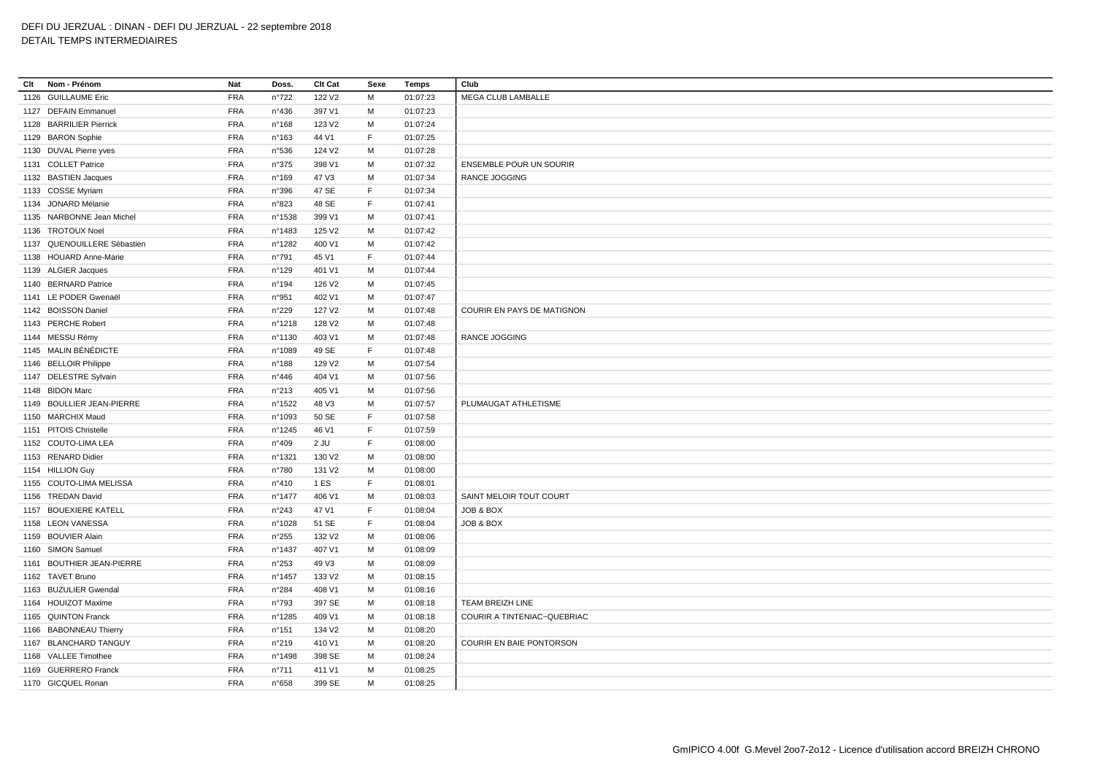## **Clt Nom - Prénom Nat Doss. Clt Cat Sexe Temps Club** GUILLAUME Eric FRA n°722 122 V2 M 01:07:23 MEGA CLUB LAMBALLE DEFAIN Emmanuel FRA n°436 397 V1 M 01:07:23 BARRILIER Pierrick FRA n°168 123 V2 M 01:07:24 BARON Sophie FRA n°163 44 V1 F 01:07:25 DUVAL Pierre yves FRA n°536 124 V2 M 01:07:28 COLLET Patrice FRA n°375 398 V1 M 01:07:32 ENSEMBLE POUR UN SOURIR BASTIEN Jacques FRA n°169 47 V3 M 01:07:34 RANCE JOGGING COSSE Myriam FRA n°396 47 SE F 01:07:34 JONARD Mélanie FRA n°823 48 SE F 01:07:41 NARBONNE Jean Michel FRA n°1538 399 V1 M 01:07:41 TROTOUX Noel FRA n°1483 125 V2 M 01:07:42 QUENOUILLERE Sébastien FRA n°1282 400 V1 M 01:07:42 HOUARD Anne-Marie FRA n°791 45 V1 F 01:07:44 ALGIER Jacques FRA n°129 401 V1 M 01:07:44 BERNARD Patrice FRA n°194 126 V2 M 01:07:45 LE PODER Gwenaël FRA n°951 402 V1 M 01:07:47 BOISSON Daniel FRA n°229 127 V2 M 01:07:48 COURIR EN PAYS DE MATIGNON PERCHE Robert FRA n°1218 128 V2 M 01:07:48 MESSU Rémy FRA n°1130 403 V1 M 01:07:48 RANCE JOGGING MALIN BÉNÉDICTE FRA n°1089 49 SE F 01:07:48 BELLOIR Philippe FRA n°188 129 V2 M 01:07:54 1147 DELESTRE Sylvain **FRA** n°446 404 V1 M 01:07:56 BIDON Marc FRA n°213 405 V1 M 01:07:56 BOULLIER JEAN-PIERRE FRA n°1522 48 V3 M 01:07:57 PLUMAUGAT ATHLETISME MARCHIX Maud FRA n°1093 50 SE F 01:07:58 PITOIS Christelle FRA n°1245 46 V1 F 01:07:59 COUTO-LIMA LEA FRA n°409 2 JU F 01:08:00 RENARD Didier FRA n°1321 130 V2 M 01:08:00 HILLION Guy FRA n°780 131 V2 M 01:08:00 1155 COUTO-LIMA MELISSA **FRA** n°410 1 ES F 01:08:01 TREDAN David FRA n°1477 406 V1 M 01:08:03 SAINT MELOIR TOUT COURT BOUEXIERE KATELL FRA n°243 47 V1 F 01:08:04 JOB & BOX LEON VANESSA FRA n°1028 51 SE F 01:08:04 JOB & BOX BOUVIER Alain FRA n°255 132 V2 M 01:08:06 SIMON Samuel FRA n°1437 407 V1 M 01:08:09 BOUTHIER JEAN-PIERRE FRA n°253 49 V3 M 01:08:09 TAVET Bruno FRA n°1457 133 V2 M 01:08:15 BUZULIER Gwendal FRA n°284 408 V1 M 01:08:16 HOUIZOT Maxime FRA n°793 397 SE M 01:08:18 TEAM BREIZH LINE QUINTON Franck FRA n°1285 409 V1 M 01:08:18 COURIR A TINTENIAC~QUEBRIAC BABONNEAU Thierry FRA n°151 134 V2 M 01:08:20 BLANCHARD TANGUY FRA n°219 410 V1 M 01:08:20 COURIR EN BAIE PONTORSON VALLEE Timothee FRA n°1498 398 SE M 01:08:24 GUERRERO Franck FRA n°711 411 V1 M 01:08:25 GICQUEL Ronan FRA n°658 399 SE M 01:08:25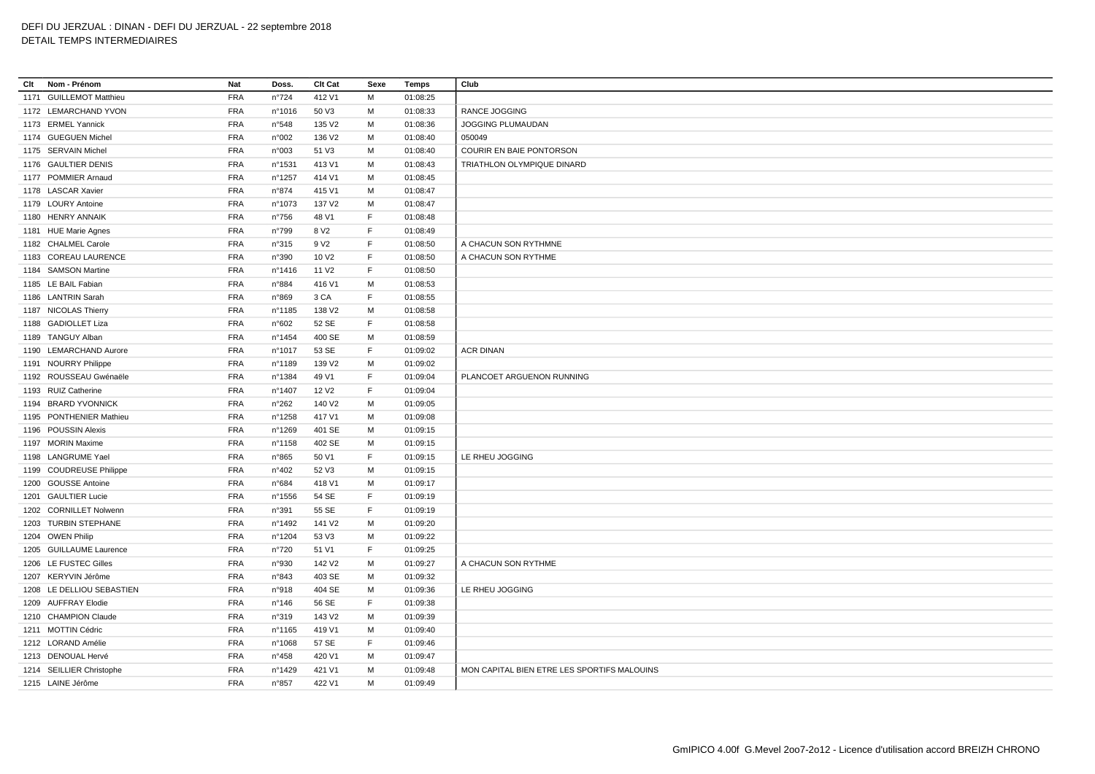| Clt<br>Nom - Prénom       | Nat        | Doss.          | Clt Cat            | Sexe         | Temps    | Club                                        |
|---------------------------|------------|----------------|--------------------|--------------|----------|---------------------------------------------|
| 1171 GUILLEMOT Matthieu   | <b>FRA</b> | $n^{\circ}724$ | 412 V1             | M            | 01:08:25 |                                             |
| 1172 LEMARCHAND YVON      | <b>FRA</b> | n°1016         | 50 V3              | M            | 01:08:33 | RANCE JOGGING                               |
| 1173 ERMEL Yannick        | <b>FRA</b> | n°548          | 135 V2             | м            | 01:08:36 | JOGGING PLUMAUDAN                           |
| 1174 GUEGUEN Michel       | <b>FRA</b> | n°002          | 136 V2             | M            | 01:08:40 | 050049                                      |
| 1175 SERVAIN Michel       | <b>FRA</b> | n°003          | 51 V3              | M            | 01:08:40 | COURIR EN BAIE PONTORSON                    |
| 1176 GAULTIER DENIS       | <b>FRA</b> | nº1531         | 413 V1             | M            | 01:08:43 | TRIATHLON OLYMPIQUE DINARD                  |
| 1177 POMMIER Arnaud       | <b>FRA</b> | n°1257         | 414 V1             | M            | 01:08:45 |                                             |
| 1178 LASCAR Xavier        | <b>FRA</b> | n°874          | 415 V1             | M            | 01:08:47 |                                             |
| 1179 LOURY Antoine        | <b>FRA</b> | n°1073         | 137 V <sub>2</sub> | M            | 01:08:47 |                                             |
| 1180 HENRY ANNAIK         | <b>FRA</b> | $n^{\circ}756$ | 48 V1              | F            | 01:08:48 |                                             |
| 1181 HUE Marie Agnes      | <b>FRA</b> | n°799          | 8 V <sub>2</sub>   | $\mathsf F$  | 01:08:49 |                                             |
| 1182 CHALMEL Carole       | <b>FRA</b> | n°315          | 9 V <sub>2</sub>   | E            | 01:08:50 | A CHACUN SON RYTHMNE                        |
| 1183 COREAU LAURENCE      | <b>FRA</b> | n°390          | 10 V <sub>2</sub>  | F            | 01:08:50 | A CHACUN SON RYTHME                         |
| 1184 SAMSON Martine       | <b>FRA</b> | nº1416         | 11 V <sub>2</sub>  | $\mathsf F$  | 01:08:50 |                                             |
| 1185 LE BAIL Fabian       | <b>FRA</b> | n°884          | 416 V1             | M            | 01:08:53 |                                             |
| 1186 LANTRIN Sarah        | <b>FRA</b> | n°869          | 3 CA               | E            | 01:08:55 |                                             |
| 1187 NICOLAS Thierry      | <b>FRA</b> | n°1185         | 138 V <sub>2</sub> | M            | 01:08:58 |                                             |
| 1188 GADIOLLET Liza       | <b>FRA</b> | n°602          | 52 SE              | $\mathsf F$  | 01:08:58 |                                             |
| 1189 TANGUY Alban         | <b>FRA</b> | n°1454         | 400 SE             | M            | 01:08:59 |                                             |
| 1190 LEMARCHAND Aurore    | <b>FRA</b> | n°1017         | 53 SE              | $\mathsf F$  | 01:09:02 | <b>ACR DINAN</b>                            |
| 1191 NOURRY Philippe      | <b>FRA</b> | n°1189         | 139 V <sub>2</sub> | M            | 01:09:02 |                                             |
| 1192 ROUSSEAU Gwénaële    | <b>FRA</b> | n°1384         | 49 V1              | F            | 01:09:04 | PLANCOET ARGUENON RUNNING                   |
| 1193 RUIZ Catherine       | <b>FRA</b> | n°1407         | 12 V <sub>2</sub>  | $\mathsf F$  | 01:09:04 |                                             |
| 1194 BRARD YVONNICK       | <b>FRA</b> | n°262          | 140 V2             | M            | 01:09:05 |                                             |
| 1195 PONTHENIER Mathieu   | <b>FRA</b> | n°1258         | 417 V1             | M            | 01:09:08 |                                             |
| 1196 POUSSIN Alexis       | <b>FRA</b> | n°1269         | 401 SE             | M            | 01:09:15 |                                             |
| 1197 MORIN Maxime         | <b>FRA</b> | nº1158         | 402 SE             | M            | 01:09:15 |                                             |
| 1198 LANGRUME Yael        | <b>FRA</b> | n°865          | 50 V1              | E            | 01:09:15 | LE RHEU JOGGING                             |
| 1199 COUDREUSE Philippe   | <b>FRA</b> | n°402          | 52 V3              | M            | 01:09:15 |                                             |
| 1200 GOUSSE Antoine       | <b>FRA</b> | n°684          | 418 V1             | M            | 01:09:17 |                                             |
| 1201 GAULTIER Lucie       | <b>FRA</b> | n°1556         | 54 SE              | $\mathsf{F}$ | 01:09:19 |                                             |
| 1202 CORNILLET Nolwenn    | <b>FRA</b> | n°391          | 55 SE              | $\mathsf{F}$ | 01:09:19 |                                             |
| 1203 TURBIN STEPHANE      | <b>FRA</b> | nº1492         | 141 V <sub>2</sub> | M            | 01:09:20 |                                             |
| 1204 OWEN Philip          | <b>FRA</b> | n°1204         | 53 V3              | M            | 01:09:22 |                                             |
| 1205 GUILLAUME Laurence   | <b>FRA</b> | n°720          | 51 V1              | $\mathsf F$  | 01:09:25 |                                             |
| 1206 LE FUSTEC Gilles     | <b>FRA</b> | n°930          | 142 V2             | M            | 01:09:27 | A CHACUN SON RYTHME                         |
| 1207 KERYVIN Jérôme       | <b>FRA</b> | n°843          | 403 SE             | M            | 01:09:32 |                                             |
| 1208 LE DELLIOU SEBASTIEN | <b>FRA</b> | n°918          | 404 SE             | M            | 01:09:36 | LE RHEU JOGGING                             |
| 1209 AUFFRAY Elodie       | <b>FRA</b> | n°146          | 56 SE              | $\mathsf{F}$ | 01:09:38 |                                             |
| 1210 CHAMPION Claude      | <b>FRA</b> | n°319          | 143 V <sub>2</sub> | M            | 01:09:39 |                                             |
| 1211 MOTTIN Cédric        | <b>FRA</b> | nº1165         | 419 V1             | M            | 01:09:40 |                                             |
| 1212 LORAND Amélie        | <b>FRA</b> | n°1068         | 57 SE              | E            | 01:09:46 |                                             |
| 1213 DENOUAL Hervé        | <b>FRA</b> | $n^{\circ}458$ | 420 V1             | M            | 01:09:47 |                                             |
| 1214 SEILLIER Christophe  | <b>FRA</b> | n°1429         | 421 V1             | м            | 01:09:48 | MON CAPITAL BIEN ETRE LES SPORTIFS MALOUINS |
| 1215 LAINE Jérôme         | <b>FRA</b> | n°857          | 422 V1             | M            | 01:09:49 |                                             |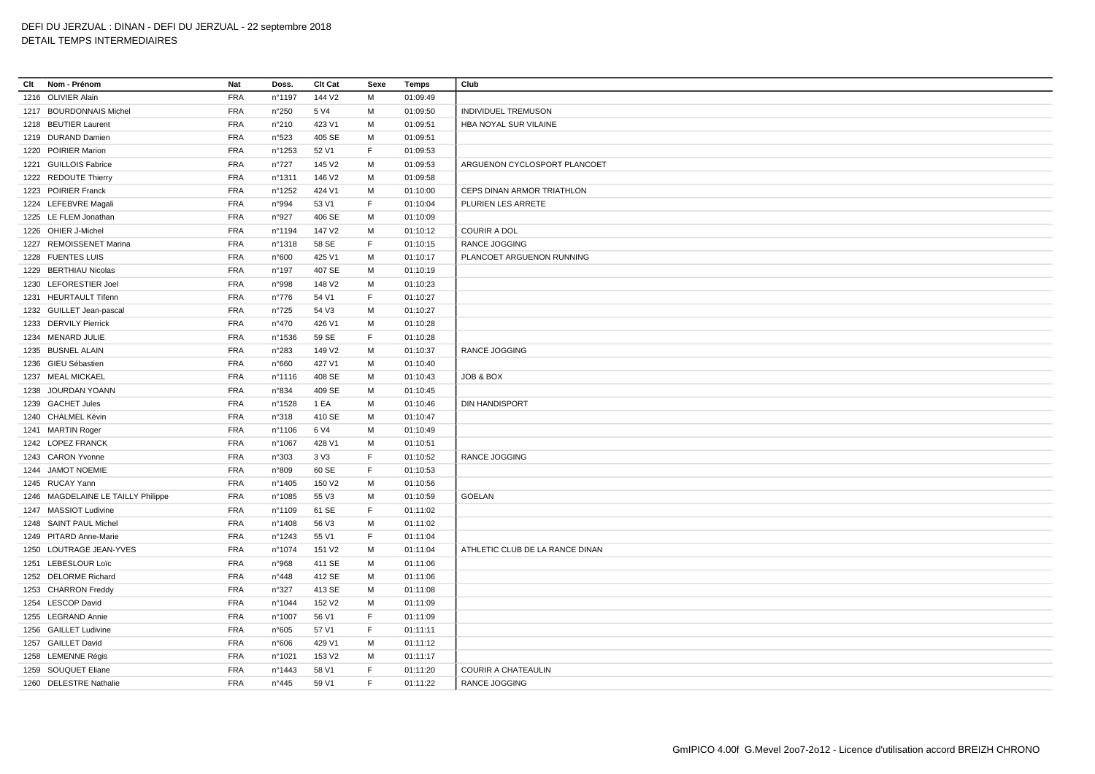| Clt | Nom - Prénom                       | Nat        | Doss.            | Clt Cat            | Sexe | Temps    | Club                            |
|-----|------------------------------------|------------|------------------|--------------------|------|----------|---------------------------------|
|     | 1216 OLIVIER Alain                 | <b>FRA</b> | n°1197           | 144 V <sub>2</sub> | М    | 01:09:49 |                                 |
|     | 1217 BOURDONNAIS Michel            | <b>FRA</b> | n°250            | 5 V4               | М    | 01:09:50 | INDIVIDUEL TREMUSON             |
|     | 1218 BEUTIER Laurent               | <b>FRA</b> | n°210            | 423 V1             | M    | 01:09:51 | HBA NOYAL SUR VILAINE           |
|     | 1219 DURAND Damien                 | <b>FRA</b> | n°523            | 405 SE             | M    | 01:09:51 |                                 |
|     | 1220 POIRIER Marion                | <b>FRA</b> | n°1253           | 52 V1              | F.   | 01:09:53 |                                 |
|     | 1221 GUILLOIS Fabrice              | <b>FRA</b> | $n^{\circ}727$   | 145 V2             | M    | 01:09:53 | ARGUENON CYCLOSPORT PLANCOET    |
|     | 1222 REDOUTE Thierry               | <b>FRA</b> | n°1311           | 146 V <sub>2</sub> | М    | 01:09:58 |                                 |
|     | 1223 POIRIER Franck                | <b>FRA</b> | n°1252           | 424 V1             | M    | 01:10:00 | CEPS DINAN ARMOR TRIATHLON      |
|     | 1224 LEFEBVRE Magali               | <b>FRA</b> | n°994            | 53 V1              | F    | 01:10:04 | PLURIEN LES ARRETE              |
|     | 1225 LE FLEM Jonathan              | <b>FRA</b> | n°927            | 406 SE             | М    | 01:10:09 |                                 |
|     | 1226 OHIER J-Michel                | <b>FRA</b> | n°1194           | 147 V2             | M    | 01:10:12 | <b>COURIR A DOL</b>             |
|     | 1227 REMOISSENET Marina            | <b>FRA</b> | $n^{\circ}$ 1318 | 58 SE              | F    | 01:10:15 | RANCE JOGGING                   |
|     | 1228 FUENTES LUIS                  | <b>FRA</b> | n°600            | 425 V1             | M    | 01:10:17 | PLANCOET ARGUENON RUNNING       |
|     | 1229 BERTHIAU Nicolas              | <b>FRA</b> | $n^{\circ}$ 197  | 407 SE             | M    | 01:10:19 |                                 |
|     | 1230 LEFORESTIER Joel              | <b>FRA</b> | n°998            | 148 V <sub>2</sub> | М    | 01:10:23 |                                 |
|     | 1231 HEURTAULT Tifenn              | <b>FRA</b> | $n^{\circ}776$   | 54 V1              | F    | 01:10:27 |                                 |
|     | 1232 GUILLET Jean-pascal           | FRA        | $n^{\circ}725$   | 54 V3              | М    | 01:10:27 |                                 |
|     | 1233 DERVILY Pierrick              | <b>FRA</b> | n°470            | 426 V1             | М    | 01:10:28 |                                 |
|     | 1234 MENARD JULIE                  | <b>FRA</b> | n°1536           | 59 SE              | F    | 01:10:28 |                                 |
|     | 1235 BUSNEL ALAIN                  | <b>FRA</b> | n°283            | 149 V2             | M    | 01:10:37 | RANCE JOGGING                   |
|     | 1236 GIEU Sébastien                | <b>FRA</b> | n°660            | 427 V1             | M    | 01:10:40 |                                 |
|     | 1237 MEAL MICKAEL                  | <b>FRA</b> | n°1116           | 408 SE             | М    | 01:10:43 | JOB & BOX                       |
|     | 1238 JOURDAN YOANN                 | FRA        | n°834            | 409 SE             | М    | 01:10:45 |                                 |
|     | 1239 GACHET Jules                  | <b>FRA</b> | n°1528           | 1 EA               | M    | 01:10:46 | <b>DIN HANDISPORT</b>           |
|     | 1240 CHALMEL Kévin                 | <b>FRA</b> | n°318            | 410 SE             | M    | 01:10:47 |                                 |
|     | 1241 MARTIN Roger                  | <b>FRA</b> | n°1106           | 6 V4               | М    | 01:10:49 |                                 |
|     | 1242 LOPEZ FRANCK                  | <b>FRA</b> | n°1067           | 428 V1             | M    | 01:10:51 |                                 |
|     | 1243 CARON Yvonne                  | <b>FRA</b> | n°303            | 3 V3               | F    | 01:10:52 | RANCE JOGGING                   |
|     | 1244 JAMOT NOEMIE                  | <b>FRA</b> | n°809            | 60 SE              | F    | 01:10:53 |                                 |
|     | 1245 RUCAY Yann                    | <b>FRA</b> | n°1405           | 150 V2             | М    | 01:10:56 |                                 |
|     | 1246 MAGDELAINE LE TAILLY Philippe | <b>FRA</b> | n°1085           | 55 V3              | М    | 01:10:59 | <b>GOELAN</b>                   |
|     | 1247 MASSIOT Ludivine              | <b>FRA</b> | n°1109           | 61 SE              | F    | 01:11:02 |                                 |
|     | 1248 SAINT PAUL Michel             | <b>FRA</b> | n°1408           | 56 V3              | M    | 01:11:02 |                                 |
|     | 1249 PITARD Anne-Marie             | <b>FRA</b> | $n^{\circ}$ 1243 | 55 V1              | F    | 01:11:04 |                                 |
|     | 1250 LOUTRAGE JEAN-YVES            | <b>FRA</b> | n°1074           | 151 V2             | М    | 01:11:04 | ATHLETIC CLUB DE LA RANCE DINAN |
|     | 1251 LEBESLOUR Loïc                | <b>FRA</b> | n°968            | 411 SE             | M    | 01:11:06 |                                 |
|     | 1252 DELORME Richard               | <b>FRA</b> | n°448            | 412 SE             | M    | 01:11:06 |                                 |
|     | 1253 CHARRON Freddy                | <b>FRA</b> | n°327            | 413 SE             | М    | 01:11:08 |                                 |
|     | 1254 LESCOP David                  | <b>FRA</b> | n°1044           | 152 V <sub>2</sub> | М    | 01:11:09 |                                 |
|     | 1255 LEGRAND Annie                 | <b>FRA</b> | n°1007           | 56 V1              | F    | 01:11:09 |                                 |
|     | 1256 GAILLET Ludivine              | <b>FRA</b> | n°605            | 57 V1              | F    | 01:11:11 |                                 |
|     | 1257 GAILLET David                 | <b>FRA</b> | n°606            | 429 V1             | М    | 01:11:12 |                                 |
|     | 1258 LEMENNE Régis                 | <b>FRA</b> | n°1021           | 153 V2             | М    | 01:11:17 |                                 |
|     | 1259 SOUQUET Eliane                | <b>FRA</b> | n°1443           | 58 V1              | E    | 01:11:20 | <b>COURIR A CHATEAULIN</b>      |
|     | 1260 DELESTRE Nathalie             | <b>FRA</b> | $n^{\circ}445$   | 59 V1              | E    | 01:11:22 | <b>RANCE JOGGING</b>            |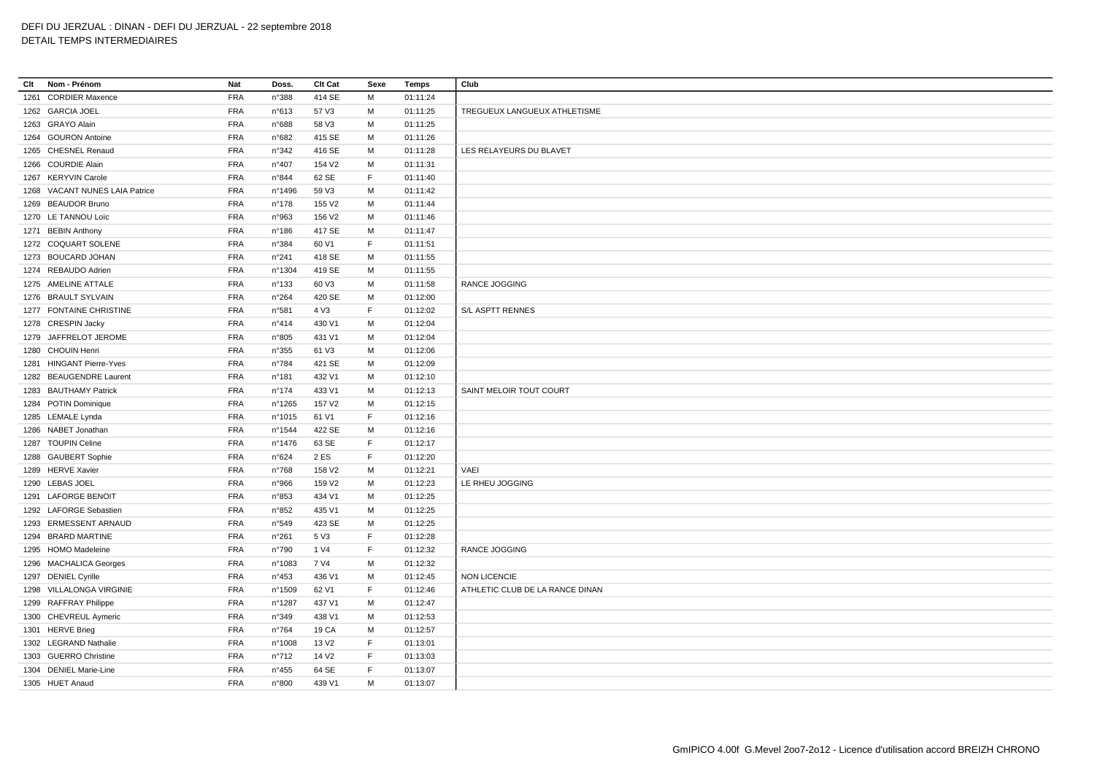**Clt Nom - Prénom Nat Doss. Clt Cat Sexe Temps Club** CORDIER Maxence FRA n°388 414 SE M 01:11:24 GARCIA JOEL FRA n°613 57 V3 M 01:11:25 TREGUEUX LANGUEUX ATHLETISME GRAYO Alain FRA n°688 58 V3 M 01:11:25 GOURON Antoine FRA n°682 415 SE M 01:11:26 CHESNEL Renaud FRA n°342 416 SE M 01:11:28 LES RELAYEURS DU BLAVET COURDIE Alain FRA n°407 154 V2 M 01:11:31 KERYVIN Carole FRA n°844 62 SE F 01:11:40 VACANT NUNES LAIA Patrice FRA n°1496 59 V3 M 01:11:42 BEAUDOR Bruno FRA n°178 155 V2 M 01:11:44 LE TANNOU Loïc FRA n°963 156 V2 M 01:11:46 BEBIN Anthony FRA n°186 417 SE M 01:11:47 COQUART SOLENE FRA n°384 60 V1 F 01:11:51 BOUCARD JOHAN FRA n°241 418 SE M 01:11:55 REBAUDO Adrien FRA n°1304 419 SE M 01:11:55 AMELINE ATTALE FRA n°133 60 V3 M 01:11:58 RANCE JOGGING BRAULT SYLVAIN FRA n°264 420 SE M 01:12:00 FONTAINE CHRISTINE FRA n°581 4 V3 F 01:12:02 S/L ASPTT RENNES CRESPIN Jacky FRA n°414 430 V1 M 01:12:04 JAFFRELOT JEROME FRA n°805 431 V1 M 01:12:04 CHOUIN Henri FRA n°355 61 V3 M 01:12:06 HINGANT Pierre-Yves FRA n°784 421 SE M 01:12:09 BEAUGENDRE Laurent FRA n°181 432 V1 M 01:12:10 BAUTHAMY Patrick FRA n°174 433 V1 M 01:12:13 SAINT MELOIR TOUT COURT POTIN Dominique FRA n°1265 157 V2 M 01:12:15 LEMALE Lynda FRA n°1015 61 V1 F 01:12:16 NABET Jonathan FRA n°1544 422 SE M 01:12:16 TOUPIN Celine FRA n°1476 63 SE F 01:12:17 GAUBERT Sophie FRA n°624 2 ES F 01:12:20 HERVE Xavier FRA n°768 158 V2 M 01:12:21 VAEI LEBAS JOEL FRA n°966 159 V2 M 01:12:23 LE RHEU JOGGING LAFORGE BENOIT FRA n°853 434 V1 M 01:12:25 LAFORGE Sebastien FRA n°852 435 V1 M 01:12:25 ERMESSENT ARNAUD FRA n°549 423 SE M 01:12:25 BRARD MARTINE FRA n°261 5 V3 F 01:12:28 HOMO Madeleine FRA n°790 1 V4 F 01:12:32 RANCE JOGGING MACHALICA Georges FRA n°1083 7 V4 M 01:12:32 DENIEL Cyrille FRA n°453 436 V1 M 01:12:45 NON LICENCIE 1298 VILLALONGA VIRGINIE FRA n°1509 62 V1 F 01:12:46 ATHLETIC CLUB DE LA RANCE DINAN RAFFRAY Philippe FRA n°1287 437 V1 M 01:12:47 CHEVREUL Aymeric FRA n°349 438 V1 M 01:12:53 HERVE Brieg FRA n°764 19 CA M 01:12:57 LEGRAND Nathalie FRA n°1008 13 V2 F 01:13:01 GUERRO Christine FRA n°712 14 V2 F 01:13:03 DENIEL Marie-Line FRA n°455 64 SE F 01:13:07 HUET Anaud FRA n°800 439 V1 M 01:13:07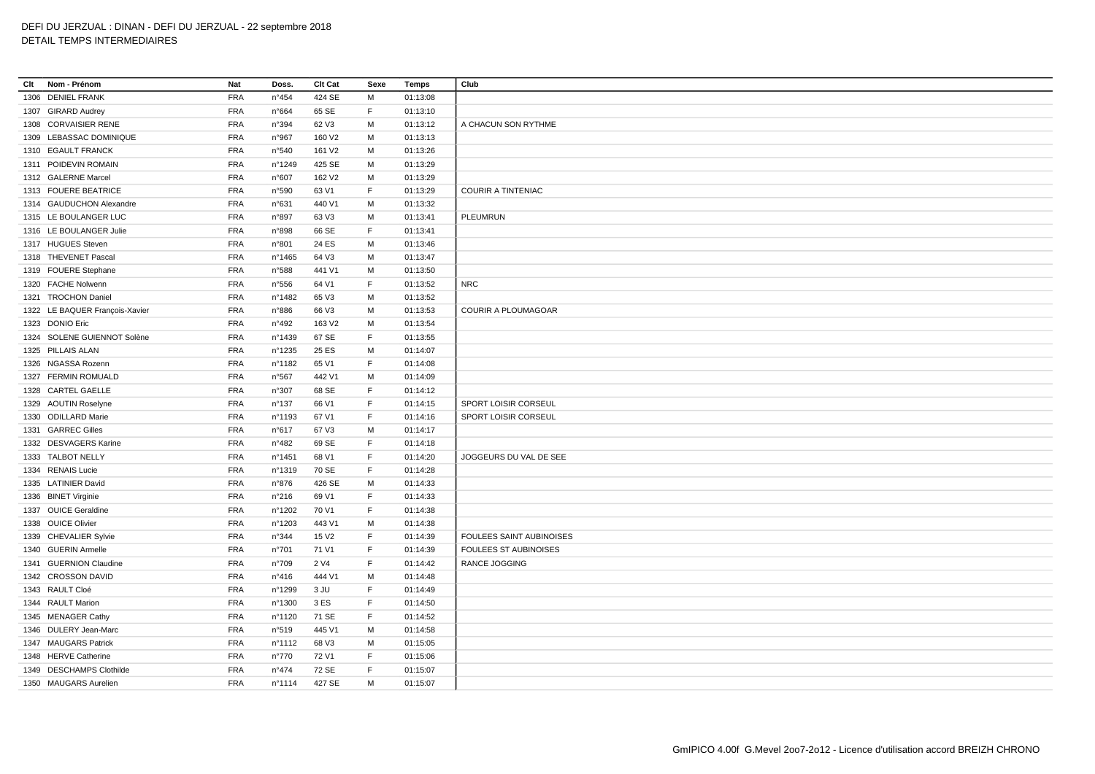| Clt<br>Nom - Prénom            | Nat        | Doss.           | Clt Cat            | Sexe        | Temps    | Club                            |
|--------------------------------|------------|-----------------|--------------------|-------------|----------|---------------------------------|
| 1306 DENIEL FRANK              | <b>FRA</b> | n°454           | 424 SE             | м           | 01:13:08 |                                 |
| 1307 GIRARD Audrey             | <b>FRA</b> | n°664           | 65 SE              | $\mathsf F$ | 01:13:10 |                                 |
| 1308 CORVAISIER RENE           | <b>FRA</b> | n°394           | 62 V3              | M           | 01:13:12 | A CHACUN SON RYTHME             |
| 1309 LEBASSAC DOMINIQUE        | <b>FRA</b> | n°967           | 160 V2             | M           | 01:13:13 |                                 |
| 1310 EGAULT FRANCK             | <b>FRA</b> | n°540           | 161 V2             | M           | 01:13:26 |                                 |
| 1311 POIDEVIN ROMAIN           | <b>FRA</b> | nº1249          | 425 SE             | M           | 01:13:29 |                                 |
| 1312 GALERNE Marcel            | <b>FRA</b> | n°607           | 162 V <sub>2</sub> | М           | 01:13:29 |                                 |
| 1313 FOUERE BEATRICE           | <b>FRA</b> | n°590           | 63 V1              | $\mathsf F$ | 01:13:29 | <b>COURIR A TINTENIAC</b>       |
| 1314 GAUDUCHON Alexandre       | <b>FRA</b> | n°631           | 440 V1             | м           | 01:13:32 |                                 |
| 1315 LE BOULANGER LUC          | <b>FRA</b> | n°897           | 63 V3              | M           | 01:13:41 | PLEUMRUN                        |
| 1316 LE BOULANGER Julie        | <b>FRA</b> | n°898           | 66 SE              | E           | 01:13:41 |                                 |
| 1317 HUGUES Steven             | <b>FRA</b> | n°801           | 24 ES              | M           | 01:13:46 |                                 |
| 1318 THEVENET Pascal           | <b>FRA</b> | n°1465          | 64 V3              | M           | 01:13:47 |                                 |
| 1319 FOUERE Stephane           | <b>FRA</b> | n°588           | 441 V1             | M           | 01:13:50 |                                 |
| 1320 FACHE Nolwenn             | <b>FRA</b> | n°556           | 64 V1              | E           | 01:13:52 | <b>NRC</b>                      |
| 1321 TROCHON Daniel            | <b>FRA</b> | n°1482          | 65 V3              | M           | 01:13:52 |                                 |
| 1322 LE BAQUER François-Xavier | <b>FRA</b> | n°886           | 66 V3              | M           | 01:13:53 | <b>COURIR A PLOUMAGOAR</b>      |
| 1323 DONIO Eric                | <b>FRA</b> | n°492           | 163 V2             | M           | 01:13:54 |                                 |
| 1324 SOLENE GUIENNOT Solène    | <b>FRA</b> | n°1439          | 67 SE              | E           | 01:13:55 |                                 |
| 1325 PILLAIS ALAN              | <b>FRA</b> | n°1235          | 25 ES              | M           | 01:14:07 |                                 |
| 1326 NGASSA Rozenn             | <b>FRA</b> | n°1182          | 65 V1              | E           | 01:14:08 |                                 |
| 1327 FERMIN ROMUALD            | <b>FRA</b> | n°567           | 442 V1             | м           | 01:14:09 |                                 |
| 1328 CARTEL GAELLE             | <b>FRA</b> | n°307           | 68 SE              | F           | 01:14:12 |                                 |
| 1329 AOUTIN Roselyne           | <b>FRA</b> | $n^{\circ}$ 137 | 66 V1              | $\mathsf F$ | 01:14:15 | SPORT LOISIR CORSEUL            |
| 1330 ODILLARD Marie            | <b>FRA</b> | n°1193          | 67 V1              | E           | 01:14:16 | SPORT LOISIR CORSEUL            |
| 1331 GARREC Gilles             | <b>FRA</b> | n°617           | 67 V3              | M           | 01:14:17 |                                 |
| 1332 DESVAGERS Karine          | <b>FRA</b> | n°482           | 69 SE              | E           | 01:14:18 |                                 |
| 1333 TALBOT NELLY              | <b>FRA</b> | n°1451          | 68 V1              | F           | 01:14:20 | JOGGEURS DU VAL DE SEE          |
| 1334 RENAIS Lucie              | <b>FRA</b> | nº1319          | 70 SE              | F           | 01:14:28 |                                 |
| 1335 LATINIER David            | <b>FRA</b> | n°876           | 426 SE             | м           | 01:14:33 |                                 |
| 1336 BINET Virginie            | <b>FRA</b> | n°216           | 69 V1              | $\mathsf F$ | 01:14:33 |                                 |
| 1337 OUICE Geraldine           | <b>FRA</b> | n°1202          | 70 V1              | F           | 01:14:38 |                                 |
| 1338 OUICE Olivier             | <b>FRA</b> | n°1203          | 443 V1             | M           | 01:14:38 |                                 |
| 1339 CHEVALIER Sylvie          | <b>FRA</b> | n°344           | 15 V <sub>2</sub>  | F           | 01:14:39 | <b>FOULEES SAINT AUBINOISES</b> |
| 1340 GUERIN Armelle            | <b>FRA</b> | n°701           | 71 V1              | F           | 01:14:39 | <b>FOULEES ST AUBINOISES</b>    |
| 1341 GUERNION Claudine         | <b>FRA</b> | n°709           | 2 V4               | E           | 01:14:42 | RANCE JOGGING                   |
| 1342 CROSSON DAVID             | <b>FRA</b> | n°416           | 444 V1             | M           | 01:14:48 |                                 |
| 1343 RAULT Cloé                | <b>FRA</b> | n°1299          | 3 JU               | F           | 01:14:49 |                                 |
| 1344 RAULT Marion              | <b>FRA</b> | n°1300          | 3 ES               | F           | 01:14:50 |                                 |
| 1345 MENAGER Cathy             | <b>FRA</b> | n°1120          | 71 SE              | E           | 01:14:52 |                                 |
| 1346 DULERY Jean-Marc          | <b>FRA</b> | n°519           | 445 V1             | M           | 01:14:58 |                                 |
| 1347 MAUGARS Patrick           | <b>FRA</b> | n°1112          | 68 V3              | M           | 01:15:05 |                                 |
| 1348 HERVE Catherine           | <b>FRA</b> | $n^{\circ}770$  | 72 V1              | F           | 01:15:06 |                                 |
| 1349 DESCHAMPS Clothilde       | <b>FRA</b> | $n^{\circ}474$  | 72 SE              | E           | 01:15:07 |                                 |
| 1350 MAUGARS Aurelien          | <b>FRA</b> | nº1114          | 427 SE             | M           | 01:15:07 |                                 |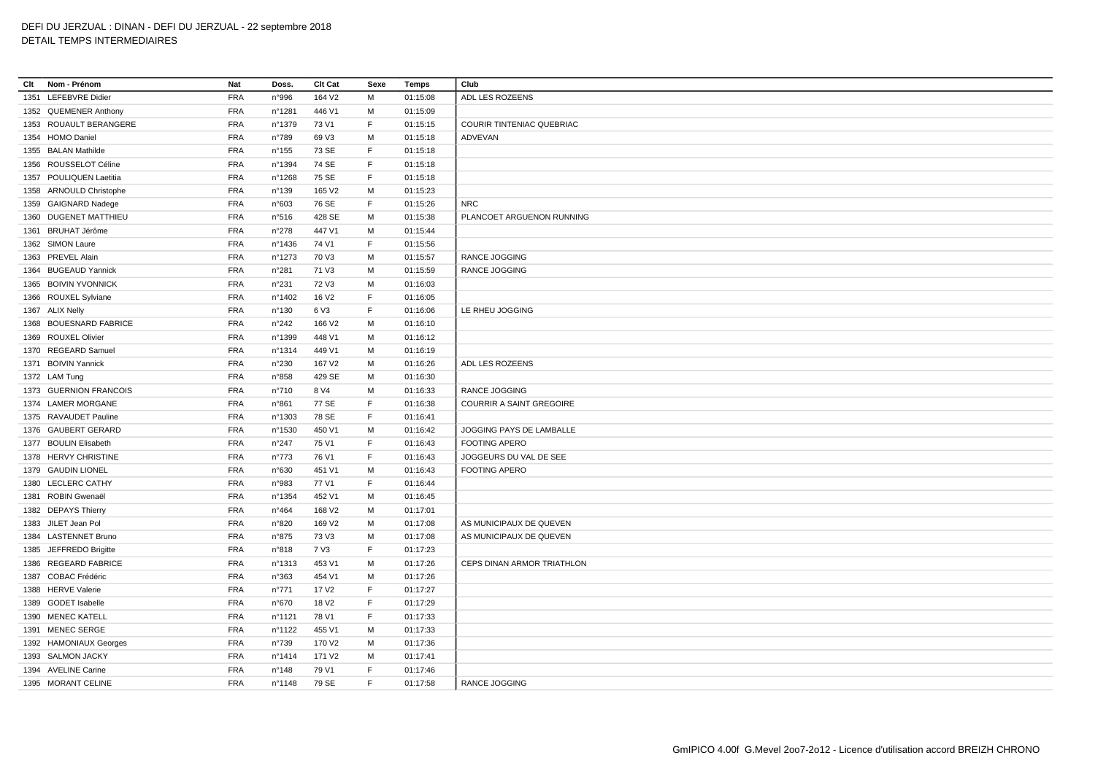**Clt Nom - Prénom Nat Doss. Clt Cat Sexe Temps Club** LEFEBVRE Didier FRA n°996 164 V2 M 01:15:08 ADL LES ROZEENS QUEMENER Anthony FRA n°1281 446 V1 M 01:15:09 ROUAULT BERANGERE FRA n°1379 73 V1 F 01:15:15 COURIR TINTENIAC QUEBRIAC HOMO Daniel FRA n°789 69 V3 M 01:15:18 ADVEVAN BALAN Mathilde FRA n°155 73 SE F 01:15:18 ROUSSELOT Céline FRA n°1394 74 SE F 01:15:18 POULIQUEN Laetitia FRA n°1268 75 SE F 01:15:18 ARNOULD Christophe FRA n°139 165 V2 M 01:15:23 GAIGNARD Nadege FRA n°603 76 SE F 01:15:26 NRC DUGENET MATTHIEU FRA n°516 428 SE M 01:15:38 PLANCOET ARGUENON RUNNING BRUHAT Jérôme FRA n°278 447 V1 M 01:15:44 SIMON Laure FRA n°1436 74 V1 F 01:15:56 PREVEL Alain FRA n°1273 70 V3 M 01:15:57 RANCE JOGGING BUGEAUD Yannick FRA n°281 71 V3 M 01:15:59 RANCE JOGGING BOIVIN YVONNICK FRA n°231 72 V3 M 01:16:03 ROUXEL Sylviane FRA n°1402 16 V2 F 01:16:05 ALIX Nelly FRA n°130 6 V3 F 01:16:06 LE RHEU JOGGING BOUESNARD FABRICE FRA n°242 166 V2 M 01:16:10 ROUXEL Olivier FRA n°1399 448 V1 M 01:16:12 REGEARD Samuel FRA n°1314 449 V1 M 01:16:19 BOIVIN Yannick FRA n°230 167 V2 M 01:16:26 ADL LES ROZEENS LAM Tung FRA n°858 429 SE M 01:16:30 GUERNION FRANCOIS FRA n°710 8 V4 M 01:16:33 RANCE JOGGING LAMER MORGANE FRA n°861 77 SE F 01:16:38 COURRIR A SAINT GREGOIRE RAVAUDET Pauline FRA n°1303 78 SE F 01:16:41 GAUBERT GERARD FRA n°1530 450 V1 M 01:16:42 JOGGING PAYS DE LAMBALLE BOULIN Elisabeth FRA n°247 75 V1 F 01:16:43 FOOTING APERO HERVY CHRISTINE FRA n°773 76 V1 F 01:16:43 JOGGEURS DU VAL DE SEE GAUDIN LIONEL FRA n°630 451 V1 M 01:16:43 FOOTING APERO LECLERC CATHY FRA n°983 77 V1 F 01:16:44 ROBIN Gwenaël FRA n°1354 452 V1 M 01:16:45 DEPAYS Thierry FRA n°464 168 V2 M 01:17:01 JILET Jean Pol FRA n°820 169 V2 M 01:17:08 AS MUNICIPAUX DE QUEVEN LASTENNET Bruno FRA n°875 73 V3 M 01:17:08 AS MUNICIPAUX DE QUEVEN JEFFREDO Brigitte FRA n°818 7 V3 F 01:17:23 REGEARD FABRICE FRA n°1313 453 V1 M 01:17:26 CEPS DINAN ARMOR TRIATHLON COBAC Frédéric FRA n°363 454 V1 M 01:17:26 HERVE Valerie FRA n°771 17 V2 F 01:17:27 GODET Isabelle FRA n°670 18 V2 F 01:17:29 1390 MENEC KATELL **FRA** n°1121 78 V1 F 01:17:33 1391 MENEC SERGE FRA n°1122 455 V1 M 01:17:33 HAMONIAUX Georges FRA n°739 170 V2 M 01:17:36 SALMON JACKY FRA n°1414 171 V2 M 01:17:41 AVELINE Carine FRA n°148 79 V1 F 01:17:46 MORANT CELINE FRA n°1148 79 SE F 01:17:58 RANCE JOGGING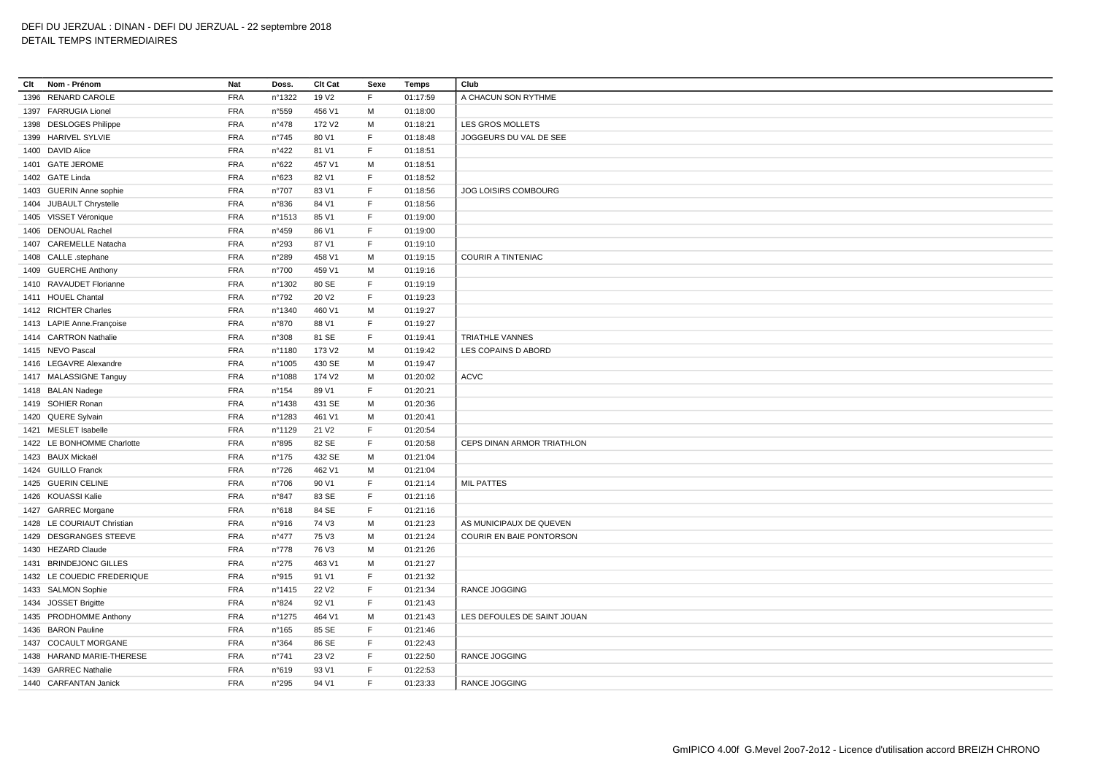| Clt<br>Nom - Prénom        | Nat        | Doss.           | Clt Cat            | Sexe         | Temps    | Club                            |
|----------------------------|------------|-----------------|--------------------|--------------|----------|---------------------------------|
| 1396 RENARD CAROLE         | <b>FRA</b> | n°1322          | 19 V <sub>2</sub>  | F            | 01:17:59 | A CHACUN SON RYTHME             |
| 1397 FARRUGIA Lionel       | <b>FRA</b> | n°559           | 456 V1             | М            | 01:18:00 |                                 |
| 1398 DESLOGES Philippe     | <b>FRA</b> | $n^{\circ}478$  | 172 V2             | M            | 01:18:21 | LES GROS MOLLETS                |
| 1399 HARIVEL SYLVIE        | <b>FRA</b> | n°745           | 80 V1              | E            | 01:18:48 | JOGGEURS DU VAL DE SEE          |
| 1400 DAVID Alice           | <b>FRA</b> | n°422           | 81 V1              | $\mathsf F$  | 01:18:51 |                                 |
| 1401 GATE JEROME           | <b>FRA</b> | n°622           | 457 V1             | M            | 01:18:51 |                                 |
| 1402 GATE Linda            | <b>FRA</b> | n°623           | 82 V1              | $\mathsf F$  | 01:18:52 |                                 |
| 1403 GUERIN Anne sophie    | <b>FRA</b> | n°707           | 83 V1              | $\mathsf F$  | 01:18:56 | JOG LOISIRS COMBOURG            |
| 1404 JUBAULT Chrystelle    | <b>FRA</b> | n°836           | 84 V1              | $\mathsf{F}$ | 01:18:56 |                                 |
| 1405 VISSET Véronique      | <b>FRA</b> | n°1513          | 85 V1              | $\mathsf F$  | 01:19:00 |                                 |
| 1406 DENOUAL Rachel        | <b>FRA</b> | n°459           | 86 V1              | E            | 01:19:00 |                                 |
| 1407 CAREMELLE Natacha     | <b>FRA</b> | n°293           | 87 V1              | E            | 01:19:10 |                                 |
| 1408 CALLE .stephane       | <b>FRA</b> | n°289           | 458 V1             | M            | 01:19:15 | COURIR A TINTENIAC              |
| 1409 GUERCHE Anthony       | <b>FRA</b> | n°700           | 459 V1             | M            | 01:19:16 |                                 |
| 1410 RAVAUDET Florianne    | <b>FRA</b> | n°1302          | 80 SE              | $\mathsf{F}$ | 01:19:19 |                                 |
| 1411 HOUEL Chantal         | <b>FRA</b> | n°792           | 20 V <sub>2</sub>  | $\mathsf F$  | 01:19:23 |                                 |
| 1412 RICHTER Charles       | <b>FRA</b> | nº1340          | 460 V1             | M            | 01:19:27 |                                 |
| 1413 LAPIE Anne.Françoise  | <b>FRA</b> | n°870           | 88 V1              | $\mathsf F$  | 01:19:27 |                                 |
| 1414 CARTRON Nathalie      | <b>FRA</b> | n°308           | 81 SE              | $\mathsf{F}$ | 01:19:41 | TRIATHLE VANNES                 |
| 1415 NEVO Pascal           | <b>FRA</b> | n°1180          | 173 V2             | M            | 01:19:42 | LES COPAINS D ABORD             |
| 1416 LEGAVRE Alexandre     | <b>FRA</b> | n°1005          | 430 SE             | M            | 01:19:47 |                                 |
| 1417 MALASSIGNE Tanguy     | <b>FRA</b> | n°1088          | 174 V <sub>2</sub> | M            | 01:20:02 | <b>ACVC</b>                     |
| 1418 BALAN Nadege          | <b>FRA</b> | $n^{\circ}$ 154 | 89 V1              | $\mathsf F$  | 01:20:21 |                                 |
| 1419 SOHIER Ronan          | <b>FRA</b> | n°1438          | 431 SE             | M            | 01:20:36 |                                 |
| 1420 QUERE Sylvain         | <b>FRA</b> | n°1283          | 461 V1             | M            | 01:20:41 |                                 |
| 1421 MESLET Isabelle       | <b>FRA</b> | n°1129          | 21 V <sub>2</sub>  | $\mathsf F$  | 01:20:54 |                                 |
| 1422 LE BONHOMME Charlotte | <b>FRA</b> | n°895           | 82 SE              | $\mathsf{F}$ | 01:20:58 | CEPS DINAN ARMOR TRIATHLON      |
| 1423 BAUX Mickaël          | <b>FRA</b> | n°175           | 432 SE             | M            | 01:21:04 |                                 |
| 1424 GUILLO Franck         | <b>FRA</b> | $n^{\circ}726$  | 462 V1             | M            | 01:21:04 |                                 |
| 1425 GUERIN CELINE         | <b>FRA</b> | n°706           | 90 V1              | E            | 01:21:14 | <b>MIL PATTES</b>               |
| 1426 KOUASSI Kalie         | <b>FRA</b> | n°847           | 83 SE              | $\mathsf F$  | 01:21:16 |                                 |
| 1427 GARREC Morgane        | <b>FRA</b> | n°618           | 84 SE              | $\mathsf{F}$ | 01:21:16 |                                 |
| 1428 LE COURIAUT Christian | <b>FRA</b> | n°916           | 74 V3              | M            | 01:21:23 | AS MUNICIPAUX DE QUEVEN         |
| 1429 DESGRANGES STEEVE     | <b>FRA</b> | $n^{\circ}477$  | 75 V3              | M            | 01:21:24 | <b>COURIR EN BAIE PONTORSON</b> |
| 1430 HEZARD Claude         | <b>FRA</b> | $n^{\circ}778$  | 76 V3              | м            | 01:21:26 |                                 |
| 1431 BRINDEJONC GILLES     | <b>FRA</b> | n°275           | 463 V1             | M            | 01:21:27 |                                 |
| 1432 LE COUEDIC FREDERIQUE | <b>FRA</b> | n°915           | 91 V1              | $\mathsf F$  | 01:21:32 |                                 |
| 1433 SALMON Sophie         | <b>FRA</b> | nº1415          | 22 V <sub>2</sub>  | E            | 01:21:34 | <b>RANCE JOGGING</b>            |
| 1434 JOSSET Brigitte       | <b>FRA</b> | n°824           | 92 V1              | $\mathsf F$  | 01:21:43 |                                 |
| 1435 PRODHOMME Anthony     | <b>FRA</b> | n°1275          | 464 V1             | M            | 01:21:43 | LES DEFOULES DE SAINT JOUAN     |
| 1436 BARON Pauline         | <b>FRA</b> | $n^{\circ}165$  | 85 SE              | $\mathsf F$  | 01:21:46 |                                 |
| 1437 COCAULT MORGANE       | <b>FRA</b> | n°364           | 86 SE              | F            | 01:22:43 |                                 |
| 1438 HARAND MARIE-THERESE  | <b>FRA</b> | $n^{\circ}741$  | 23 V <sub>2</sub>  | F            | 01:22:50 | <b>RANCE JOGGING</b>            |
| 1439 GARREC Nathalie       | <b>FRA</b> | n°619           | 93 V1              | E            | 01:22:53 |                                 |
| 1440 CARFANTAN Janick      | <b>FRA</b> | n°295           | 94 V1              | E            | 01:23:33 | RANCE JOGGING                   |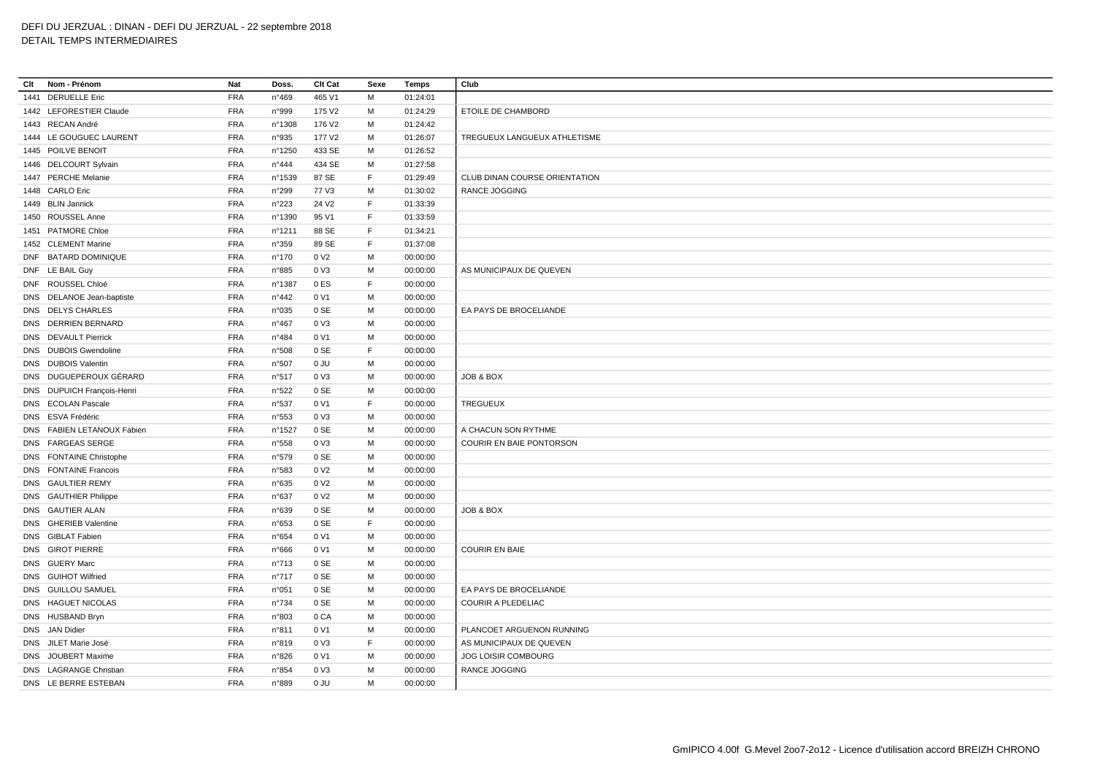**Clt Nom - Prénom Nat Doss. Clt Cat Sexe Temps Club** 1441 DERUELLE Eric FRA n°469 465 V1 M 01:24:01 1442 LEFORESTIER Claude FRA n°999 175 V2 M 01:24:29 ETOILE DE CHAMBORD 1443 RECAN André FRA n°1308 176 V2 M 01:24:42 1444 LE GOUGUEC LAURENT FRA n°935 177 V2 M 01:26:07 TREGUEUX LANGUEUX ATHLETISME 1445 POILVE BENOIT FRA n°1250 433 SE M 01:26:52 1446 DELCOURT Sylvain FRA n°444 434 SE M 01:27:58 1447 PERCHE Melanie FRA n°1539 87 SE F 01:29:49 CLUB DINAN COURSE ORIENTATION 1448 CARLO Eric FRA n°299 77 V3 M 01:30:02 RANCE JOGGING 1449 BLIN Jannick FRA n°223 24 V2 F 01:33:39 1450 ROUSSEL Anne FRA n°1390 95 V1 F 01:33:59 1451 PATMORE Chloe FRA n°1211 88 SE F 01:34:21 1452 CLEMENT Marine FRA n°359 89 SE F 01:37:08 DNF BATARD DOMINIQUE FRA n°170 0 V2 M 00:00:00 DNF LE BAIL Guy FRA n°885 0 V3 M 00:00:00 AS MUNICIPAUX DE QUEVEN DNF ROUSSEL Chloé FRA n°1387 0 ES F 00:00:00 DNS DELANOE Jean-baptiste FRA n°442 0 V1 M 00:00:00 DNS DELYS CHARLES FRA n°035 0 SE M 00:00:00 EA PAYS DE BROCELIANDE DNS DERRIEN BERNARD FRA n°467 0 V3 M 00:00:00 DNS DEVAULT Pierrick FRA n°484 0 V1 M 00:00:00 DNS DUBOIS Gwendoline FRA n°508 0 SE F 00:00:00 DNS DUBOIS Valentin FRA n°507 0 JU M 00:00:00 DNS DUGUEPEROUX GÉRARD FRA n°517 0 V3 M 00:00:00 JOB & BOX DNS DUPUICH François-Henri FRA n°522 0 SE M 00:00:00 DNS ECOLAN Pascale FRA n°537 0 V1 F 00:00:00 TREGUEUX DNS ESVA Frédéric FRA n°553 0 V3 M 00:00:00 DNS FABIEN LETANOUX Fabien FRA n°1527 0 SE M 00:00:00 A CHACUN SON RYTHME DNS FARGEAS SERGE FRA n°558 0 V3 M 00:00:00 COURIR EN BAIE PONTORSON DNS FONTAINE Christophe FRA n°579 0 SE M 00:00:00 DNS FONTAINE Francois FRA n°583 0 V2 M 00:00:00 DNS GAULTIER REMY FRA n°635 0 V2 M 00:00:00 DNS GAUTHIER Philippe FRA n°637 0 V2 M 00:00:00 DNS GAUTIER ALAN FRA n°639 0 SE M 00:00:00 JOB & BOX DNS GHERIEB Valentine FRA n°653 0 SE F 00:00:00 DNS GIBLAT Fabien FRA n°654 0 V1 M 00:00:00 DNS GIROT PIERRE FRA n°666 0 V1 M 00:00:00 COURIR EN BAIE DNS GUERY Marc FRA n°713 0 SE M 00:00:00 DNS GUIHOT Wilfried FRA n°717 0 SE M 00:00:00 DNS GUILLOU SAMUEL FRA n°051 0 SE M 00:00:00 EA PAYS DE BROCELIANDE DNS HAGUET NICOLAS FRA n°734 0 SE M 00:00:00 COURIR A PLEDELIAC DNS HUSBAND Bryn FRA n°803 0 CA M 00:00:00 DNS JAN Didier FRA n°811 0 V1 M 00:00:00 PLANCOET ARGUENON RUNNING DNS JILET Marie José FRA n°819 0 V3 F 00:00:00 AS MUNICIPAUX DE QUEVEN DNS JOUBERT Maxime FRA n°826 0 V1 M 00:00:00 JOG LOISIR COMBOURG DNS LAGRANGE Christian FRA n°854 0 V3 M 00:00:00 RANCE JOGGING DNS LE BERRE ESTEBAN FRA n°889 0 JU M 00:00:00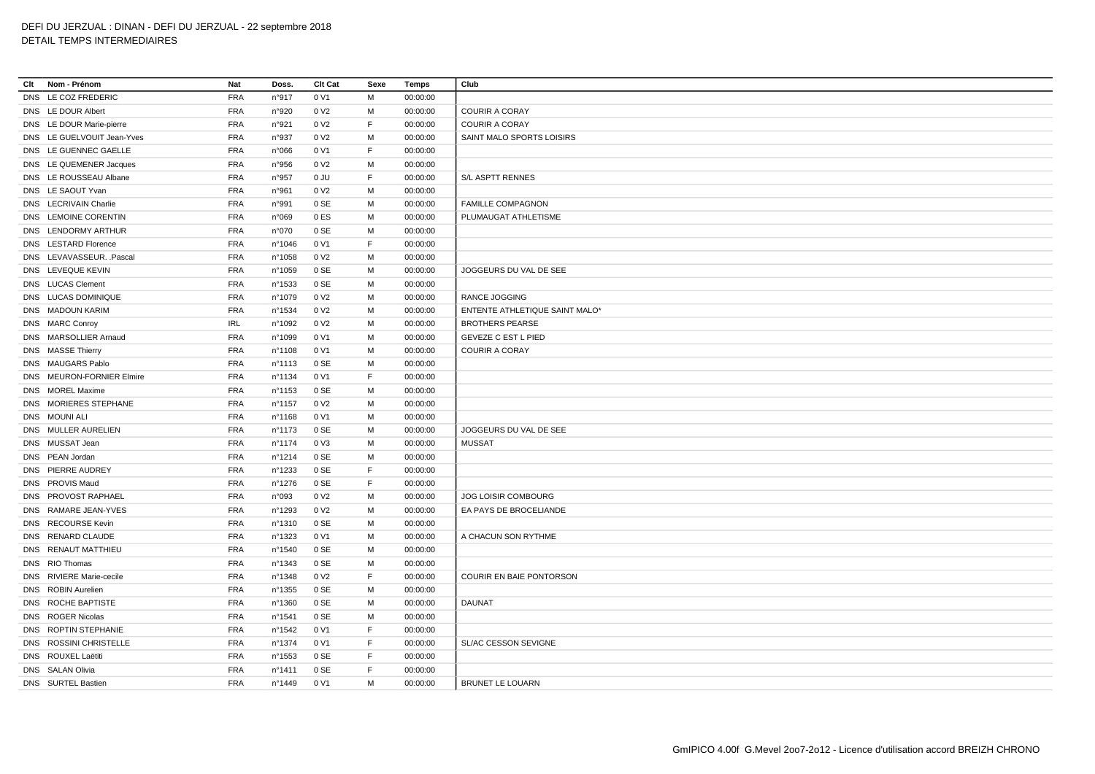| Clt | Nom - Prénom               | Nat        | Doss.            | Clt Cat          | Sexe         | Temps    | Club                            |
|-----|----------------------------|------------|------------------|------------------|--------------|----------|---------------------------------|
|     | DNS LE COZ FREDERIC        | <b>FRA</b> | n°917            | 0 V1             | M            | 00:00:00 |                                 |
|     | DNS LE DOUR Albert         | <b>FRA</b> | n°920            | 0 V <sub>2</sub> | м            | 00:00:00 | <b>COURIR A CORAY</b>           |
|     | DNS LE DOUR Marie-pierre   | <b>FRA</b> | n°921            | 0 V <sub>2</sub> | $\mathsf F$  | 00:00:00 | <b>COURIR A CORAY</b>           |
|     | DNS LE GUELVOUIT Jean-Yves | <b>FRA</b> | n°937            | 0 V <sub>2</sub> | M            | 00:00:00 | SAINT MALO SPORTS LOISIRS       |
|     | DNS LE GUENNEC GAELLE      | <b>FRA</b> | n°066            | 0 V1             | $\mathsf F$  | 00:00:00 |                                 |
|     | DNS LE QUEMENER Jacques    | <b>FRA</b> | n°956            | 0 V <sub>2</sub> | M            | 00:00:00 |                                 |
|     | DNS LE ROUSSEAU Albane     | <b>FRA</b> | n°957            | 0 JU             | $\mathsf{F}$ | 00:00:00 | S/L ASPTT RENNES                |
|     | DNS LE SAOUT Yvan          | <b>FRA</b> | n°961            | 0 V <sub>2</sub> | M            | 00:00:00 |                                 |
|     | DNS LECRIVAIN Charlie      | <b>FRA</b> | n°991            | 0 SE             | M            | 00:00:00 | <b>FAMILLE COMPAGNON</b>        |
|     | DNS LEMOINE CORENTIN       | <b>FRA</b> | n°069            | 0 ES             | м            | 00:00:00 | PLUMAUGAT ATHLETISME            |
|     | DNS LENDORMY ARTHUR        | <b>FRA</b> | n°070            | 0 SE             | M            | 00:00:00 |                                 |
|     | DNS LESTARD Florence       | <b>FRA</b> | n°1046           | 0 V1             | E            | 00:00:00 |                                 |
|     | DNS LEVAVASSEUR. . Pascal  | <b>FRA</b> | n°1058           | 0 V <sub>2</sub> | M            | 00:00:00 |                                 |
|     | DNS LEVEQUE KEVIN          | <b>FRA</b> | n°1059           | 0 SE             | м            | 00:00:00 | JOGGEURS DU VAL DE SEE          |
|     | DNS LUCAS Clement          | <b>FRA</b> | n°1533           | 0 SE             | M            | 00:00:00 |                                 |
|     | DNS LUCAS DOMINIQUE        | <b>FRA</b> | n°1079           | 0 V <sub>2</sub> | M            | 00:00:00 | <b>RANCE JOGGING</b>            |
|     | DNS MADOUN KARIM           | <b>FRA</b> | n°1534           | 0 V <sub>2</sub> | M            | 00:00:00 | ENTENTE ATHLETIQUE SAINT MALO*  |
|     | DNS MARC Conroy            | <b>IRL</b> | n°1092           | 0 V <sub>2</sub> | м            | 00:00:00 | <b>BROTHERS PEARSE</b>          |
|     | DNS MARSOLLIER Arnaud      | <b>FRA</b> | n°1099           | 0 V1             | м            | 00:00:00 | <b>GEVEZE C EST L PIED</b>      |
|     | DNS MASSE Thierry          | <b>FRA</b> | nº1108           | 0 V1             | M            | 00:00:00 | <b>COURIR A CORAY</b>           |
|     | DNS MAUGARS Pablo          | <b>FRA</b> | nº1113           | 0 SE             | M            | 00:00:00 |                                 |
|     | DNS MEURON-FORNIER Elmire  | <b>FRA</b> | n°1134           | 0 V1             | $\mathsf F$  | 00:00:00 |                                 |
|     | DNS MOREL Maxime           | <b>FRA</b> | n°1153           | 0 SE             | M            | 00:00:00 |                                 |
|     | DNS MORIERES STEPHANE      | <b>FRA</b> | n°1157           | 0 V <sub>2</sub> | м            | 00:00:00 |                                 |
|     |                            |            |                  |                  | M            |          |                                 |
|     | DNS MOUNI ALI              | <b>FRA</b> | nº1168           | 0 V1             |              | 00:00:00 |                                 |
|     | DNS MULLER AURELIEN        | <b>FRA</b> | nº1173           | 0 SE             | M            | 00:00:00 | JOGGEURS DU VAL DE SEE          |
|     | DNS MUSSAT Jean            | <b>FRA</b> | n°1174           | 0 V3             | м            | 00:00:00 | <b>MUSSAT</b>                   |
|     | DNS PEAN Jordan            | <b>FRA</b> | n°1214           | 0 SE             | м            | 00:00:00 |                                 |
|     | DNS PIERRE AUDREY          | <b>FRA</b> | n°1233           | 0 SE             | E            | 00:00:00 |                                 |
|     | DNS PROVIS Maud            | <b>FRA</b> | nº1276           | 0 SE             | $\mathsf{F}$ | 00:00:00 |                                 |
|     | DNS PROVOST RAPHAEL        | <b>FRA</b> | n°093            | 0 V <sub>2</sub> | м            | 00:00:00 | <b>JOG LOISIR COMBOURG</b>      |
|     | DNS RAMARE JEAN-YVES       | <b>FRA</b> | n°1293           | 0 V <sub>2</sub> | м            | 00:00:00 | EA PAYS DE BROCELIANDE          |
|     | DNS RECOURSE Kevin         | <b>FRA</b> | n°1310           | 0 SE             | м            | 00:00:00 |                                 |
|     | DNS RENARD CLAUDE          | <b>FRA</b> | n°1323           | 0 V1             | M            | 00:00:00 | A CHACUN SON RYTHME             |
|     | DNS RENAUT MATTHIEU        | <b>FRA</b> | n°1540           | 0 SE             | м            | 00:00:00 |                                 |
|     | DNS RIO Thomas             | <b>FRA</b> | n°1343           | 0 SE             | M            | 00:00:00 |                                 |
|     | DNS RIVIERE Marie-cecile   | <b>FRA</b> | n°1348           | 0 V <sub>2</sub> | $\mathsf F$  | 00:00:00 | <b>COURIR EN BAIE PONTORSON</b> |
|     | DNS ROBIN Aurelien         | <b>FRA</b> | n°1355           | 0 SE             | M            | 00:00:00 |                                 |
|     | DNS ROCHE BAPTISTE         | <b>FRA</b> | n°1360           | 0 SE             | м            | 00:00:00 | <b>DAUNAT</b>                   |
|     | DNS ROGER Nicolas          | <b>FRA</b> | n°1541           | 0 SE             | M            | 00:00:00 |                                 |
|     | DNS ROPTIN STEPHANIE       | <b>FRA</b> | nº1542           | 0 V1             | E            | 00:00:00 |                                 |
|     | DNS ROSSINI CHRISTELLE     | <b>FRA</b> | nº1374           | 0 V1             | F            | 00:00:00 | SL/AC CESSON SEVIGNE            |
|     | DNS ROUXEL Laëtiti         | <b>FRA</b> | n°1553           | 0 SE             | F            | 00:00:00 |                                 |
|     | DNS SALAN Olivia           | <b>FRA</b> | n°1411           | 0 SE             | E            | 00:00:00 |                                 |
|     | DNS SURTEL Bastien         | <b>FRA</b> | $n^{\circ}$ 1449 | 0 V1             | M            | 00:00:00 | <b>BRUNET LE LOUARN</b>         |